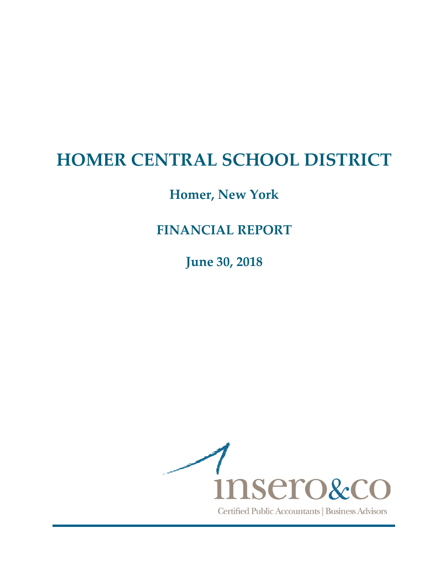## **Homer, New York**

## **FINANCIAL REPORT**

**June 30, 2018** 

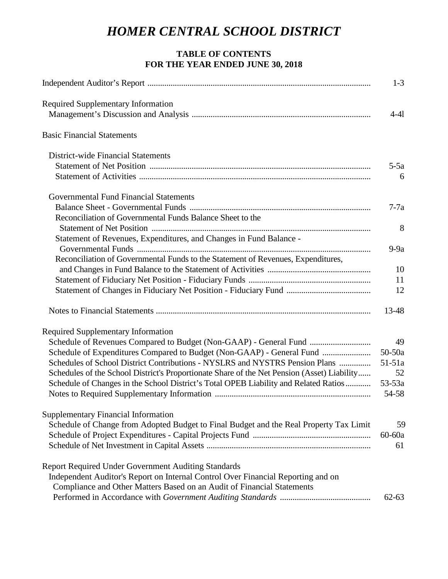## **TABLE OF CONTENTS FOR THE YEAR ENDED JUNE 30, 2018**

|                                                                                             | $1-3$     |
|---------------------------------------------------------------------------------------------|-----------|
| <b>Required Supplementary Information</b>                                                   |           |
|                                                                                             | 4-41      |
| <b>Basic Financial Statements</b>                                                           |           |
| District-wide Financial Statements                                                          |           |
|                                                                                             | $5-5a$    |
|                                                                                             | 6         |
| Governmental Fund Financial Statements                                                      |           |
|                                                                                             | $7-7a$    |
| Reconciliation of Governmental Funds Balance Sheet to the                                   |           |
|                                                                                             | 8         |
| Statement of Revenues, Expenditures, and Changes in Fund Balance -                          |           |
|                                                                                             | $9-9a$    |
| Reconciliation of Governmental Funds to the Statement of Revenues, Expenditures,            |           |
|                                                                                             | 10        |
|                                                                                             | 11        |
|                                                                                             | 12        |
|                                                                                             | 13-48     |
| <b>Required Supplementary Information</b>                                                   |           |
| Schedule of Revenues Compared to Budget (Non-GAAP) - General Fund                           | 49        |
| Schedule of Expenditures Compared to Budget (Non-GAAP) - General Fund                       | $50-50a$  |
| Schedules of School District Contributions - NYSLRS and NYSTRS Pension Plans                | $51-51a$  |
| Schedules of the School District's Proportionate Share of the Net Pension (Asset) Liability | 52        |
| Schedule of Changes in the School District's Total OPEB Liability and Related Ratios        | 53-53a    |
|                                                                                             | 54-58     |
| <b>Supplementary Financial Information</b>                                                  |           |
| Schedule of Change from Adopted Budget to Final Budget and the Real Property Tax Limit      | 59        |
|                                                                                             | 60-60a    |
|                                                                                             | 61        |
| <b>Report Required Under Government Auditing Standards</b>                                  |           |
| Independent Auditor's Report on Internal Control Over Financial Reporting and on            |           |
| Compliance and Other Matters Based on an Audit of Financial Statements                      |           |
|                                                                                             | $62 - 63$ |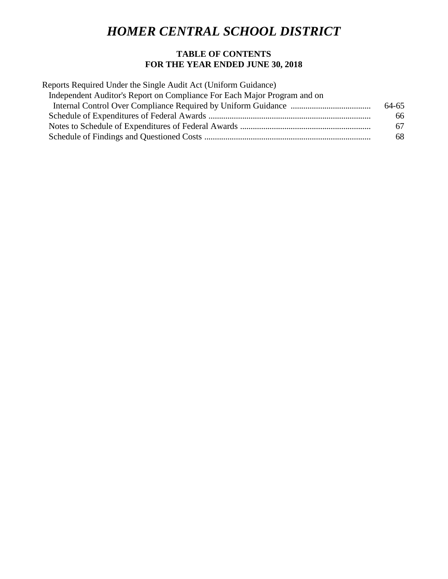## **TABLE OF CONTENTS FOR THE YEAR ENDED JUNE 30, 2018**

| Reports Required Under the Single Audit Act (Uniform Guidance)           |       |
|--------------------------------------------------------------------------|-------|
| Independent Auditor's Report on Compliance For Each Major Program and on |       |
|                                                                          | 64-65 |
|                                                                          | 66    |
|                                                                          | 67    |
|                                                                          | 68    |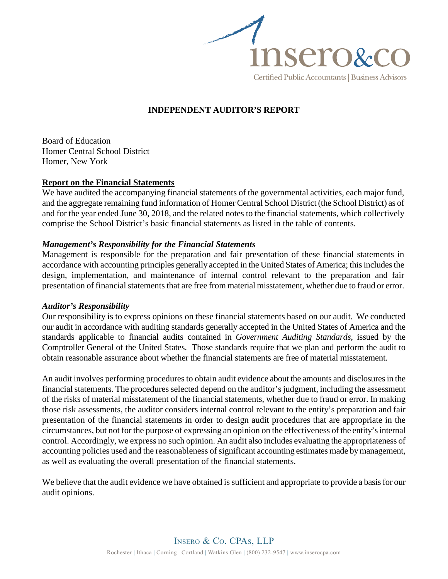

## **INDEPENDENT AUDITOR'S REPORT**

Board of Education Homer Central School District Homer, New York

#### **Report on the Financial Statements**

We have audited the accompanying financial statements of the governmental activities, each major fund, and the aggregate remaining fund information of Homer Central School District (the School District) as of and for the year ended June 30, 2018, and the related notes to the financial statements, which collectively comprise the School District's basic financial statements as listed in the table of contents.

#### *Management's Responsibility for the Financial Statements*

Management is responsible for the preparation and fair presentation of these financial statements in accordance with accounting principles generally accepted in the United States of America; this includes the design, implementation, and maintenance of internal control relevant to the preparation and fair presentation of financial statements that are free from material misstatement, whether due to fraud or error.

#### *Auditor's Responsibility*

Our responsibility is to express opinions on these financial statements based on our audit. We conducted our audit in accordance with auditing standards generally accepted in the United States of America and the standards applicable to financial audits contained in *Government Auditing Standards*, issued by the Comptroller General of the United States. Those standards require that we plan and perform the audit to obtain reasonable assurance about whether the financial statements are free of material misstatement.

An audit involves performing procedures to obtain audit evidence about the amounts and disclosures in the financial statements. The procedures selected depend on the auditor's judgment, including the assessment of the risks of material misstatement of the financial statements, whether due to fraud or error. In making those risk assessments, the auditor considers internal control relevant to the entity's preparation and fair presentation of the financial statements in order to design audit procedures that are appropriate in the circumstances, but not for the purpose of expressing an opinion on the effectiveness of the entity's internal control. Accordingly, we express no such opinion. An audit also includes evaluating the appropriateness of accounting policies used and the reasonableness of significant accounting estimates made by management, as well as evaluating the overall presentation of the financial statements.

We believe that the audit evidence we have obtained is sufficient and appropriate to provide a basis for our audit opinions.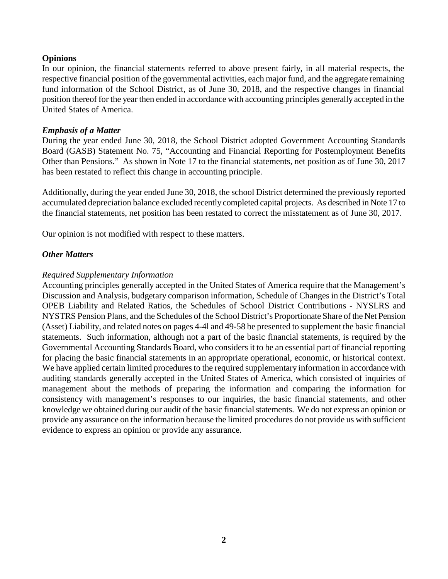#### **Opinions**

In our opinion, the financial statements referred to above present fairly, in all material respects, the respective financial position of the governmental activities, each major fund, and the aggregate remaining fund information of the School District, as of June 30, 2018, and the respective changes in financial position thereof for the year then ended in accordance with accounting principles generally accepted in the United States of America.

#### *Emphasis of a Matter*

During the year ended June 30, 2018, the School District adopted Government Accounting Standards Board (GASB) Statement No. 75, "Accounting and Financial Reporting for Postemployment Benefits Other than Pensions." As shown in Note 17 to the financial statements, net position as of June 30, 2017 has been restated to reflect this change in accounting principle.

Additionally, during the year ended June 30, 2018, the school District determined the previously reported accumulated depreciation balance excluded recently completed capital projects. As described in Note 17 to the financial statements, net position has been restated to correct the misstatement as of June 30, 2017.

Our opinion is not modified with respect to these matters.

#### *Other Matters*

#### *Required Supplementary Information*

Accounting principles generally accepted in the United States of America require that the Management's Discussion and Analysis, budgetary comparison information, Schedule of Changes in the District's Total OPEB Liability and Related Ratios, the Schedules of School District Contributions - NYSLRS and NYSTRS Pension Plans, and the Schedules of the School District's Proportionate Share of the Net Pension (Asset) Liability, and related notes on pages 4-4l and 49-58 be presented to supplement the basic financial statements. Such information, although not a part of the basic financial statements, is required by the Governmental Accounting Standards Board, who considers it to be an essential part of financial reporting for placing the basic financial statements in an appropriate operational, economic, or historical context. We have applied certain limited procedures to the required supplementary information in accordance with auditing standards generally accepted in the United States of America, which consisted of inquiries of management about the methods of preparing the information and comparing the information for consistency with management's responses to our inquiries, the basic financial statements, and other knowledge we obtained during our audit of the basic financial statements. We do not express an opinion or provide any assurance on the information because the limited procedures do not provide us with sufficient evidence to express an opinion or provide any assurance.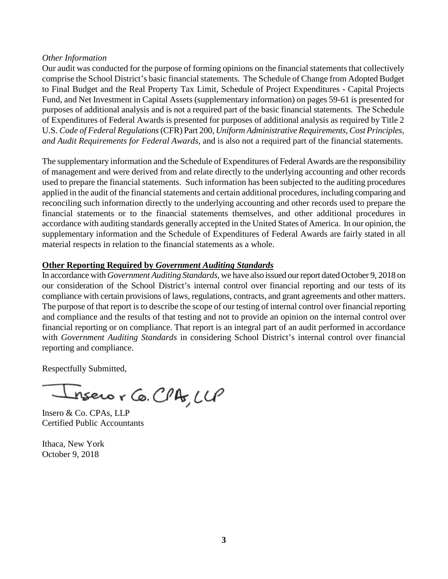#### *Other Information*

Our audit was conducted for the purpose of forming opinions on the financial statements that collectively comprise the School District's basic financial statements. The Schedule of Change from Adopted Budget to Final Budget and the Real Property Tax Limit, Schedule of Project Expenditures - Capital Projects Fund, and Net Investment in Capital Assets (supplementary information) on pages 59-61 is presented for purposes of additional analysis and is not a required part of the basic financial statements. The Schedule of Expenditures of Federal Awards is presented for purposes of additional analysis as required by Title 2 U.S. *Code of Federal Regulations*(CFR) Part 200, *Uniform Administrative Requirements, Cost Principles, and Audit Requirements for Federal Awards*, and is also not a required part of the financial statements.

The supplementary information and the Schedule of Expenditures of Federal Awards are the responsibility of management and were derived from and relate directly to the underlying accounting and other records used to prepare the financial statements. Such information has been subjected to the auditing procedures applied in the audit of the financial statements and certain additional procedures, including comparing and reconciling such information directly to the underlying accounting and other records used to prepare the financial statements or to the financial statements themselves, and other additional procedures in accordance with auditing standards generally accepted in the United States of America. In our opinion, the supplementary information and the Schedule of Expenditures of Federal Awards are fairly stated in all material respects in relation to the financial statements as a whole.

### **Other Reporting Required by** *Government Auditing Standards*

In accordance with *Government Auditing Standards*, we have also issued our report dated October 9, 2018 on our consideration of the School District's internal control over financial reporting and our tests of its compliance with certain provisions of laws, regulations, contracts, and grant agreements and other matters. The purpose of that report is to describe the scope of our testing of internal control over financial reporting and compliance and the results of that testing and not to provide an opinion on the internal control over financial reporting or on compliance. That report is an integral part of an audit performed in accordance with *Government Auditing Standards* in considering School District's internal control over financial reporting and compliance.

Respectfully Submitted,

nsero r Co. CPA, LLP

Insero & Co. CPAs, LLP Certified Public Accountants

Ithaca, New York October 9, 2018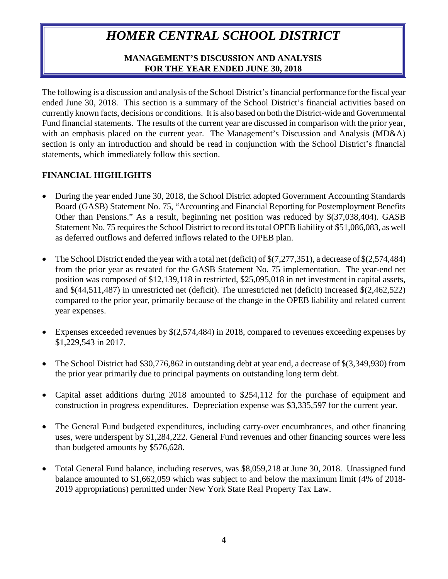### **MANAGEMENT'S DISCUSSION AND ANALYSIS FOR THE YEAR ENDED JUNE 30, 2018**

The following is a discussion and analysis of the School District's financial performance for the fiscal year ended June 30, 2018. This section is a summary of the School District's financial activities based on currently known facts, decisions or conditions. It is also based on both the District-wide and Governmental Fund financial statements. The results of the current year are discussed in comparison with the prior year, with an emphasis placed on the current year. The Management's Discussion and Analysis (MD&A) section is only an introduction and should be read in conjunction with the School District's financial statements, which immediately follow this section.

## **FINANCIAL HIGHLIGHTS**

- During the year ended June 30, 2018, the School District adopted Government Accounting Standards Board (GASB) Statement No. 75, "Accounting and Financial Reporting for Postemployment Benefits Other than Pensions." As a result, beginning net position was reduced by \$(37,038,404). GASB Statement No. 75 requires the School District to record its total OPEB liability of \$51,086,083, as well as deferred outflows and deferred inflows related to the OPEB plan.
- The School District ended the year with a total net (deficit) of \$(7,277,351), a decrease of \$(2,574,484) from the prior year as restated for the GASB Statement No. 75 implementation. The year-end net position was composed of \$12,139,118 in restricted, \$25,095,018 in net investment in capital assets, and \$(44,511,487) in unrestricted net (deficit). The unrestricted net (deficit) increased \$(2,462,522) compared to the prior year, primarily because of the change in the OPEB liability and related current year expenses.
- Expenses exceeded revenues by  $\S(2,574,484)$  in 2018, compared to revenues exceeding expenses by \$1,229,543 in 2017.
- The School District had \$30,776,862 in outstanding debt at year end, a decrease of \$(3,349,930) from the prior year primarily due to principal payments on outstanding long term debt.
- Capital asset additions during 2018 amounted to \$254,112 for the purchase of equipment and construction in progress expenditures. Depreciation expense was \$3,335,597 for the current year.
- The General Fund budgeted expenditures, including carry-over encumbrances, and other financing uses, were underspent by \$1,284,222. General Fund revenues and other financing sources were less than budgeted amounts by \$576,628.
- Total General Fund balance, including reserves, was \$8,059,218 at June 30, 2018. Unassigned fund balance amounted to \$1,662,059 which was subject to and below the maximum limit (4% of 2018- 2019 appropriations) permitted under New York State Real Property Tax Law.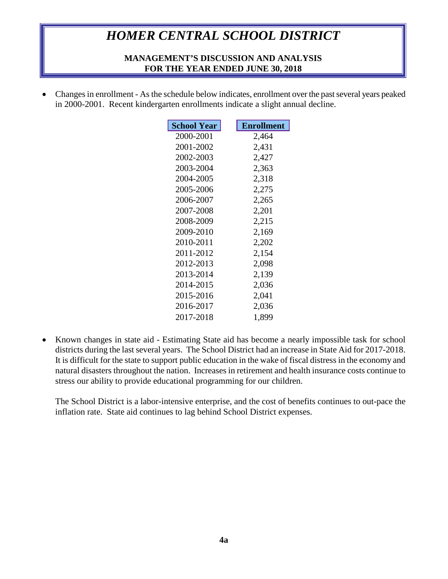#### **MANAGEMENT'S DISCUSSION AND ANALYSIS FOR THE YEAR ENDED JUNE 30, 2018**

• Changes in enrollment - As the schedule below indicates, enrollment over the past several years peaked in 2000-2001. Recent kindergarten enrollments indicate a slight annual decline.

| <b>School Year</b> | Enrollment |
|--------------------|------------|
| 2000-2001          | 2,464      |
| 2001-2002          | 2,431      |
| 2002-2003          | 2,427      |
| 2003-2004          | 2,363      |
| 2004-2005          | 2,318      |
| 2005-2006          | 2,275      |
| 2006-2007          | 2,265      |
| 2007-2008          | 2,201      |
| 2008-2009          | 2,215      |
| 2009-2010          | 2,169      |
| 2010-2011          | 2,202      |
| 2011-2012          | 2,154      |
| 2012-2013          | 2,098      |
| 2013-2014          | 2,139      |
| 2014-2015          | 2,036      |
| 2015-2016          | 2,041      |
| 2016-2017          | 2,036      |
| 2017-2018          | 1,899      |

• Known changes in state aid - Estimating State aid has become a nearly impossible task for school districts during the last several years. The School District had an increase in State Aid for 2017-2018. It is difficult for the state to support public education in the wake of fiscal distress in the economy and natural disasters throughout the nation. Increases in retirement and health insurance costs continue to stress our ability to provide educational programming for our children.

The School District is a labor-intensive enterprise, and the cost of benefits continues to out-pace the inflation rate. State aid continues to lag behind School District expenses.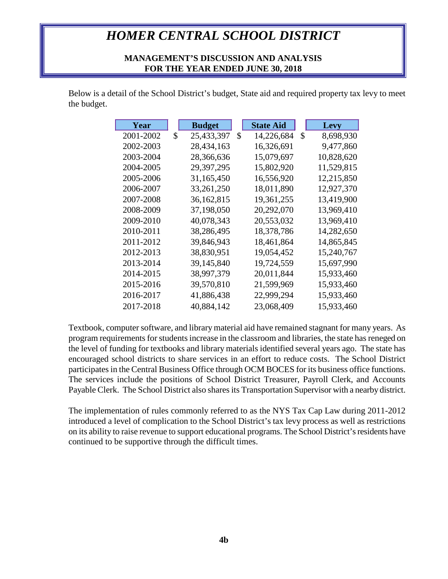#### **MANAGEMENT'S DISCUSSION AND ANALYSIS FOR THE YEAR ENDED JUNE 30, 2018**

Below is a detail of the School District's budget, State aid and required property tax levy to meet the budget.

| Year      | <b>Budget</b>    | <b>State Aid</b> | Levy            |
|-----------|------------------|------------------|-----------------|
| 2001-2002 | \$<br>25,433,397 | \$<br>14,226,684 | \$<br>8,698,930 |
| 2002-2003 | 28,434,163       | 16,326,691       | 9,477,860       |
| 2003-2004 | 28,366,636       | 15,079,697       | 10,828,620      |
| 2004-2005 | 29,397,295       | 15,802,920       | 11,529,815      |
| 2005-2006 | 31,165,450       | 16,556,920       | 12,215,850      |
| 2006-2007 | 33,261,250       | 18,011,890       | 12,927,370      |
| 2007-2008 | 36,162,815       | 19,361,255       | 13,419,900      |
| 2008-2009 | 37,198,050       | 20,292,070       | 13,969,410      |
| 2009-2010 | 40,078,343       | 20,553,032       | 13,969,410      |
| 2010-2011 | 38,286,495       | 18,378,786       | 14,282,650      |
| 2011-2012 | 39,846,943       | 18,461,864       | 14,865,845      |
| 2012-2013 | 38,830,951       | 19,054,452       | 15,240,767      |
| 2013-2014 | 39,145,840       | 19,724,559       | 15,697,990      |
| 2014-2015 | 38,997,379       | 20,011,844       | 15,933,460      |
| 2015-2016 | 39,570,810       | 21,599,969       | 15,933,460      |
| 2016-2017 | 41,886,438       | 22,999,294       | 15,933,460      |
| 2017-2018 | 40,884,142       | 23,068,409       | 15,933,460      |

Textbook, computer software, and library material aid have remained stagnant for many years. As program requirements for students increase in the classroom and libraries, the state has reneged on the level of funding for textbooks and library materials identified several years ago. The state has encouraged school districts to share services in an effort to reduce costs. The School District participates in the Central Business Office through OCM BOCES for its business office functions. The services include the positions of School District Treasurer, Payroll Clerk, and Accounts Payable Clerk. The School District also shares its Transportation Supervisor with a nearby district.

The implementation of rules commonly referred to as the NYS Tax Cap Law during 2011-2012 introduced a level of complication to the School District's tax levy process as well as restrictions on its ability to raise revenue to support educational programs. The School District's residents have continued to be supportive through the difficult times.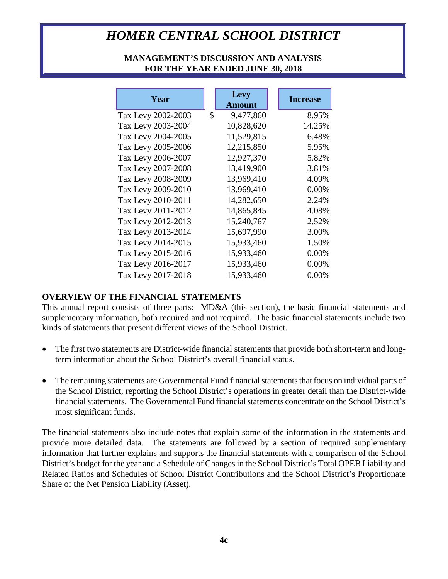#### **MANAGEMENT'S DISCUSSION AND ANALYSIS FOR THE YEAR ENDED JUNE 30, 2018**

| Year               | Levy<br><b>Amount</b> | <b>Increase</b> |
|--------------------|-----------------------|-----------------|
| Tax Levy 2002-2003 | \$<br>9,477,860       | 8.95%           |
| Tax Levy 2003-2004 | 10,828,620            | 14.25%          |
| Tax Levy 2004-2005 | 11,529,815            | 6.48%           |
| Tax Levy 2005-2006 | 12,215,850            | 5.95%           |
| Tax Levy 2006-2007 | 12,927,370            | 5.82%           |
| Tax Levy 2007-2008 | 13,419,900            | 3.81%           |
| Tax Levy 2008-2009 | 13,969,410            | 4.09%           |
| Tax Levy 2009-2010 | 13,969,410            | 0.00%           |
| Tax Levy 2010-2011 | 14,282,650            | 2.24%           |
| Tax Levy 2011-2012 | 14,865,845            | 4.08%           |
| Tax Levy 2012-2013 | 15,240,767            | 2.52%           |
| Tax Levy 2013-2014 | 15,697,990            | 3.00%           |
| Tax Levy 2014-2015 | 15,933,460            | 1.50%           |
| Tax Levy 2015-2016 | 15,933,460            | 0.00%           |
| Tax Levy 2016-2017 | 15,933,460            | 0.00%           |
| Tax Levy 2017-2018 | 15,933,460            | $0.00\%$        |

### **OVERVIEW OF THE FINANCIAL STATEMENTS**

This annual report consists of three parts: MD&A (this section), the basic financial statements and supplementary information, both required and not required. The basic financial statements include two kinds of statements that present different views of the School District.

- The first two statements are District-wide financial statements that provide both short-term and longterm information about the School District's overall financial status.
- The remaining statements are Governmental Fund financial statements that focus on individual parts of the School District, reporting the School District's operations in greater detail than the District-wide financial statements. The Governmental Fund financial statements concentrate on the School District's most significant funds.

The financial statements also include notes that explain some of the information in the statements and provide more detailed data. The statements are followed by a section of required supplementary information that further explains and supports the financial statements with a comparison of the School District's budget for the year and a Schedule of Changes in the School District's Total OPEB Liability and Related Ratios and Schedules of School District Contributions and the School District's Proportionate Share of the Net Pension Liability (Asset).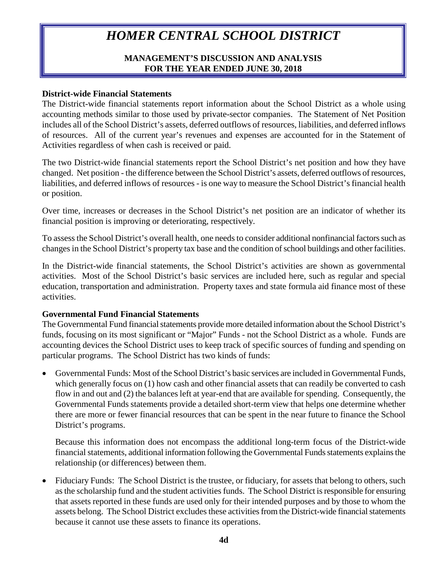#### **MANAGEMENT'S DISCUSSION AND ANALYSIS FOR THE YEAR ENDED JUNE 30, 2018**

#### **District-wide Financial Statements**

The District-wide financial statements report information about the School District as a whole using accounting methods similar to those used by private-sector companies. The Statement of Net Position includes all of the School District's assets, deferred outflows of resources, liabilities, and deferred inflows of resources. All of the current year's revenues and expenses are accounted for in the Statement of Activities regardless of when cash is received or paid.

The two District-wide financial statements report the School District's net position and how they have changed. Net position - the difference between the School District's assets, deferred outflows of resources, liabilities, and deferred inflows of resources - is one way to measure the School District's financial health or position.

Over time, increases or decreases in the School District's net position are an indicator of whether its financial position is improving or deteriorating, respectively.

To assess the School District's overall health, one needs to consider additional nonfinancial factors such as changes in the School District's property tax base and the condition of school buildings and other facilities.

In the District-wide financial statements, the School District's activities are shown as governmental activities. Most of the School District's basic services are included here, such as regular and special education, transportation and administration. Property taxes and state formula aid finance most of these activities.

#### **Governmental Fund Financial Statements**

The Governmental Fund financial statements provide more detailed information about the School District's funds, focusing on its most significant or "Major" Funds - not the School District as a whole. Funds are accounting devices the School District uses to keep track of specific sources of funding and spending on particular programs. The School District has two kinds of funds:

• Governmental Funds: Most of the School District's basic services are included in Governmental Funds, which generally focus on (1) how cash and other financial assets that can readily be converted to cash flow in and out and (2) the balances left at year-end that are available for spending. Consequently, the Governmental Funds statements provide a detailed short-term view that helps one determine whether there are more or fewer financial resources that can be spent in the near future to finance the School District's programs.

Because this information does not encompass the additional long-term focus of the District-wide financial statements, additional information following the Governmental Funds statements explains the relationship (or differences) between them.

• Fiduciary Funds: The School District is the trustee, or fiduciary, for assets that belong to others, such as the scholarship fund and the student activities funds. The School District is responsible for ensuring that assets reported in these funds are used only for their intended purposes and by those to whom the assets belong. The School District excludes these activities from the District-wide financial statements because it cannot use these assets to finance its operations.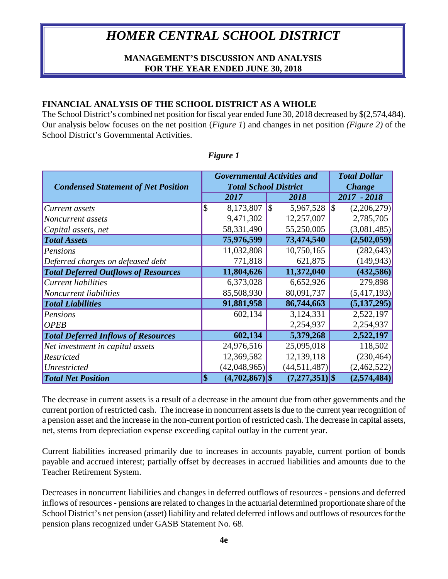### **MANAGEMENT'S DISCUSSION AND ANALYSIS FOR THE YEAR ENDED JUNE 30, 2018**

### **FINANCIAL ANALYSIS OF THE SCHOOL DISTRICT AS A WHOLE**

The School District's combined net position for fiscal year ended June 30, 2018 decreased by \$(2,574,484). Our analysis below focuses on the net position (*Figure 1*) and changes in net position *(Figure 2)* of the School District's Governmental Activities.

|                                             | <b>Governmental Activities and</b> | <b>Total Dollar</b>          |                                         |  |  |  |  |
|---------------------------------------------|------------------------------------|------------------------------|-----------------------------------------|--|--|--|--|
| <b>Condensed Statement of Net Position</b>  |                                    | <b>Total School District</b> |                                         |  |  |  |  |
|                                             | 2017                               | 2018                         | 2017 - 2018                             |  |  |  |  |
| Current assets                              | \$<br>8,173,807                    | 5<br>5,967,528               | $\overline{\mathcal{S}}$<br>(2,206,279) |  |  |  |  |
| Noncurrent assets                           | 9,471,302                          | 12,257,007                   | 2,785,705                               |  |  |  |  |
| Capital assets, net                         | 58,331,490                         | 55,250,005                   | (3,081,485)                             |  |  |  |  |
| <b>Total Assets</b>                         | 75,976,599                         | 73,474,540                   | (2,502,059)                             |  |  |  |  |
| Pensions                                    | 11,032,808                         | 10,750,165                   | (282, 643)                              |  |  |  |  |
| Deferred charges on defeased debt           | 771,818                            | 621,875                      | (149, 943)                              |  |  |  |  |
| <b>Total Deferred Outflows of Resources</b> | 11,804,626                         | 11,372,040                   | (432, 586)                              |  |  |  |  |
| <b>Current liabilities</b>                  | 6,373,028                          | 6,652,926                    | 279,898                                 |  |  |  |  |
| Noncurrent liabilities                      | 85,508,930                         | 80,091,737                   | (5,417,193)                             |  |  |  |  |
| <b>Total Liabilities</b>                    | 91,881,958                         | 86,744,663                   | (5, 137, 295)                           |  |  |  |  |
| Pensions                                    | 602,134                            | 3,124,331                    | 2,522,197                               |  |  |  |  |
| <b>OPEB</b>                                 |                                    | 2,254,937                    | 2,254,937                               |  |  |  |  |
| <b>Total Deferred Inflows of Resources</b>  | 602,134                            | 5,379,268                    | 2,522,197                               |  |  |  |  |
| Net investment in capital assets            | 24,976,516                         | 25,095,018                   | 118,502                                 |  |  |  |  |
| <b>Restricted</b>                           | 12,369,582                         | 12,139,118                   | (230, 464)                              |  |  |  |  |
| Unrestricted                                | (42,048,965)                       | (44, 511, 487)               | (2,462,522)                             |  |  |  |  |
| <b>Total Net Position</b>                   | \$<br>$(4,702,867)$ \$             | $(7,277,351)$ \$             | (2,574,484)                             |  |  |  |  |

#### *Figure 1*

The decrease in current assets is a result of a decrease in the amount due from other governments and the current portion of restricted cash. The increase in noncurrent assetsis due to the current year recognition of a pension asset and the increase in the non-current portion of restricted cash. The decrease in capital assets, net, stems from depreciation expense exceeding capital outlay in the current year.

Current liabilities increased primarily due to increases in accounts payable, current portion of bonds payable and accrued interest; partially offset by decreases in accrued liabilities and amounts due to the Teacher Retirement System.

Decreases in noncurrent liabilities and changes in deferred outflows of resources - pensions and deferred inflows of resources - pensions are related to changes in the actuarial determined proportionate share of the School District's net pension (asset) liability and related deferred inflows and outflows of resources for the pension plans recognized under GASB Statement No. 68.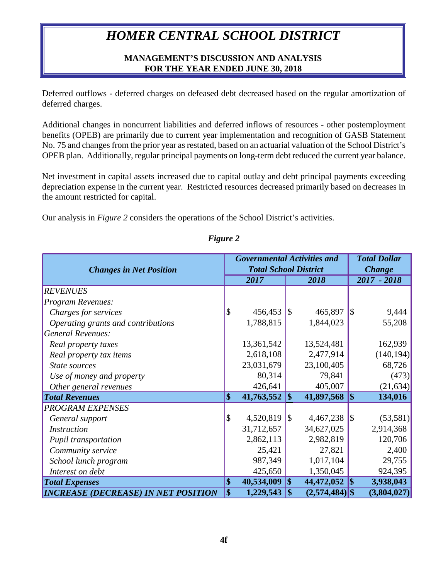### **MANAGEMENT'S DISCUSSION AND ANALYSIS FOR THE YEAR ENDED JUNE 30, 2018**

Deferred outflows - deferred charges on defeased debt decreased based on the regular amortization of deferred charges.

Additional changes in noncurrent liabilities and deferred inflows of resources - other postemployment benefits (OPEB) are primarily due to current year implementation and recognition of GASB Statement No. 75 and changes from the prior year as restated, based on an actuarial valuation of the School District's OPEB plan. Additionally, regular principal payments on long-term debt reduced the current year balance.

Net investment in capital assets increased due to capital outlay and debt principal payments exceeding depreciation expense in the current year. Restricted resources decreased primarily based on decreases in the amount restricted for capital.

Our analysis in *Figure 2* considers the operations of the School District's activities.

|                                            | <b>Governmental Activities and</b> | <b>Total Dollar</b> |                     |            |             |
|--------------------------------------------|------------------------------------|---------------------|---------------------|------------|-------------|
| <b>Changes in Net Position</b>             | <b>Total School District</b>       |                     | <b>Change</b>       |            |             |
|                                            | 2017                               |                     | 2018                |            | 2017 - 2018 |
| <b>REVENUES</b>                            |                                    |                     |                     |            |             |
| Program Revenues:                          |                                    |                     |                     |            |             |
| Charges for services                       | \$<br>456,453                      | $\sqrt{3}$          | 465,897             | $\sqrt{3}$ | 9,444       |
| Operating grants and contributions         | 1,788,815                          |                     | 1,844,023           |            | 55,208      |
| <b>General Revenues:</b>                   |                                    |                     |                     |            |             |
| Real property taxes                        | 13,361,542                         |                     | 13,524,481          |            | 162,939     |
| Real property tax items                    | 2,618,108                          |                     | 2,477,914           |            | (140, 194)  |
| State sources                              | 23,031,679                         |                     | 23,100,405          |            | 68,726      |
| Use of money and property                  | 80,314                             |                     | 79,841              |            | (473)       |
| Other general revenues                     | 426,641                            |                     | 405,007             |            | (21, 634)   |
| <b>Total Revenues</b>                      | \$<br>41,763,552                   | $\vert \$\$         | 41,897,568          | $\vert$ \$ | 134,016     |
| <b>PROGRAM EXPENSES</b>                    |                                    |                     |                     |            |             |
| General support                            | \$<br>4,520,819                    | $\sqrt{3}$          | 4,467,238 $\vert \$ |            | (53, 581)   |
| <i>Instruction</i>                         | 31,712,657                         |                     | 34,627,025          |            | 2,914,368   |
| Pupil transportation                       | 2,862,113                          |                     | 2,982,819           |            | 120,706     |
| Community service                          | 25,421                             |                     | 27,821              |            | 2,400       |
| School lunch program                       | 987,349                            |                     | 1,017,104           |            | 29,755      |
| Interest on debt                           | 425,650                            |                     | 1,350,045           |            | 924,395     |
| <b>Total Expenses</b>                      | \$<br>40,534,009                   | \$                  | 44,472,052 \$       |            | 3,938,043   |
| <b>INCREASE (DECREASE) IN NET POSITION</b> | \$<br>1,229,543                    | \$                  | $(2,574,484)$ \$    |            | (3,804,027) |

## *Figure 2*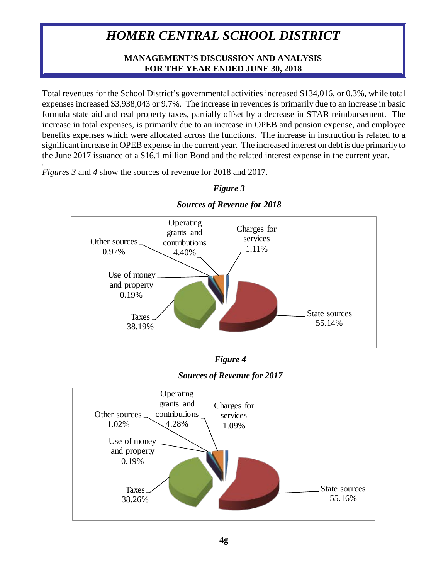### **MANAGEMENT'S DISCUSSION AND ANALYSIS FOR THE YEAR ENDED JUNE 30, 2018**

Total revenues for the School District's governmental activities increased \$134,016, or 0.3%, while total expenses increased \$3,938,043 or 9.7%. The increase in revenues is primarily due to an increase in basic formula state aid and real property taxes, partially offset by a decrease in STAR reimbursement. The increase in total expenses, is primarily due to an increase in OPEB and pension expense, and employee benefits expenses which were allocated across the functions. The increase in instruction is related to a significant increase in OPEB expense in the current year. The increased interest on debt is due primarily to the June 2017 issuance of a \$16.1 million Bond and the related interest expense in the current year.

*Figures 3* and *4* show the sources of revenue for 2018 and 2017.

.



## *Figure 3*

*Figure 4*

*Sources of Revenue for 2017*

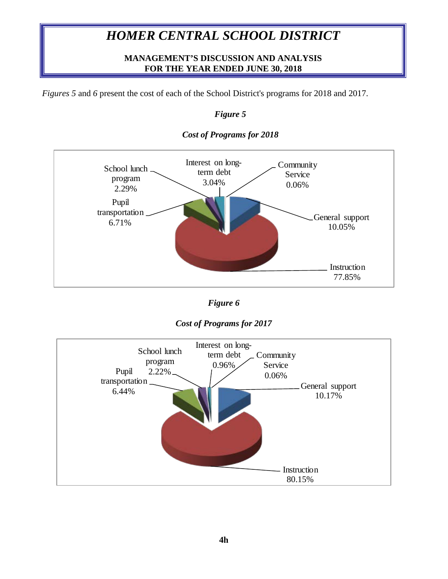#### **MANAGEMENT'S DISCUSSION AND ANALYSIS FOR THE YEAR ENDED JUNE 30, 2018**

*Figures 5* and *6* present the cost of each of the School District's programs for 2018 and 2017.

## *Figure 5*



#### *Cost of Programs for 2018*



*Cost of Programs for 2017*

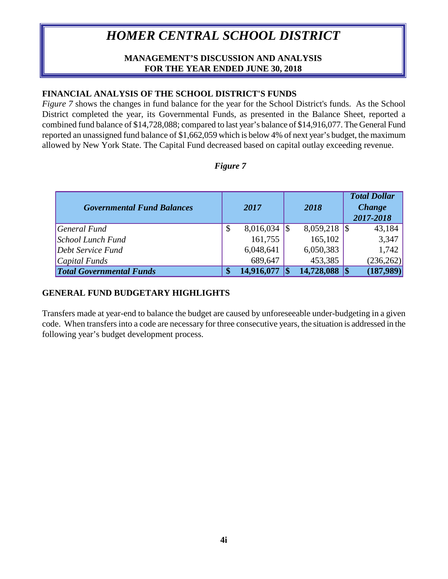#### **MANAGEMENT'S DISCUSSION AND ANALYSIS FOR THE YEAR ENDED JUNE 30, 2018**

### **FINANCIAL ANALYSIS OF THE SCHOOL DISTRICT'S FUNDS**

*Figure* 7 shows the changes in fund balance for the year for the School District's funds. As the School District completed the year, its Governmental Funds, as presented in the Balance Sheet, reported a combined fund balance of \$14,728,088; compared to last year's balance of \$14,916,077. The General Fund reported an unassigned fund balance of \$1,662,059 which is below 4% of next year's budget, the maximum allowed by New York State. The Capital Fund decreased based on capital outlay exceeding revenue.

## *Figure 7*

| <b>Governmental Fund Balances</b> | 2017 |                    |  | 2018       | <b>Total Dollar</b><br><b>Change</b><br>2017-2018 |
|-----------------------------------|------|--------------------|--|------------|---------------------------------------------------|
| General Fund                      | S    | $8,016,034$ \\ \\$ |  |            | 43,184                                            |
| School Lunch Fund                 |      | 161,755            |  | 165,102    | 3,347                                             |
| Debt Service Fund                 |      | 6,048,641          |  | 6,050,383  | 1,742                                             |
| Capital Funds                     |      | 689,647            |  | 453,385    | (236,262)                                         |
| <b>Total Governmental Funds</b>   |      | 14,916,077         |  | 14,728,088 | (187,989)                                         |

## **GENERAL FUND BUDGETARY HIGHLIGHTS**

Transfers made at year-end to balance the budget are caused by unforeseeable under-budgeting in a given code. When transfers into a code are necessary for three consecutive years, the situation is addressed in the following year's budget development process.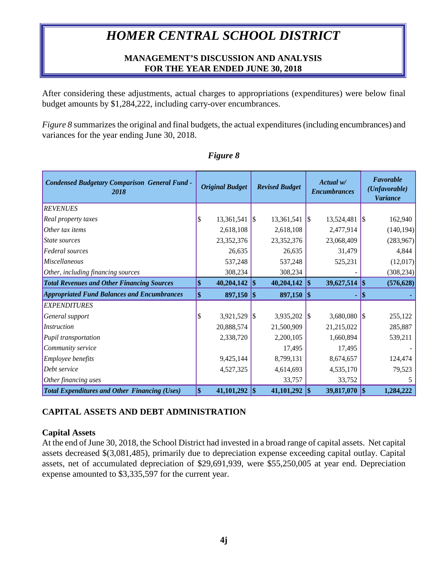### **MANAGEMENT'S DISCUSSION AND ANALYSIS FOR THE YEAR ENDED JUNE 30, 2018**

After considering these adjustments, actual charges to appropriations (expenditures) were below final budget amounts by \$1,284,222, including carry-over encumbrances.

*Figure 8* summarizes the original and final budgets, the actual expenditures (including encumbrances) and variances for the year ending June 30, 2018.

| <b>Condensed Budgetary Comparison General Fund -</b><br>2018 |     | <b>Original Budget</b> |     |            |     |                     |     | <b>Revised Budget</b> |  | Actual w/<br><b>Encumbrances</b> |  | Favorable<br>(Unfavorable)<br><b>Variance</b> |
|--------------------------------------------------------------|-----|------------------------|-----|------------|-----|---------------------|-----|-----------------------|--|----------------------------------|--|-----------------------------------------------|
| <b>REVENUES</b>                                              |     |                        |     |            |     |                     |     |                       |  |                                  |  |                                               |
| <b>Real property taxes</b>                                   |     | 13,361,541             |     | 13,361,541 | I\$ | 13,524,481          | 1\$ | 162,940               |  |                                  |  |                                               |
| Other tax items                                              |     | 2,618,108              |     | 2,618,108  |     | 2,477,914           |     | (140, 194)            |  |                                  |  |                                               |
| State sources                                                |     | 23,352,376             |     | 23,352,376 |     | 23,068,409          |     | (283,967)             |  |                                  |  |                                               |
| <b>Federal</b> sources                                       |     | 26,635                 |     | 26,635     |     | 31,479              |     | 4,844                 |  |                                  |  |                                               |
| Miscellaneous                                                |     | 537,248                |     | 537,248    |     | 525,231             |     | (12,017)              |  |                                  |  |                                               |
| Other, including financing sources                           |     | 308,234                |     | 308,234    |     |                     |     | (308, 234)            |  |                                  |  |                                               |
| <b>Total Revenues and Other Financing Sources</b>            | \$  | $40,204,142$ \\ \\$    |     | 40,204,142 | 1\$ | 39,627,514          | 1\$ | (576, 628)            |  |                                  |  |                                               |
| <b>Appropriated Fund Balances and Encumbrances</b>           | I\$ | 897,150                | 1\$ | 897,150    | 1\$ |                     | B   |                       |  |                                  |  |                                               |
| <b>EXPENDITURES</b>                                          |     |                        |     |            |     |                     |     |                       |  |                                  |  |                                               |
| General support                                              |     | 3,921,529              |     | 3,935,202  | l\$ | 3,680,080 $\vert \$ |     | 255,122               |  |                                  |  |                                               |
| Instruction                                                  |     | 20,888,574             |     | 21,500,909 |     | 21,215,022          |     | 285,887               |  |                                  |  |                                               |
| Pupil transportation                                         |     | 2,338,720              |     | 2,200,105  |     | 1,660,894           |     | 539,211               |  |                                  |  |                                               |
| Community service                                            |     |                        |     | 17,495     |     | 17,495              |     |                       |  |                                  |  |                                               |
| Employee benefits                                            |     | 9,425,144              |     | 8,799,131  |     | 8,674,657           |     | 124,474               |  |                                  |  |                                               |
| Debt service                                                 |     | 4,527,325              |     | 4,614,693  |     | 4,535,170           |     | 79,523                |  |                                  |  |                                               |
| Other financing uses                                         |     |                        |     | 33,757     |     | 33,752              |     |                       |  |                                  |  |                                               |
| <b>Total Expenditures and Other Financing (Uses)</b>         | \$  | 41,101,292 \$          |     | 41,101,292 | \$  | 39,817,070 \$       |     | 1,284,222             |  |                                  |  |                                               |

#### *Figure 8*

## **CAPITAL ASSETS AND DEBT ADMINISTRATION**

### **Capital Assets**

At the end of June 30, 2018, the School District had invested in a broad range of capital assets. Net capital assets decreased \$(3,081,485), primarily due to depreciation expense exceeding capital outlay. Capital assets, net of accumulated depreciation of \$29,691,939, were \$55,250,005 at year end. Depreciation expense amounted to \$3,335,597 for the current year.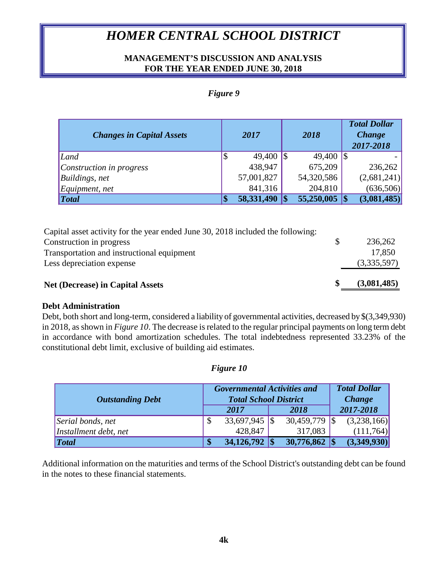#### **MANAGEMENT'S DISCUSSION AND ANALYSIS FOR THE YEAR ENDED JUNE 30, 2018**

## *Figure 9*

| <b>Changes in Capital Assets</b> | 2017             | 2018 | <b>Total Dollar</b><br><b>Change</b><br>2017-2018 |             |
|----------------------------------|------------------|------|---------------------------------------------------|-------------|
| Land                             | \$<br>49,400     |      | 49,400                                            |             |
| Construction in progress         | 438,947          |      | 675,209                                           | 236,262     |
| Buildings, net                   | 57,001,827       |      | 54,320,586                                        | (2,681,241) |
| Equipment, net                   | 841,316          |      | 204,810                                           | (636,506)   |
| $\vert Total$                    | \$<br>58,331,490 |      | 55,250,005                                        | (3,081,485) |

| <b>Net (Decrease) in Capital Assets</b>                                         | (3,081,485) |
|---------------------------------------------------------------------------------|-------------|
| Less depreciation expense                                                       | (3,335,597) |
| Transportation and instructional equipment                                      | 17,850      |
| Construction in progress                                                        | 236,262     |
| Capital asset activity for the year ended June 30, 2018 included the following: |             |

#### **Debt Administration**

Debt, both short and long-term, considered a liability of governmental activities, decreased by \$(3,349,930) in 2018, as shown in *Figure 10*. The decrease is related to the regular principal payments on long term debt in accordance with bond amortization schedules. The total indebtedness represented 33.23% of the constitutional debt limit, exclusive of building aid estimates.

| <b>Outstanding Debt</b> | <b>Governmental Activities and</b><br><b>Total School District</b> |                     |  |                     | <b>Total Dollar</b><br><b>Change</b> |
|-------------------------|--------------------------------------------------------------------|---------------------|--|---------------------|--------------------------------------|
|                         |                                                                    | 2017                |  | 2018                | 2017-2018                            |
| Serial bonds, net       | $\mathcal{S}$                                                      | $33,697,945$ \\ \\$ |  | $30,459,779$ \\ \\$ | (3,238,166)                          |
| Installment debt, net   |                                                                    | 428,847             |  | 317,083             | (111,764)                            |
| $\vert Total$           | $\boldsymbol{\$}$                                                  | $34,126,792$ \$     |  | $30,776,862$ \$     | (3,349,930)                          |

#### *Figure 10*

Additional information on the maturities and terms of the School District's outstanding debt can be found in the notes to these financial statements.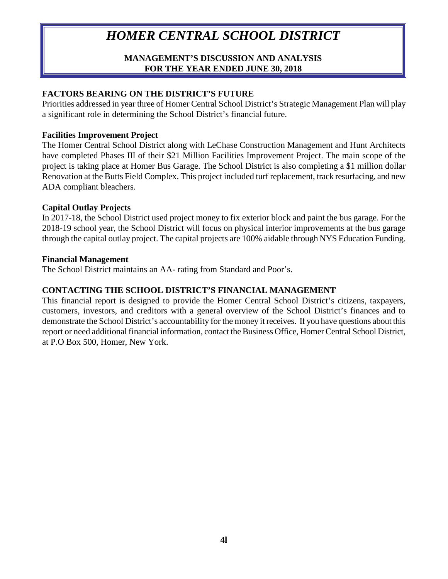### **MANAGEMENT'S DISCUSSION AND ANALYSIS FOR THE YEAR ENDED JUNE 30, 2018**

### **FACTORS BEARING ON THE DISTRICT'S FUTURE**

Priorities addressed in year three of Homer Central School District's Strategic Management Plan will play a significant role in determining the School District's financial future.

### **Facilities Improvement Project**

The Homer Central School District along with LeChase Construction Management and Hunt Architects have completed Phases III of their \$21 Million Facilities Improvement Project. The main scope of the project is taking place at Homer Bus Garage. The School District is also completing a \$1 million dollar Renovation at the Butts Field Complex. This project included turf replacement, track resurfacing, and new ADA compliant bleachers.

### **Capital Outlay Projects**

In 2017-18, the School District used project money to fix exterior block and paint the bus garage. For the 2018-19 school year, the School District will focus on physical interior improvements at the bus garage through the capital outlay project. The capital projects are 100% aidable through NYS Education Funding.

### **Financial Management**

The School District maintains an AA- rating from Standard and Poor's.

## **CONTACTING THE SCHOOL DISTRICT'S FINANCIAL MANAGEMENT**

This financial report is designed to provide the Homer Central School District's citizens, taxpayers, customers, investors, and creditors with a general overview of the School District's finances and to demonstrate the School District's accountability for the money it receives. If you have questions about this report or need additional financial information, contact the Business Office, Homer Central School District, at P.O Box 500, Homer, New York.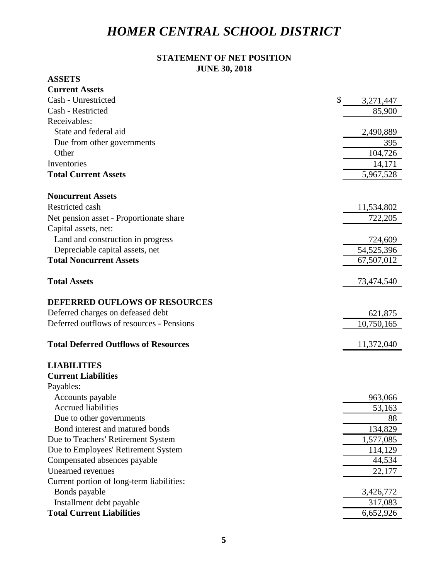## **STATEMENT OF NET POSITION JUNE 30, 2018**

## **ASSETS**

| <b>Current Assets</b>                       |                 |
|---------------------------------------------|-----------------|
| Cash - Unrestricted                         | \$<br>3,271,447 |
| Cash - Restricted                           | 85,900          |
| Receivables:                                |                 |
| State and federal aid                       | 2,490,889       |
| Due from other governments                  | 395             |
| Other                                       | 104,726         |
| Inventories                                 | 14,171          |
| <b>Total Current Assets</b>                 | 5,967,528       |
| <b>Noncurrent Assets</b>                    |                 |
| Restricted cash                             | 11,534,802      |
| Net pension asset - Proportionate share     | 722,205         |
| Capital assets, net:                        |                 |
| Land and construction in progress           | 724,609         |
| Depreciable capital assets, net             | 54, 525, 396    |
| <b>Total Noncurrent Assets</b>              | 67,507,012      |
|                                             |                 |
| <b>Total Assets</b>                         | 73,474,540      |
| <b>DEFERRED OUFLOWS OF RESOURCES</b>        |                 |
| Deferred charges on defeased debt           | 621,875         |
| Deferred outflows of resources - Pensions   | 10,750,165      |
| <b>Total Deferred Outflows of Resources</b> | 11,372,040      |
| <b>LIABILITIES</b>                          |                 |
| <b>Current Liabilities</b>                  |                 |
| Payables:                                   |                 |
| Accounts payable                            | 963,066         |
| <b>Accrued liabilities</b>                  | 53,163          |
| Due to other governments                    | 88              |
| Bond interest and matured bonds             | 134,829         |
| Due to Teachers' Retirement System          | 1,577,085       |
| Due to Employees' Retirement System         | 114,129         |
| Compensated absences payable                | 44,534          |
| <b>Unearned revenues</b>                    | 22,177          |
| Current portion of long-term liabilities:   |                 |
| Bonds payable                               | 3,426,772       |
| Installment debt payable                    | 317,083         |
| <b>Total Current Liabilities</b>            | 6,652,926       |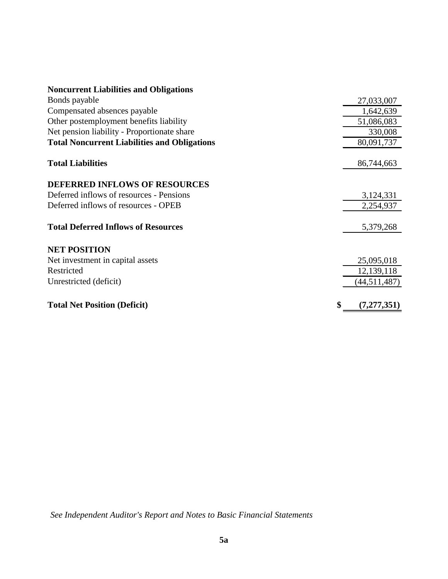| <b>Noncurrent Liabilities and Obligations</b>       |                |
|-----------------------------------------------------|----------------|
| Bonds payable                                       | 27,033,007     |
| Compensated absences payable                        | 1,642,639      |
| Other postemployment benefits liability             | 51,086,083     |
| Net pension liability - Proportionate share         | 330,008        |
| <b>Total Noncurrent Liabilities and Obligations</b> | 80,091,737     |
| <b>Total Liabilities</b>                            | 86,744,663     |
| <b>DEFERRED INFLOWS OF RESOURCES</b>                |                |
| Deferred inflows of resources - Pensions            | 3,124,331      |
| Deferred inflows of resources - OPEB                | 2,254,937      |
| <b>Total Deferred Inflows of Resources</b>          | 5,379,268      |
| <b>NET POSITION</b>                                 |                |
| Net investment in capital assets                    | 25,095,018     |
| Restricted                                          | 12,139,118     |
| Unrestricted (deficit)                              | (44, 511, 487) |
| <b>Total Net Position (Deficit)</b>                 | (7,277,351)    |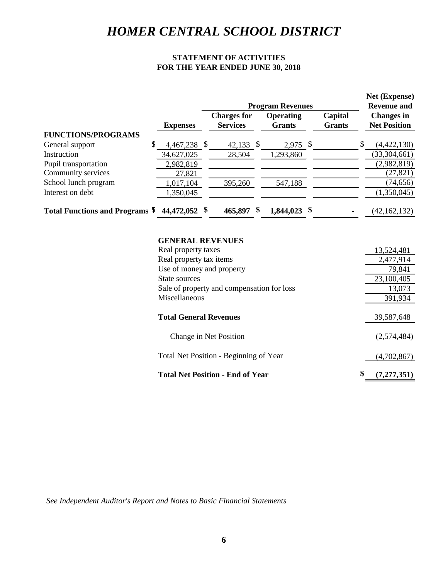#### **STATEMENT OF ACTIVITIES FOR THE YEAR ENDED JUNE 30, 2018**

|                                                                                                                                                                                        |                               | <b>Program Revenues</b> |                                         |  |                                   |             | Net (Expense)<br><b>Revenue and</b>                                  |                                          |
|----------------------------------------------------------------------------------------------------------------------------------------------------------------------------------------|-------------------------------|-------------------------|-----------------------------------------|--|-----------------------------------|-------------|----------------------------------------------------------------------|------------------------------------------|
|                                                                                                                                                                                        | <b>Expenses</b>               |                         | <b>Charges for</b><br><b>Services</b>   |  | <b>Operating</b><br><b>Grants</b> |             | Capital<br><b>Grants</b>                                             | <b>Changes</b> in<br><b>Net Position</b> |
| <b>FUNCTIONS/PROGRAMS</b>                                                                                                                                                              |                               |                         |                                         |  |                                   |             |                                                                      |                                          |
| \$<br>General support                                                                                                                                                                  | $4,467,238$ \$                |                         | 42,133 \$                               |  | 2,975 \$                          |             |                                                                      | \$<br>(4,422,130)                        |
| Instruction                                                                                                                                                                            | 34,627,025                    |                         | 28,504                                  |  | 1,293,860                         |             |                                                                      | (33,304,661)                             |
| Pupil transportation                                                                                                                                                                   | 2,982,819                     |                         |                                         |  |                                   |             |                                                                      | (2,982,819)                              |
| Community services                                                                                                                                                                     | 27,821                        |                         |                                         |  |                                   |             |                                                                      | (27, 821)                                |
| School lunch program                                                                                                                                                                   | 1,017,104                     |                         | 395,260                                 |  | 547,188                           |             |                                                                      | (74, 656)                                |
| Interest on debt                                                                                                                                                                       | 1,350,045                     |                         |                                         |  |                                   |             |                                                                      | (1,350,045)                              |
| Total Functions and Programs \$44,472,052 \$                                                                                                                                           |                               |                         | 465,897 \$                              |  | $1,844,023$ \$                    |             |                                                                      | (42, 162, 132)                           |
| <b>GENERAL REVENUES</b><br>Real property taxes<br>Real property tax items<br>Use of money and property<br>State sources<br>Sale of property and compensation for loss<br>Miscellaneous |                               |                         |                                         |  |                                   |             | 13,524,481<br>2,477,914<br>79,841<br>23,100,405<br>13,073<br>391,934 |                                          |
|                                                                                                                                                                                        | <b>Total General Revenues</b> |                         |                                         |  |                                   |             |                                                                      | 39,587,648                               |
|                                                                                                                                                                                        |                               |                         | Change in Net Position                  |  |                                   |             |                                                                      | (2,574,484)                              |
| Total Net Position - Beginning of Year                                                                                                                                                 |                               |                         |                                         |  |                                   | (4,702,867) |                                                                      |                                          |
|                                                                                                                                                                                        |                               |                         | <b>Total Net Position - End of Year</b> |  |                                   |             |                                                                      | \$<br>(7,277,351)                        |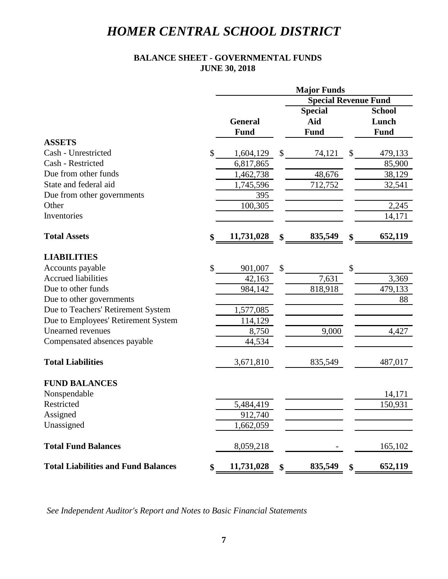## **BALANCE SHEET - GOVERNMENTAL FUNDS JUNE 30, 2018**

|                                            |                             |    | <b>Major Funds</b> |    |               |
|--------------------------------------------|-----------------------------|----|--------------------|----|---------------|
|                                            | <b>Special Revenue Fund</b> |    |                    |    |               |
|                                            |                             |    | <b>Special</b>     |    | <b>School</b> |
|                                            | <b>General</b>              |    | Aid                |    | Lunch         |
|                                            | <b>Fund</b>                 |    | <b>Fund</b>        |    | <b>Fund</b>   |
| <b>ASSETS</b>                              |                             |    |                    |    |               |
| Cash - Unrestricted                        | \$<br>1,604,129             | \$ | 74,121             | \$ | 479,133       |
| Cash - Restricted                          | 6,817,865                   |    |                    |    | 85,900        |
| Due from other funds                       | 1,462,738                   |    | 48,676             |    | 38,129        |
| State and federal aid                      | 1,745,596                   |    | 712,752            |    | 32,541        |
| Due from other governments                 | 395                         |    |                    |    |               |
| Other                                      | 100,305                     |    |                    |    | 2,245         |
| Inventories                                |                             |    |                    |    | 14,171        |
| <b>Total Assets</b>                        | \$<br>11,731,028            | \$ | 835,549            | \$ | 652,119       |
| <b>LIABILITIES</b>                         |                             |    |                    |    |               |
| Accounts payable                           | \$<br>901,007               | \$ |                    | \$ |               |
| <b>Accrued liabilities</b>                 | 42,163                      |    | 7,631              |    | 3,369         |
| Due to other funds                         | 984,142                     |    | 818,918            |    | 479,133       |
| Due to other governments                   |                             |    |                    |    | 88            |
| Due to Teachers' Retirement System         | 1,577,085                   |    |                    |    |               |
| Due to Employees' Retirement System        | 114,129                     |    |                    |    |               |
| <b>Unearned revenues</b>                   | 8,750                       |    | 9,000              |    | 4,427         |
| Compensated absences payable               | 44,534                      |    |                    |    |               |
| <b>Total Liabilities</b>                   | 3,671,810                   |    | 835,549            |    | 487,017       |
| <b>FUND BALANCES</b>                       |                             |    |                    |    |               |
| Nonspendable                               |                             |    |                    |    | 14,171        |
| Restricted                                 | 5,484,419                   |    |                    |    | 150,931       |
| Assigned                                   | 912,740                     |    |                    |    |               |
| Unassigned                                 | 1,662,059                   |    |                    |    |               |
| <b>Total Fund Balances</b>                 | 8,059,218                   |    |                    |    | 165,102       |
| <b>Total Liabilities and Fund Balances</b> | \$<br>11,731,028            | \$ | 835,549            | \$ | 652,119       |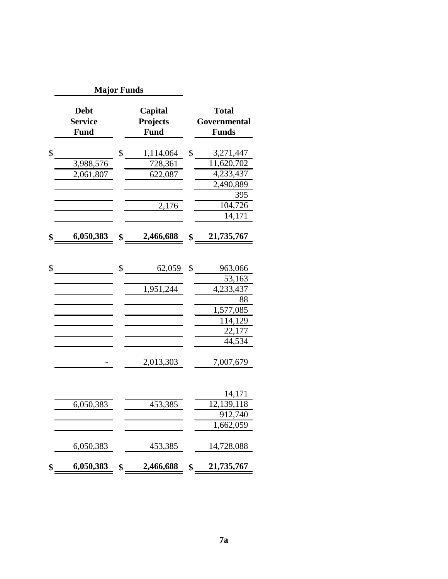| <b>Major Funds</b>                           |              |                                    |               |                                              |
|----------------------------------------------|--------------|------------------------------------|---------------|----------------------------------------------|
| <b>Debt</b><br><b>Service</b><br><b>Fund</b> |              | Capital<br>Projects<br><b>Fund</b> |               | <b>Total</b><br>Governmental<br><b>Funds</b> |
|                                              |              |                                    |               |                                              |
| \$                                           | $\mathbb{S}$ | 1,114,064<br>728,361               |               | $\mathbb{S}$<br>3,271,447<br>11,620,702      |
| 3,988,576                                    |              |                                    |               | 4,233,437                                    |
| 2,061,807                                    |              | 622,087                            |               | 2,490,889                                    |
|                                              |              |                                    |               | 395                                          |
|                                              |              |                                    |               | 104,726                                      |
|                                              |              | 2,176                              |               | 14,171                                       |
|                                              |              |                                    |               |                                              |
| \$<br>6,050,383                              | \$           | 2,466,688                          | \$            | 21,735,767                                   |
|                                              |              |                                    |               |                                              |
| \$                                           | \$           | 62,059                             | $\mathsf{\$}$ | 963,066                                      |
|                                              |              |                                    |               | 53,163                                       |
|                                              |              | 1,951,244                          |               | 4,233,437                                    |
|                                              |              |                                    |               | 88                                           |
|                                              |              |                                    |               | 1,577,085                                    |
|                                              |              |                                    |               | 114,129                                      |
|                                              |              |                                    |               | 22,177                                       |
|                                              |              |                                    |               | 44,534                                       |
|                                              |              | 2,013,303                          |               | 7,007,679                                    |
|                                              |              |                                    |               |                                              |
|                                              |              |                                    |               | 14,171                                       |
| 6,050,383                                    |              | 453,385                            |               | 12, 139, 118                                 |
|                                              |              |                                    |               | 912,740                                      |
|                                              |              |                                    |               | 1,662,059                                    |
| 6,050,383                                    |              | 453,385                            |               | 14,728,088                                   |
| \$<br>6,050,383                              | \$           | 2,466,688                          | \$            | 21,735,767                                   |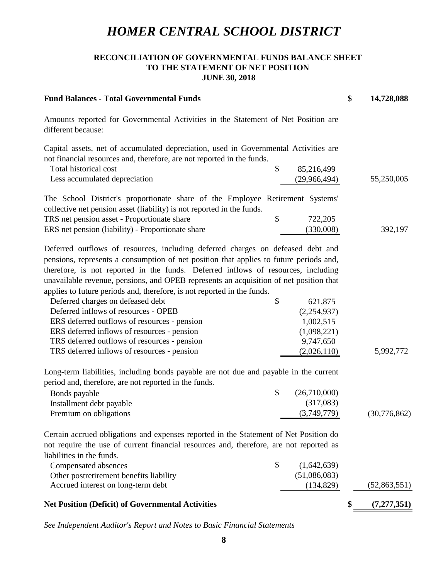#### **RECONCILIATION OF GOVERNMENTAL FUNDS BALANCE SHEET TO THE STATEMENT OF NET POSITION JUNE 30, 2018**

| <b>Fund Balances - Total Governmental Funds</b>                                                                                                                                                                                                                                                                                                                                                                                                                                                                                                                                                                                                                                                                |                                                                                      | \$<br>14,728,088  |
|----------------------------------------------------------------------------------------------------------------------------------------------------------------------------------------------------------------------------------------------------------------------------------------------------------------------------------------------------------------------------------------------------------------------------------------------------------------------------------------------------------------------------------------------------------------------------------------------------------------------------------------------------------------------------------------------------------------|--------------------------------------------------------------------------------------|-------------------|
| Amounts reported for Governmental Activities in the Statement of Net Position are<br>different because:                                                                                                                                                                                                                                                                                                                                                                                                                                                                                                                                                                                                        |                                                                                      |                   |
| Capital assets, net of accumulated depreciation, used in Governmental Activities are<br>not financial resources and, therefore, are not reported in the funds.                                                                                                                                                                                                                                                                                                                                                                                                                                                                                                                                                 |                                                                                      |                   |
| Total historical cost                                                                                                                                                                                                                                                                                                                                                                                                                                                                                                                                                                                                                                                                                          | \$<br>85,216,499                                                                     |                   |
| Less accumulated depreciation                                                                                                                                                                                                                                                                                                                                                                                                                                                                                                                                                                                                                                                                                  | (29,966,494)                                                                         | 55,250,005        |
| The School District's proportionate share of the Employee Retirement Systems'<br>collective net pension asset (liability) is not reported in the funds.                                                                                                                                                                                                                                                                                                                                                                                                                                                                                                                                                        |                                                                                      |                   |
| TRS net pension asset - Proportionate share                                                                                                                                                                                                                                                                                                                                                                                                                                                                                                                                                                                                                                                                    | \$<br>722,205                                                                        |                   |
| ERS net pension (liability) - Proportionate share                                                                                                                                                                                                                                                                                                                                                                                                                                                                                                                                                                                                                                                              | (330,008)                                                                            | 392,197           |
| Deferred outflows of resources, including deferred charges on defeased debt and<br>pensions, represents a consumption of net position that applies to future periods and,<br>therefore, is not reported in the funds. Deferred inflows of resources, including<br>unavailable revenue, pensions, and OPEB represents an acquisition of net position that<br>applies to future periods and, therefore, is not reported in the funds.<br>Deferred charges on defeased debt<br>Deferred inflows of resources - OPEB<br>ERS deferred outflows of resources - pension<br>ERS deferred inflows of resources - pension<br>TRS deferred outflows of resources - pension<br>TRS deferred inflows of resources - pension | \$<br>621,875<br>(2,254,937)<br>1,002,515<br>(1,098,221)<br>9,747,650<br>(2,026,110) | 5,992,772         |
| Long-term liabilities, including bonds payable are not due and payable in the current                                                                                                                                                                                                                                                                                                                                                                                                                                                                                                                                                                                                                          |                                                                                      |                   |
| period and, therefore, are not reported in the funds.                                                                                                                                                                                                                                                                                                                                                                                                                                                                                                                                                                                                                                                          |                                                                                      |                   |
| Bonds payable                                                                                                                                                                                                                                                                                                                                                                                                                                                                                                                                                                                                                                                                                                  | \$<br>(26,710,000)                                                                   |                   |
| Installment debt payable                                                                                                                                                                                                                                                                                                                                                                                                                                                                                                                                                                                                                                                                                       | (317,083)                                                                            |                   |
| Premium on obligations                                                                                                                                                                                                                                                                                                                                                                                                                                                                                                                                                                                                                                                                                         | (3,749,779)                                                                          | (30,776,862)      |
| Certain accrued obligations and expenses reported in the Statement of Net Position do                                                                                                                                                                                                                                                                                                                                                                                                                                                                                                                                                                                                                          |                                                                                      |                   |
| not require the use of current financial resources and, therefore, are not reported as                                                                                                                                                                                                                                                                                                                                                                                                                                                                                                                                                                                                                         |                                                                                      |                   |
| liabilities in the funds.                                                                                                                                                                                                                                                                                                                                                                                                                                                                                                                                                                                                                                                                                      |                                                                                      |                   |
| Compensated absences                                                                                                                                                                                                                                                                                                                                                                                                                                                                                                                                                                                                                                                                                           | \$<br>(1,642,639)                                                                    |                   |
| Other postretirement benefits liability                                                                                                                                                                                                                                                                                                                                                                                                                                                                                                                                                                                                                                                                        | (51,086,083)                                                                         |                   |
| Accrued interest on long-term debt                                                                                                                                                                                                                                                                                                                                                                                                                                                                                                                                                                                                                                                                             | (134, 829)                                                                           | (52,863,551)      |
| <b>Net Position (Deficit) of Governmental Activities</b>                                                                                                                                                                                                                                                                                                                                                                                                                                                                                                                                                                                                                                                       |                                                                                      | \$<br>(7,277,351) |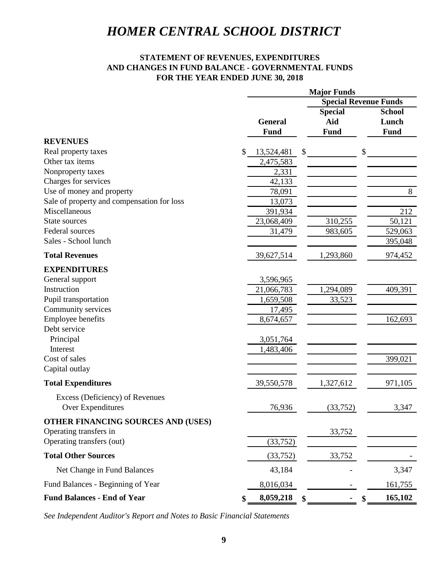### **STATEMENT OF REVENUES, EXPENDITURES AND CHANGES IN FUND BALANCE - GOVERNMENTAL FUNDS FOR THE YEAR ENDED JUNE 30, 2018**

|                                            |               | <b>Major Funds</b> |    |                              |    |               |
|--------------------------------------------|---------------|--------------------|----|------------------------------|----|---------------|
|                                            |               |                    |    | <b>Special Revenue Funds</b> |    |               |
|                                            |               |                    |    | <b>Special</b>               |    | <b>School</b> |
|                                            |               | <b>General</b>     |    | Aid                          |    | Lunch         |
|                                            |               | <b>Fund</b>        |    | <b>Fund</b>                  |    | Fund          |
| <b>REVENUES</b>                            |               |                    |    |                              |    |               |
| Real property taxes                        | $\mathcal{S}$ | 13,524,481         | \$ |                              | \$ |               |
| Other tax items                            |               | 2,475,583          |    |                              |    |               |
| Nonproperty taxes                          |               | 2,331              |    |                              |    |               |
| Charges for services                       |               | 42,133             |    |                              |    |               |
| Use of money and property                  |               | 78,091             |    |                              |    | 8             |
| Sale of property and compensation for loss |               | 13,073             |    |                              |    |               |
| Miscellaneous                              |               | 391,934            |    |                              |    | 212           |
| State sources                              |               | 23,068,409         |    | 310,255                      |    | 50,121        |
| Federal sources                            |               | 31,479             |    | 983,605                      |    | 529,063       |
| Sales - School lunch                       |               |                    |    |                              |    | 395,048       |
| <b>Total Revenues</b>                      |               | 39,627,514         |    | 1,293,860                    |    | 974,452       |
| <b>EXPENDITURES</b>                        |               |                    |    |                              |    |               |
| General support                            |               | 3,596,965          |    |                              |    |               |
| Instruction                                |               | 21,066,783         |    | 1,294,089                    |    | 409,391       |
| Pupil transportation                       |               | 1,659,508          |    | 33,523                       |    |               |
| Community services                         |               | 17,495             |    |                              |    |               |
| <b>Employee benefits</b>                   |               | 8,674,657          |    |                              |    | 162,693       |
| Debt service                               |               |                    |    |                              |    |               |
| Principal                                  |               | 3,051,764          |    |                              |    |               |
| Interest                                   |               | 1,483,406          |    |                              |    |               |
| Cost of sales                              |               |                    |    |                              |    | 399,021       |
| Capital outlay                             |               |                    |    |                              |    |               |
| <b>Total Expenditures</b>                  |               | 39,550,578         |    | 1,327,612                    |    | 971,105       |
| Excess (Deficiency) of Revenues            |               |                    |    |                              |    |               |
| Over Expenditures                          |               | 76,936             |    | (33,752)                     |    | 3,347         |
| <b>OTHER FINANCING SOURCES AND (USES)</b>  |               |                    |    |                              |    |               |
| Operating transfers in                     |               |                    |    | 33,752                       |    |               |
| Operating transfers (out)                  |               | (33, 752)          |    |                              |    |               |
| <b>Total Other Sources</b>                 |               | (33,752)           |    | 33,752                       |    |               |
| Net Change in Fund Balances                |               | 43,184             |    |                              |    | 3,347         |
| Fund Balances - Beginning of Year          |               | 8,016,034          |    |                              |    | 161,755       |
| <b>Fund Balances - End of Year</b>         | \$            | 8,059,218          | \$ |                              |    | 165,102       |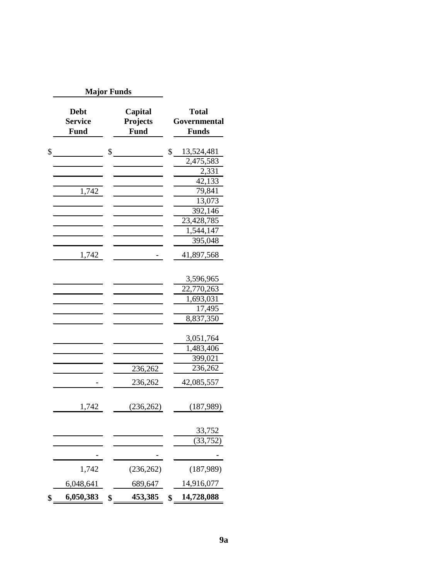| <b>Major Funds</b>                           |                                    |                                              |
|----------------------------------------------|------------------------------------|----------------------------------------------|
| <b>Debt</b><br><b>Service</b><br><b>Fund</b> | Capital<br>Projects<br><b>Fund</b> | <b>Total</b><br>Governmental<br><b>Funds</b> |
| \$                                           | \$                                 | \$13,524,481                                 |
|                                              |                                    | 2,475,583                                    |
|                                              |                                    | 2,331                                        |
|                                              |                                    | 42,133                                       |
| 1,742                                        |                                    | 79,841                                       |
|                                              |                                    | 13,073                                       |
|                                              |                                    | 392,146                                      |
|                                              |                                    | 23,428,785                                   |
|                                              |                                    | 1,544,147                                    |
|                                              |                                    | 395,048                                      |
| 1,742                                        |                                    | 41,897,568                                   |
|                                              |                                    | 3,596,965                                    |
|                                              |                                    | 22,770,263                                   |
|                                              |                                    | 1,693,031                                    |
|                                              |                                    | 17,495                                       |
|                                              |                                    | 8,837,350                                    |
|                                              |                                    | 3,051,764                                    |
|                                              |                                    | 1,483,406                                    |
|                                              |                                    | 399,021                                      |
|                                              | 236,262                            | 236,262                                      |
|                                              | 236,262                            | 42,085,557                                   |
| 1,742                                        | (236, 262)                         | (187,989)                                    |
|                                              |                                    | 33,752                                       |
|                                              |                                    | (33, 752)                                    |
|                                              |                                    |                                              |
| 1,742                                        | (236, 262)                         | (187,989)                                    |
| 6,048,641                                    | 689,647                            | 14,916,077                                   |
| \$<br>6,050,383                              | \$<br>453,385                      | \$<br>14,728,088                             |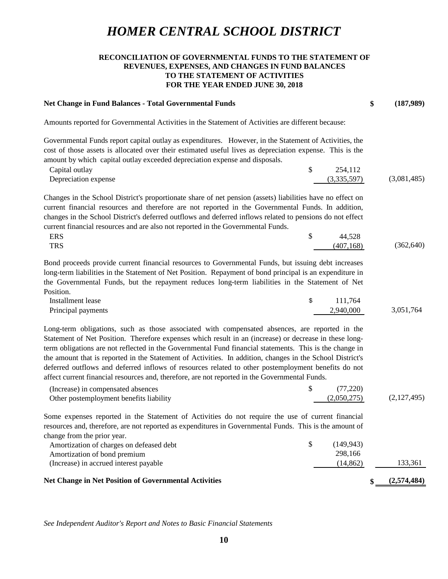#### **RECONCILIATION OF GOVERNMENTAL FUNDS TO THE STATEMENT OF REVENUES, EXPENSES, AND CHANGES IN FUND BALANCES TO THE STATEMENT OF ACTIVITIES FOR THE YEAR ENDED JUNE 30, 2018**

| Amounts reported for Governmental Activities in the Statement of Activities are different because:<br>Governmental Funds report capital outlay as expenditures. However, in the Statement of Activities, the<br>cost of those assets is allocated over their estimated useful lives as depreciation expense. This is the<br>amount by which capital outlay exceeded depreciation expense and disposals.<br>\$<br>254,112<br>Capital outlay<br>Depreciation expense<br>(3,335,597)<br>Changes in the School District's proportionate share of net pension (assets) liabilities have no effect on<br>current financial resources and therefore are not reported in the Governmental Funds. In addition,<br>changes in the School District's deferred outflows and deferred inflows related to pensions do not effect<br>current financial resources and are also not reported in the Governmental Funds.<br>\$<br><b>ERS</b><br>44,528<br>(362, 640)<br><b>TRS</b><br>(407, 168)<br>Bond proceeds provide current financial resources to Governmental Funds, but issuing debt increases<br>long-term liabilities in the Statement of Net Position. Repayment of bond principal is an expenditure in<br>the Governmental Funds, but the repayment reduces long-term liabilities in the Statement of Net<br>Position.<br><b>Installment</b> lease<br>\$<br>111,764<br>3,051,764<br>2,940,000<br>Principal payments<br>Long-term obligations, such as those associated with compensated absences, are reported in the<br>Statement of Net Position. Therefore expenses which result in an (increase) or decrease in these long-<br>term obligations are not reflected in the Governmental Fund financial statements. This is the change in<br>the amount that is reported in the Statement of Activities. In addition, changes in the School District's<br>deferred outflows and deferred inflows of resources related to other postemployment benefits do not<br>affect current financial resources and, therefore, are not reported in the Governmental Funds.<br>\$<br>(77,220)<br>(Increase) in compensated absences<br>(2,050,275)<br>Other postemployment benefits liability<br>Some expenses reported in the Statement of Activities do not require the use of current financial<br>resources and, therefore, are not reported as expenditures in Governmental Funds. This is the amount of<br>change from the prior year.<br>\$<br>Amortization of charges on defeased debt<br>(149, 943)<br>298,166<br>Amortization of bond premium<br>(Increase) in accrued interest payable<br>(14, 862)<br>133,361<br><b>Net Change in Net Position of Governmental Activities</b><br>\$ | <b>Net Change in Fund Balances - Total Governmental Funds</b> | \$ | (187,989)   |
|---------------------------------------------------------------------------------------------------------------------------------------------------------------------------------------------------------------------------------------------------------------------------------------------------------------------------------------------------------------------------------------------------------------------------------------------------------------------------------------------------------------------------------------------------------------------------------------------------------------------------------------------------------------------------------------------------------------------------------------------------------------------------------------------------------------------------------------------------------------------------------------------------------------------------------------------------------------------------------------------------------------------------------------------------------------------------------------------------------------------------------------------------------------------------------------------------------------------------------------------------------------------------------------------------------------------------------------------------------------------------------------------------------------------------------------------------------------------------------------------------------------------------------------------------------------------------------------------------------------------------------------------------------------------------------------------------------------------------------------------------------------------------------------------------------------------------------------------------------------------------------------------------------------------------------------------------------------------------------------------------------------------------------------------------------------------------------------------------------------------------------------------------------------------------------------------------------------------------------------------------------------------------------------------------------------------------------------------------------------------------------------------------------------------------------------------------------------------------------------------------------------------------------------------------------------------------------------------------------------------------------------------------------------------------------|---------------------------------------------------------------|----|-------------|
|                                                                                                                                                                                                                                                                                                                                                                                                                                                                                                                                                                                                                                                                                                                                                                                                                                                                                                                                                                                                                                                                                                                                                                                                                                                                                                                                                                                                                                                                                                                                                                                                                                                                                                                                                                                                                                                                                                                                                                                                                                                                                                                                                                                                                                                                                                                                                                                                                                                                                                                                                                                                                                                                                 |                                                               |    |             |
|                                                                                                                                                                                                                                                                                                                                                                                                                                                                                                                                                                                                                                                                                                                                                                                                                                                                                                                                                                                                                                                                                                                                                                                                                                                                                                                                                                                                                                                                                                                                                                                                                                                                                                                                                                                                                                                                                                                                                                                                                                                                                                                                                                                                                                                                                                                                                                                                                                                                                                                                                                                                                                                                                 |                                                               |    |             |
|                                                                                                                                                                                                                                                                                                                                                                                                                                                                                                                                                                                                                                                                                                                                                                                                                                                                                                                                                                                                                                                                                                                                                                                                                                                                                                                                                                                                                                                                                                                                                                                                                                                                                                                                                                                                                                                                                                                                                                                                                                                                                                                                                                                                                                                                                                                                                                                                                                                                                                                                                                                                                                                                                 |                                                               |    | (3,081,485) |
|                                                                                                                                                                                                                                                                                                                                                                                                                                                                                                                                                                                                                                                                                                                                                                                                                                                                                                                                                                                                                                                                                                                                                                                                                                                                                                                                                                                                                                                                                                                                                                                                                                                                                                                                                                                                                                                                                                                                                                                                                                                                                                                                                                                                                                                                                                                                                                                                                                                                                                                                                                                                                                                                                 |                                                               |    |             |
|                                                                                                                                                                                                                                                                                                                                                                                                                                                                                                                                                                                                                                                                                                                                                                                                                                                                                                                                                                                                                                                                                                                                                                                                                                                                                                                                                                                                                                                                                                                                                                                                                                                                                                                                                                                                                                                                                                                                                                                                                                                                                                                                                                                                                                                                                                                                                                                                                                                                                                                                                                                                                                                                                 |                                                               |    |             |
|                                                                                                                                                                                                                                                                                                                                                                                                                                                                                                                                                                                                                                                                                                                                                                                                                                                                                                                                                                                                                                                                                                                                                                                                                                                                                                                                                                                                                                                                                                                                                                                                                                                                                                                                                                                                                                                                                                                                                                                                                                                                                                                                                                                                                                                                                                                                                                                                                                                                                                                                                                                                                                                                                 |                                                               |    |             |
|                                                                                                                                                                                                                                                                                                                                                                                                                                                                                                                                                                                                                                                                                                                                                                                                                                                                                                                                                                                                                                                                                                                                                                                                                                                                                                                                                                                                                                                                                                                                                                                                                                                                                                                                                                                                                                                                                                                                                                                                                                                                                                                                                                                                                                                                                                                                                                                                                                                                                                                                                                                                                                                                                 |                                                               |    |             |
|                                                                                                                                                                                                                                                                                                                                                                                                                                                                                                                                                                                                                                                                                                                                                                                                                                                                                                                                                                                                                                                                                                                                                                                                                                                                                                                                                                                                                                                                                                                                                                                                                                                                                                                                                                                                                                                                                                                                                                                                                                                                                                                                                                                                                                                                                                                                                                                                                                                                                                                                                                                                                                                                                 |                                                               |    | (2,127,495) |
|                                                                                                                                                                                                                                                                                                                                                                                                                                                                                                                                                                                                                                                                                                                                                                                                                                                                                                                                                                                                                                                                                                                                                                                                                                                                                                                                                                                                                                                                                                                                                                                                                                                                                                                                                                                                                                                                                                                                                                                                                                                                                                                                                                                                                                                                                                                                                                                                                                                                                                                                                                                                                                                                                 |                                                               |    |             |
|                                                                                                                                                                                                                                                                                                                                                                                                                                                                                                                                                                                                                                                                                                                                                                                                                                                                                                                                                                                                                                                                                                                                                                                                                                                                                                                                                                                                                                                                                                                                                                                                                                                                                                                                                                                                                                                                                                                                                                                                                                                                                                                                                                                                                                                                                                                                                                                                                                                                                                                                                                                                                                                                                 |                                                               |    | (2,574,484) |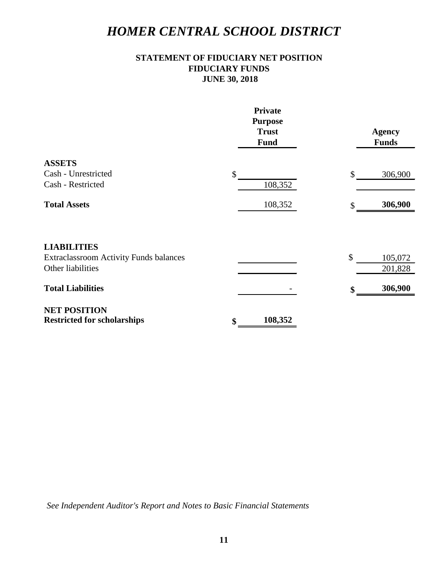## **STATEMENT OF FIDUCIARY NET POSITION FIDUCIARY FUNDS JUNE 30, 2018**

|                                               | <b>Private</b><br><b>Purpose</b><br><b>Trust</b><br><b>Fund</b> | <b>Agency</b><br><b>Funds</b> |
|-----------------------------------------------|-----------------------------------------------------------------|-------------------------------|
| <b>ASSETS</b>                                 |                                                                 |                               |
| Cash - Unrestricted                           | \$                                                              | \$<br>306,900                 |
| Cash - Restricted                             | 108,352                                                         |                               |
| <b>Total Assets</b>                           | 108,352                                                         | \$<br>306,900                 |
| <b>LIABILITIES</b>                            |                                                                 |                               |
| <b>Extraclassroom Activity Funds balances</b> |                                                                 | \$<br>105,072                 |
| Other liabilities                             |                                                                 | 201,828                       |
|                                               |                                                                 |                               |
| <b>Total Liabilities</b>                      |                                                                 | \$<br>306,900                 |
| <b>NET POSITION</b>                           |                                                                 |                               |
| <b>Restricted for scholarships</b>            | 108,352<br>\$                                                   |                               |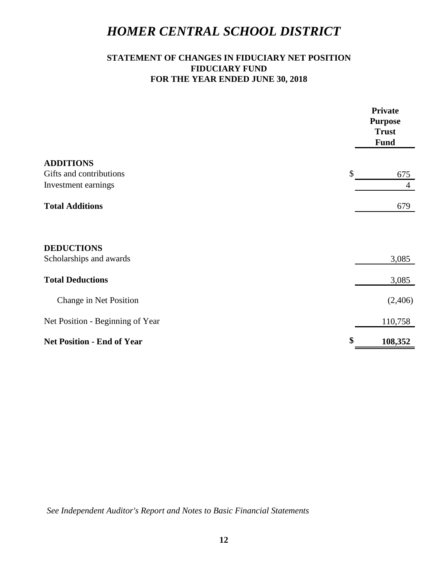## **STATEMENT OF CHANGES IN FIDUCIARY NET POSITION FIDUCIARY FUND FOR THE YEAR ENDED JUNE 30, 2018**

|                                   | <b>Private</b><br><b>Purpose</b><br><b>Trust</b><br><b>Fund</b> |
|-----------------------------------|-----------------------------------------------------------------|
| <b>ADDITIONS</b>                  |                                                                 |
| Gifts and contributions           | \$<br>675                                                       |
| Investment earnings               | $\overline{4}$                                                  |
| <b>Total Additions</b>            | 679                                                             |
| <b>DEDUCTIONS</b>                 |                                                                 |
| Scholarships and awards           | 3,085                                                           |
| <b>Total Deductions</b>           | 3,085                                                           |
| Change in Net Position            | (2,406)                                                         |
| Net Position - Beginning of Year  | 110,758                                                         |
| <b>Net Position - End of Year</b> | \$<br>108,352                                                   |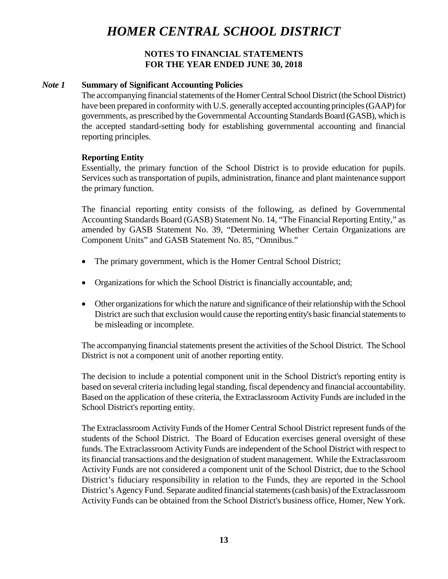#### **NOTES TO FINANCIAL STATEMENTS FOR THE YEAR ENDED JUNE 30, 2018**

#### *Note 1* **Summary of Significant Accounting Policies**

The accompanying financial statements of the Homer Central School District (the School District) have been prepared in conformity with U.S. generally accepted accounting principles (GAAP) for governments, as prescribed by the Governmental Accounting Standards Board (GASB), which is the accepted standard-setting body for establishing governmental accounting and financial reporting principles.

#### **Reporting Entity**

Essentially, the primary function of the School District is to provide education for pupils. Services such as transportation of pupils, administration, finance and plant maintenance support the primary function.

The financial reporting entity consists of the following, as defined by Governmental Accounting Standards Board (GASB) Statement No. 14, "The Financial Reporting Entity," as amended by GASB Statement No. 39, "Determining Whether Certain Organizations are Component Units" and GASB Statement No. 85, "Omnibus."

- The primary government, which is the Homer Central School District;
- Organizations for which the School District is financially accountable, and;
- Other organizations for which the nature and significance of their relationship with the School District are such that exclusion would cause the reporting entity's basic financial statements to be misleading or incomplete.

The accompanying financial statements present the activities of the School District. The School District is not a component unit of another reporting entity.

The decision to include a potential component unit in the School District's reporting entity is based on several criteria including legal standing, fiscal dependency and financial accountability. Based on the application of these criteria, the Extraclassroom Activity Funds are included in the School District's reporting entity.

The Extraclassroom Activity Funds of the Homer Central School District represent funds of the students of the School District. The Board of Education exercises general oversight of these funds. The Extraclassroom Activity Funds are independent of the School District with respect to its financial transactions and the designation of student management. While the Extraclassroom Activity Funds are not considered a component unit of the School District, due to the School District's fiduciary responsibility in relation to the Funds, they are reported in the School District's Agency Fund. Separate audited financial statements (cash basis) of the Extraclassroom Activity Funds can be obtained from the School District's business office, Homer, New York.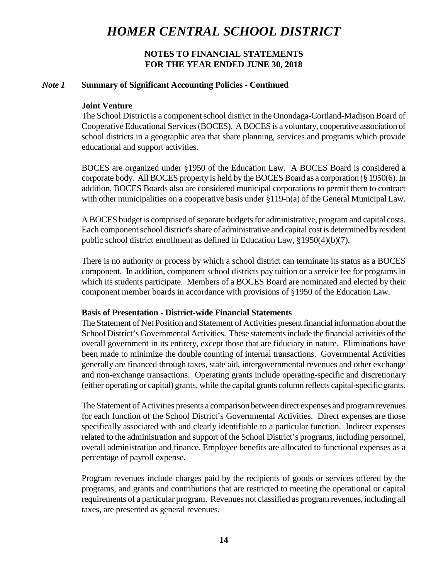#### **NOTES TO FINANCIAL STATEMENTS FOR THE YEAR ENDED JUNE 30, 2018**

#### *Note 1* **Summary of Significant Accounting Policies - Continued**

#### **Joint Venture**

The School District is a component school district in the Onondaga-Cortland-Madison Board of Cooperative Educational Services (BOCES). A BOCES is a voluntary, cooperative association of school districts in a geographic area that share planning, services and programs which provide educational and support activities.

BOCES are organized under §1950 of the Education Law. A BOCES Board is considered a corporate body. All BOCES property is held by the BOCES Board as a corporation (§ 1950(6). In addition, BOCES Boards also are considered municipal corporations to permit them to contract with other municipalities on a cooperative basis under  $\S119-n(a)$  of the General Municipal Law.

A BOCES budget is comprised of separate budgets for administrative, program and capital costs. Each component school district's share of administrative and capital cost is determined by resident public school district enrollment as defined in Education Law, §1950(4)(b)(7).

There is no authority or process by which a school district can terminate its status as a BOCES component. In addition, component school districts pay tuition or a service fee for programs in which its students participate. Members of a BOCES Board are nominated and elected by their component member boards in accordance with provisions of §1950 of the Education Law.

#### **Basis of Presentation - District-wide Financial Statements**

The Statement of Net Position and Statement of Activities present financial information about the School District's Governmental Activities. These statements include the financial activities of the overall government in its entirety, except those that are fiduciary in nature. Eliminations have been made to minimize the double counting of internal transactions. Governmental Activities generally are financed through taxes, state aid, intergovernmental revenues and other exchange and non-exchange transactions. Operating grants include operating-specific and discretionary (either operating or capital) grants, while the capital grants column reflects capital-specific grants.

The Statement of Activities presents a comparison between direct expenses and program revenues for each function of the School District's Governmental Activities. Direct expenses are those specifically associated with and clearly identifiable to a particular function. Indirect expenses related to the administration and support of the School District's programs, including personnel, overall administration and finance. Employee benefits are allocated to functional expenses as a percentage of payroll expense.

Program revenues include charges paid by the recipients of goods or services offered by the programs, and grants and contributions that are restricted to meeting the operational or capital requirements of a particular program. Revenues not classified as program revenues, including all taxes, are presented as general revenues.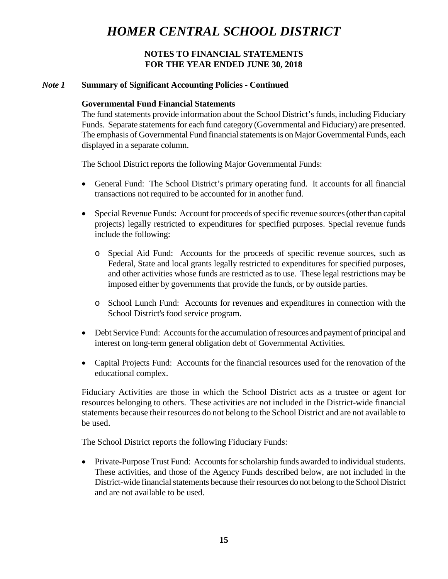#### **NOTES TO FINANCIAL STATEMENTS FOR THE YEAR ENDED JUNE 30, 2018**

#### *Note 1* **Summary of Significant Accounting Policies - Continued**

#### **Governmental Fund Financial Statements**

The fund statements provide information about the School District's funds, including Fiduciary Funds. Separate statements for each fund category (Governmental and Fiduciary) are presented. The emphasis of Governmental Fund financial statements is on Major Governmental Funds, each displayed in a separate column.

The School District reports the following Major Governmental Funds:

- General Fund: The School District's primary operating fund. It accounts for all financial transactions not required to be accounted for in another fund.
- Special Revenue Funds: Account for proceeds of specific revenue sources (other than capital projects) legally restricted to expenditures for specified purposes. Special revenue funds include the following:
	- o Special Aid Fund: Accounts for the proceeds of specific revenue sources, such as Federal, State and local grants legally restricted to expenditures for specified purposes, and other activities whose funds are restricted as to use. These legal restrictions may be imposed either by governments that provide the funds, or by outside parties.
	- o School Lunch Fund: Accounts for revenues and expenditures in connection with the School District's food service program.
- Debt Service Fund: Accounts for the accumulation of resources and payment of principal and interest on long-term general obligation debt of Governmental Activities.
- Capital Projects Fund: Accounts for the financial resources used for the renovation of the educational complex.

Fiduciary Activities are those in which the School District acts as a trustee or agent for resources belonging to others. These activities are not included in the District-wide financial statements because their resources do not belong to the School District and are not available to be used.

The School District reports the following Fiduciary Funds:

• Private-Purpose Trust Fund: Accounts for scholarship funds awarded to individual students. These activities, and those of the Agency Funds described below, are not included in the District-wide financial statements because their resources do not belong to the School District and are not available to be used.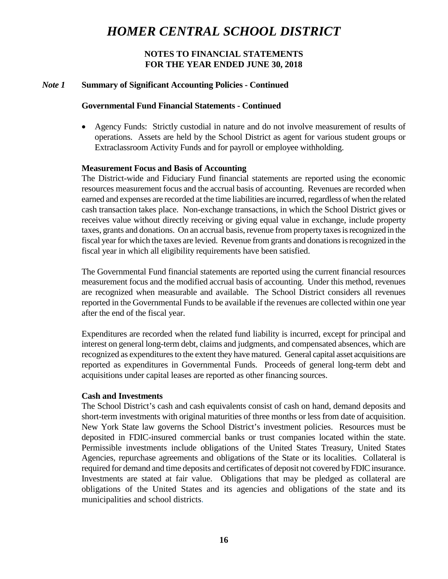#### **NOTES TO FINANCIAL STATEMENTS FOR THE YEAR ENDED JUNE 30, 2018**

#### *Note 1* **Summary of Significant Accounting Policies - Continued**

#### **Governmental Fund Financial Statements - Continued**

• Agency Funds: Strictly custodial in nature and do not involve measurement of results of operations. Assets are held by the School District as agent for various student groups or Extraclassroom Activity Funds and for payroll or employee withholding.

#### **Measurement Focus and Basis of Accounting**

The District-wide and Fiduciary Fund financial statements are reported using the economic resources measurement focus and the accrual basis of accounting. Revenues are recorded when earned and expenses are recorded at the time liabilities are incurred, regardless of when the related cash transaction takes place. Non-exchange transactions, in which the School District gives or receives value without directly receiving or giving equal value in exchange, include property taxes, grants and donations. On an accrual basis, revenue from property taxes is recognized in the fiscal year for which the taxes are levied. Revenue from grants and donations is recognized in the fiscal year in which all eligibility requirements have been satisfied.

The Governmental Fund financial statements are reported using the current financial resources measurement focus and the modified accrual basis of accounting. Under this method, revenues are recognized when measurable and available. The School District considers all revenues reported in the Governmental Funds to be available if the revenues are collected within one year after the end of the fiscal year.

Expenditures are recorded when the related fund liability is incurred, except for principal and interest on general long-term debt, claims and judgments, and compensated absences, which are recognized as expenditures to the extent they have matured. General capital asset acquisitions are reported as expenditures in Governmental Funds. Proceeds of general long-term debt and acquisitions under capital leases are reported as other financing sources.

#### **Cash and Investments**

The School District's cash and cash equivalents consist of cash on hand, demand deposits and short-term investments with original maturities of three months or less from date of acquisition. New York State law governs the School District's investment policies. Resources must be deposited in FDIC-insured commercial banks or trust companies located within the state. Permissible investments include obligations of the United States Treasury, United States Agencies, repurchase agreements and obligations of the State or its localities. Collateral is required for demand and time deposits and certificates of deposit not covered by FDIC insurance. Investments are stated at fair value. Obligations that may be pledged as collateral are obligations of the United States and its agencies and obligations of the state and its municipalities and school districts.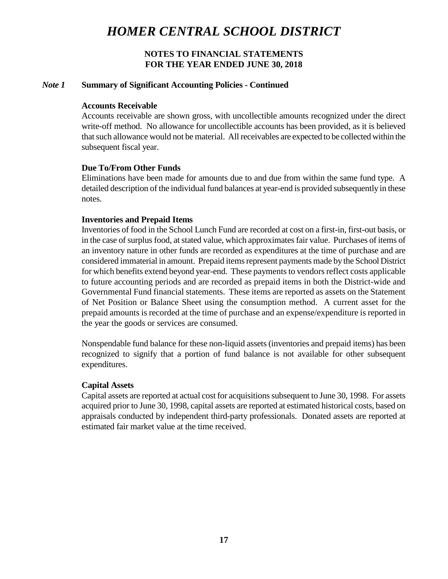#### **NOTES TO FINANCIAL STATEMENTS FOR THE YEAR ENDED JUNE 30, 2018**

#### *Note 1* **Summary of Significant Accounting Policies - Continued**

#### **Accounts Receivable**

Accounts receivable are shown gross, with uncollectible amounts recognized under the direct write-off method. No allowance for uncollectible accounts has been provided, as it is believed that such allowance would not be material. All receivables are expected to be collected within the subsequent fiscal year.

#### **Due To/From Other Funds**

Eliminations have been made for amounts due to and due from within the same fund type. A detailed description of the individual fund balances at year-end is provided subsequently in these notes.

#### **Inventories and Prepaid Items**

Inventories of food in the School Lunch Fund are recorded at cost on a first-in, first-out basis, or in the case of surplus food, at stated value, which approximates fair value. Purchases of items of an inventory nature in other funds are recorded as expenditures at the time of purchase and are considered immaterial in amount. Prepaid items represent payments made by the School District for which benefits extend beyond year-end. These payments to vendors reflect costs applicable to future accounting periods and are recorded as prepaid items in both the District-wide and Governmental Fund financial statements. These items are reported as assets on the Statement of Net Position or Balance Sheet using the consumption method. A current asset for the prepaid amounts is recorded at the time of purchase and an expense/expenditure is reported in the year the goods or services are consumed.

Nonspendable fund balance for these non-liquid assets (inventories and prepaid items) has been recognized to signify that a portion of fund balance is not available for other subsequent expenditures.

#### **Capital Assets**

Capital assets are reported at actual cost for acquisitions subsequent to June 30, 1998. For assets acquired prior to June 30, 1998, capital assets are reported at estimated historical costs, based on appraisals conducted by independent third-party professionals. Donated assets are reported at estimated fair market value at the time received.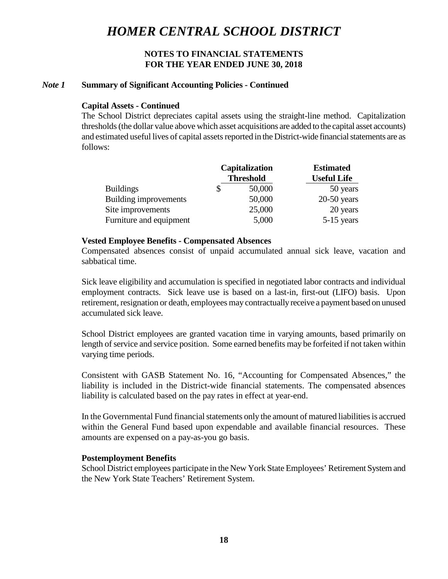### **NOTES TO FINANCIAL STATEMENTS FOR THE YEAR ENDED JUNE 30, 2018**

#### *Note 1* **Summary of Significant Accounting Policies - Continued**

#### **Capital Assets - Continued**

The School District depreciates capital assets using the straight-line method. Capitalization thresholds (the dollar value above which asset acquisitions are added to the capital asset accounts) and estimated useful lives of capital assets reported in the District-wide financial statements are as follows:

|                         | <b>Capitalization</b> | <b>Estimated</b>   |
|-------------------------|-----------------------|--------------------|
|                         | <b>Threshold</b>      | <b>Useful Life</b> |
| <b>Buildings</b>        | 50,000                | 50 years           |
| Building improvements   | 50,000                | $20-50$ years      |
| Site improvements       | 25,000                | 20 years           |
| Furniture and equipment | 5,000                 | 5-15 years         |

#### **Vested Employee Benefits - Compensated Absences**

Compensated absences consist of unpaid accumulated annual sick leave, vacation and sabbatical time.

Sick leave eligibility and accumulation is specified in negotiated labor contracts and individual employment contracts. Sick leave use is based on a last-in, first-out (LIFO) basis. Upon retirement, resignation or death, employees may contractually receive a payment based on unused accumulated sick leave.

School District employees are granted vacation time in varying amounts, based primarily on length of service and service position. Some earned benefits may be forfeited if not taken within varying time periods.

Consistent with GASB Statement No. 16, "Accounting for Compensated Absences," the liability is included in the District-wide financial statements. The compensated absences liability is calculated based on the pay rates in effect at year-end.

In the Governmental Fund financial statements only the amount of matured liabilities is accrued within the General Fund based upon expendable and available financial resources. These amounts are expensed on a pay-as-you go basis.

#### **Postemployment Benefits**

School District employees participate in the New York State Employees' Retirement System and the New York State Teachers' Retirement System.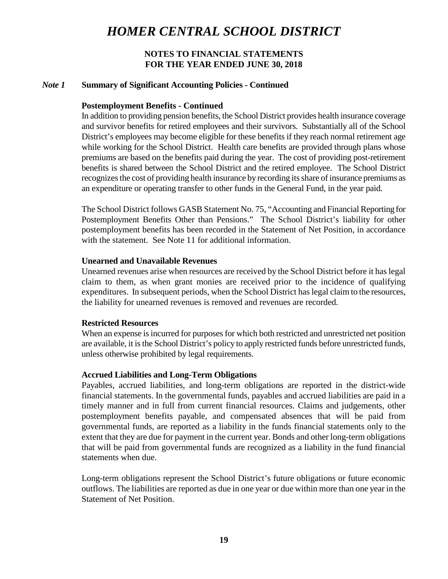## **NOTES TO FINANCIAL STATEMENTS FOR THE YEAR ENDED JUNE 30, 2018**

## *Note 1* **Summary of Significant Accounting Policies - Continued**

## **Postemployment Benefits - Continued**

In addition to providing pension benefits, the School District provides health insurance coverage and survivor benefits for retired employees and their survivors. Substantially all of the School District's employees may become eligible for these benefits if they reach normal retirement age while working for the School District. Health care benefits are provided through plans whose premiums are based on the benefits paid during the year. The cost of providing post-retirement benefits is shared between the School District and the retired employee. The School District recognizes the cost of providing health insurance by recording its share of insurance premiums as an expenditure or operating transfer to other funds in the General Fund, in the year paid.

The School District follows GASB Statement No. 75, "Accounting and Financial Reporting for Postemployment Benefits Other than Pensions." The School District's liability for other postemployment benefits has been recorded in the Statement of Net Position, in accordance with the statement. See Note 11 for additional information.

## **Unearned and Unavailable Revenues**

Unearned revenues arise when resources are received by the School District before it has legal claim to them, as when grant monies are received prior to the incidence of qualifying expenditures. In subsequent periods, when the School District has legal claim to the resources, the liability for unearned revenues is removed and revenues are recorded.

## **Restricted Resources**

When an expense is incurred for purposes for which both restricted and unrestricted net position are available, it is the School District's policy to apply restricted funds before unrestricted funds, unless otherwise prohibited by legal requirements.

## **Accrued Liabilities and Long-Term Obligations**

Payables, accrued liabilities, and long-term obligations are reported in the district-wide financial statements. In the governmental funds, payables and accrued liabilities are paid in a timely manner and in full from current financial resources. Claims and judgements, other postemployment benefits payable, and compensated absences that will be paid from governmental funds, are reported as a liability in the funds financial statements only to the extent that they are due for payment in the current year. Bonds and other long-term obligations that will be paid from governmental funds are recognized as a liability in the fund financial statements when due.

Long-term obligations represent the School District's future obligations or future economic outflows. The liabilities are reported as due in one year or due within more than one year in the Statement of Net Position.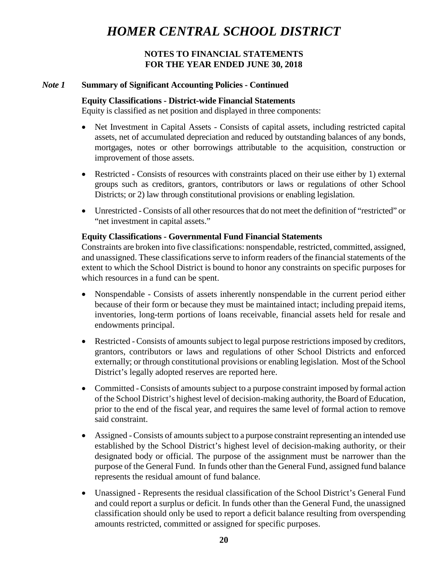## **NOTES TO FINANCIAL STATEMENTS FOR THE YEAR ENDED JUNE 30, 2018**

## *Note 1* **Summary of Significant Accounting Policies - Continued**

#### **Equity Classifications - District-wide Financial Statements**

Equity is classified as net position and displayed in three components:

- Net Investment in Capital Assets Consists of capital assets, including restricted capital assets, net of accumulated depreciation and reduced by outstanding balances of any bonds, mortgages, notes or other borrowings attributable to the acquisition, construction or improvement of those assets.
- Restricted Consists of resources with constraints placed on their use either by 1) external groups such as creditors, grantors, contributors or laws or regulations of other School Districts; or 2) law through constitutional provisions or enabling legislation.
- Unrestricted Consists of all other resources that do not meet the definition of "restricted" or "net investment in capital assets."

#### **Equity Classifications - Governmental Fund Financial Statements**

Constraints are broken into five classifications: nonspendable, restricted, committed, assigned, and unassigned. These classifications serve to inform readers of the financial statements of the extent to which the School District is bound to honor any constraints on specific purposes for which resources in a fund can be spent.

- Nonspendable Consists of assets inherently nonspendable in the current period either because of their form or because they must be maintained intact; including prepaid items, inventories, long-term portions of loans receivable, financial assets held for resale and endowments principal.
- Restricted Consists of amounts subject to legal purpose restrictions imposed by creditors, grantors, contributors or laws and regulations of other School Districts and enforced externally; or through constitutional provisions or enabling legislation. Most of the School District's legally adopted reserves are reported here.
- Committed Consists of amounts subject to a purpose constraint imposed by formal action of the School District's highest level of decision-making authority, the Board of Education, prior to the end of the fiscal year, and requires the same level of formal action to remove said constraint.
- Assigned Consists of amounts subject to a purpose constraint representing an intended use established by the School District's highest level of decision-making authority, or their designated body or official. The purpose of the assignment must be narrower than the purpose of the General Fund. In funds other than the General Fund, assigned fund balance represents the residual amount of fund balance.
- Unassigned Represents the residual classification of the School District's General Fund and could report a surplus or deficit. In funds other than the General Fund, the unassigned classification should only be used to report a deficit balance resulting from overspending amounts restricted, committed or assigned for specific purposes.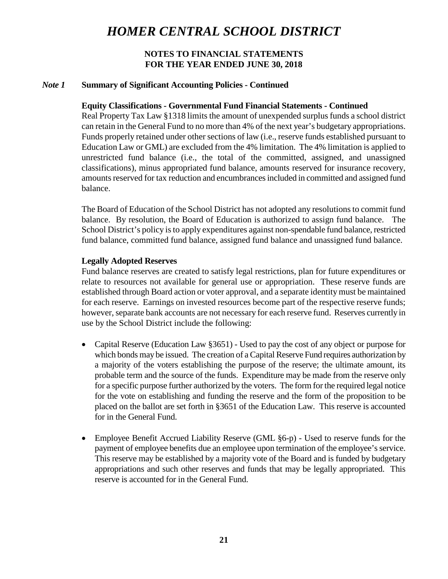## **NOTES TO FINANCIAL STATEMENTS FOR THE YEAR ENDED JUNE 30, 2018**

## *Note 1* **Summary of Significant Accounting Policies - Continued**

## **Equity Classifications - Governmental Fund Financial Statements - Continued**

Real Property Tax Law §1318 limits the amount of unexpended surplus funds a school district can retain in the General Fund to no more than 4% of the next year's budgetary appropriations. Funds properly retained under other sections of law (i.e., reserve funds established pursuant to Education Law or GML) are excluded from the 4% limitation. The 4% limitation is applied to unrestricted fund balance (i.e., the total of the committed, assigned, and unassigned classifications), minus appropriated fund balance, amounts reserved for insurance recovery, amounts reserved for tax reduction and encumbrances included in committed and assigned fund balance.

The Board of Education of the School District has not adopted any resolutions to commit fund balance. By resolution, the Board of Education is authorized to assign fund balance. The School District's policy is to apply expenditures against non-spendable fund balance, restricted fund balance, committed fund balance, assigned fund balance and unassigned fund balance.

## **Legally Adopted Reserves**

Fund balance reserves are created to satisfy legal restrictions, plan for future expenditures or relate to resources not available for general use or appropriation. These reserve funds are established through Board action or voter approval, and a separate identity must be maintained for each reserve. Earnings on invested resources become part of the respective reserve funds; however, separate bank accounts are not necessary for each reserve fund. Reserves currently in use by the School District include the following:

- Capital Reserve (Education Law §3651) Used to pay the cost of any object or purpose for which bonds may be issued. The creation of a Capital Reserve Fund requires authorization by a majority of the voters establishing the purpose of the reserve; the ultimate amount, its probable term and the source of the funds. Expenditure may be made from the reserve only for a specific purpose further authorized by the voters. The form for the required legal notice for the vote on establishing and funding the reserve and the form of the proposition to be placed on the ballot are set forth in §3651 of the Education Law. This reserve is accounted for in the General Fund.
- Employee Benefit Accrued Liability Reserve (GML §6-p) Used to reserve funds for the payment of employee benefits due an employee upon termination of the employee's service. This reserve may be established by a majority vote of the Board and is funded by budgetary appropriations and such other reserves and funds that may be legally appropriated. This reserve is accounted for in the General Fund.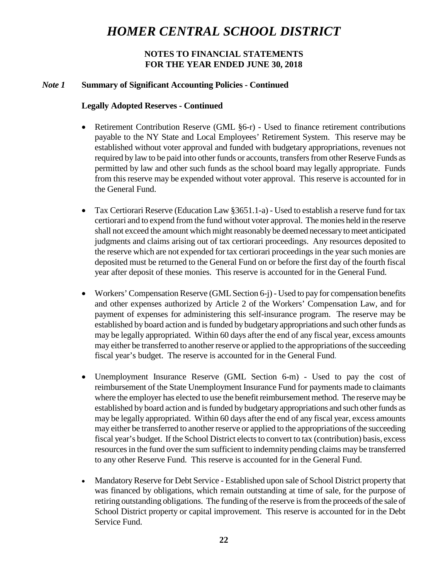## **NOTES TO FINANCIAL STATEMENTS FOR THE YEAR ENDED JUNE 30, 2018**

## *Note 1* **Summary of Significant Accounting Policies - Continued**

## **Legally Adopted Reserves - Continued**

- Retirement Contribution Reserve (GML  $\S6-r$ ) Used to finance retirement contributions payable to the NY State and Local Employees' Retirement System. This reserve may be established without voter approval and funded with budgetary appropriations, revenues not required by law to be paid into other funds or accounts, transfers from other Reserve Funds as permitted by law and other such funds as the school board may legally appropriate. Funds from this reserve may be expended without voter approval. This reserve is accounted for in the General Fund.
- Tax Certiorari Reserve (Education Law §3651.1-a) Used to establish a reserve fund for tax certiorari and to expend from the fund without voter approval. The monies held in the reserve shall not exceed the amount which might reasonably be deemed necessary to meet anticipated judgments and claims arising out of tax certiorari proceedings. Any resources deposited to the reserve which are not expended for tax certiorari proceedings in the year such monies are deposited must be returned to the General Fund on or before the first day of the fourth fiscal year after deposit of these monies. This reserve is accounted for in the General Fund.
- Workers' Compensation Reserve (GML Section 6-j) Used to pay for compensation benefits and other expenses authorized by Article 2 of the Workers' Compensation Law, and for payment of expenses for administering this self-insurance program. The reserve may be established by board action and is funded by budgetary appropriations and such other funds as may be legally appropriated. Within 60 days after the end of any fiscal year, excess amounts may either be transferred to another reserve or applied to the appropriations of the succeeding fiscal year's budget. The reserve is accounted for in the General Fund.
- Unemployment Insurance Reserve (GML Section 6-m) Used to pay the cost of reimbursement of the State Unemployment Insurance Fund for payments made to claimants where the employer has elected to use the benefit reimbursement method. The reserve may be established by board action and is funded by budgetary appropriations and such other funds as may be legally appropriated. Within 60 days after the end of any fiscal year, excess amounts may either be transferred to another reserve or applied to the appropriations of the succeeding fiscal year's budget. If the School District elects to convert to tax (contribution) basis, excess resources in the fund over the sum sufficient to indemnity pending claims may be transferred to any other Reserve Fund. This reserve is accounted for in the General Fund.
- Mandatory Reserve for Debt Service Established upon sale of School District property that was financed by obligations, which remain outstanding at time of sale, for the purpose of retiring outstanding obligations. The funding of the reserve is from the proceeds of the sale of School District property or capital improvement. This reserve is accounted for in the Debt Service Fund.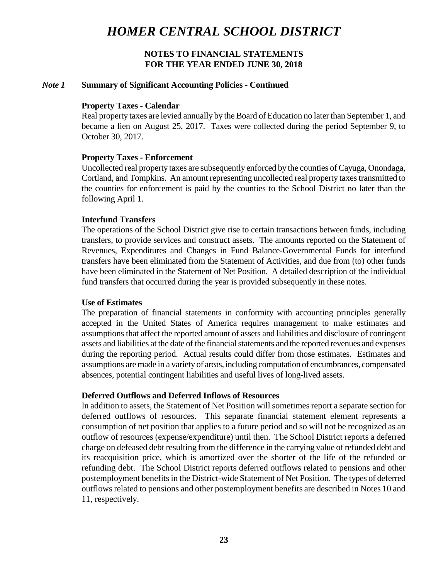## **NOTES TO FINANCIAL STATEMENTS FOR THE YEAR ENDED JUNE 30, 2018**

#### *Note 1* **Summary of Significant Accounting Policies - Continued**

#### **Property Taxes - Calendar**

Real property taxes are levied annually by the Board of Education no later than September 1, and became a lien on August 25, 2017. Taxes were collected during the period September 9, to October 30, 2017.

#### **Property Taxes - Enforcement**

Uncollected real property taxes are subsequently enforced by the counties of Cayuga, Onondaga, Cortland, and Tompkins. An amount representing uncollected real property taxes transmitted to the counties for enforcement is paid by the counties to the School District no later than the following April 1.

#### **Interfund Transfers**

The operations of the School District give rise to certain transactions between funds, including transfers, to provide services and construct assets. The amounts reported on the Statement of Revenues, Expenditures and Changes in Fund Balance-Governmental Funds for interfund transfers have been eliminated from the Statement of Activities, and due from (to) other funds have been eliminated in the Statement of Net Position. A detailed description of the individual fund transfers that occurred during the year is provided subsequently in these notes.

#### **Use of Estimates**

The preparation of financial statements in conformity with accounting principles generally accepted in the United States of America requires management to make estimates and assumptions that affect the reported amount of assets and liabilities and disclosure of contingent assets and liabilities at the date of the financial statements and the reported revenues and expenses during the reporting period. Actual results could differ from those estimates. Estimates and assumptions are made in a variety of areas, including computation of encumbrances, compensated absences, potential contingent liabilities and useful lives of long-lived assets.

## **Deferred Outflows and Deferred Inflows of Resources**

In addition to assets, the Statement of Net Position will sometimes report a separate section for deferred outflows of resources. This separate financial statement element represents a consumption of net position that applies to a future period and so will not be recognized as an outflow of resources (expense/expenditure) until then. The School District reports a deferred charge on defeased debt resulting from the difference in the carrying value of refunded debt and its reacquisition price, which is amortized over the shorter of the life of the refunded or refunding debt. The School District reports deferred outflows related to pensions and other postemployment benefits in the District-wide Statement of Net Position. The types of deferred outflows related to pensions and other postemployment benefits are described in Notes 10 and 11, respectively.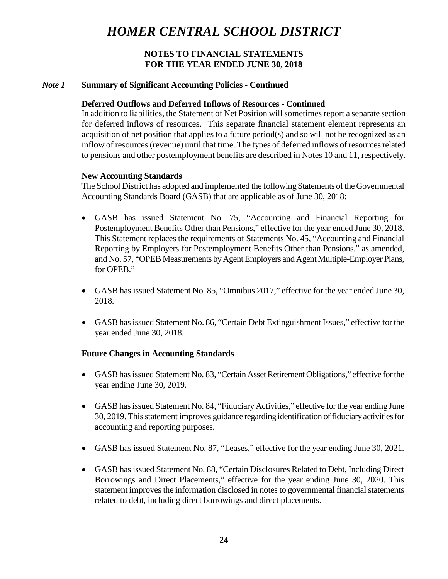## **NOTES TO FINANCIAL STATEMENTS FOR THE YEAR ENDED JUNE 30, 2018**

## *Note 1* **Summary of Significant Accounting Policies - Continued**

## **Deferred Outflows and Deferred Inflows of Resources - Continued**

In addition to liabilities, the Statement of Net Position will sometimes report a separate section for deferred inflows of resources. This separate financial statement element represents an acquisition of net position that applies to a future period(s) and so will not be recognized as an inflow of resources (revenue) until that time. The types of deferred inflows of resources related to pensions and other postemployment benefits are described in Notes 10 and 11, respectively.

## **New Accounting Standards**

The School District has adopted and implemented the following Statements of the Governmental Accounting Standards Board (GASB) that are applicable as of June 30, 2018:

- GASB has issued Statement No. 75, "Accounting and Financial Reporting for Postemployment Benefits Other than Pensions," effective for the year ended June 30, 2018. This Statement replaces the requirements of Statements No. 45, "Accounting and Financial Reporting by Employers for Postemployment Benefits Other than Pensions," as amended, and No. 57, "OPEB Measurements by Agent Employers and Agent Multiple-Employer Plans, for OPEB."
- GASB has issued Statement No. 85, "Omnibus 2017," effective for the year ended June 30, 2018.
- GASB has issued Statement No. 86, "Certain Debt Extinguishment Issues," effective for the year ended June 30, 2018.

## **Future Changes in Accounting Standards**

- GASB has issued Statement No. 83, "Certain Asset Retirement Obligations," effective for the year ending June 30, 2019.
- GASB has issued Statement No. 84, "Fiduciary Activities," effective for the year ending June 30, 2019. This statement improves guidance regarding identification of fiduciary activities for accounting and reporting purposes.
- GASB has issued Statement No. 87, "Leases," effective for the year ending June 30, 2021.
- GASB has issued Statement No. 88, "Certain Disclosures Related to Debt, Including Direct Borrowings and Direct Placements," effective for the year ending June 30, 2020. This statement improves the information disclosed in notes to governmental financial statements related to debt, including direct borrowings and direct placements.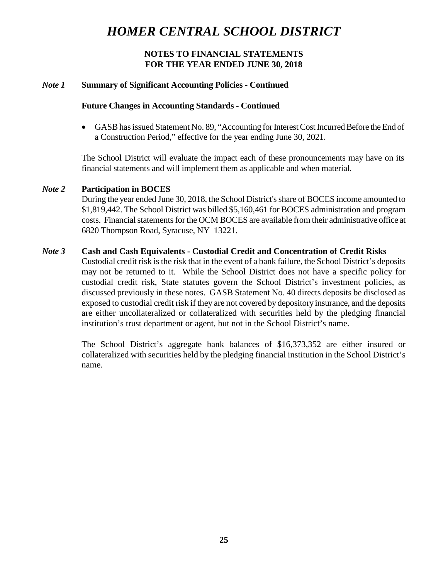## **NOTES TO FINANCIAL STATEMENTS FOR THE YEAR ENDED JUNE 30, 2018**

## *Note 1* **Summary of Significant Accounting Policies - Continued**

### **Future Changes in Accounting Standards - Continued**

• GASB has issued Statement No. 89, "Accounting for Interest Cost Incurred Before the End of a Construction Period," effective for the year ending June 30, 2021.

The School District will evaluate the impact each of these pronouncements may have on its financial statements and will implement them as applicable and when material.

#### *Note 2* **Participation in BOCES**

During the year ended June 30, 2018, the School District's share of BOCES income amounted to \$1,819,442. The School District was billed \$5,160,461 for BOCES administration and program costs. Financial statements for the OCM BOCES are available from their administrative office at 6820 Thompson Road, Syracuse, NY 13221.

## *Note 3* **Cash and Cash Equivalents - Custodial Credit and Concentration of Credit Risks**

Custodial credit risk is the risk that in the event of a bank failure, the School District's deposits may not be returned to it. While the School District does not have a specific policy for custodial credit risk, State statutes govern the School District's investment policies, as discussed previously in these notes. GASB Statement No. 40 directs deposits be disclosed as exposed to custodial credit risk if they are not covered by depository insurance, and the deposits are either uncollateralized or collateralized with securities held by the pledging financial institution's trust department or agent, but not in the School District's name.

The School District's aggregate bank balances of \$16,373,352 are either insured or collateralized with securities held by the pledging financial institution in the School District's name.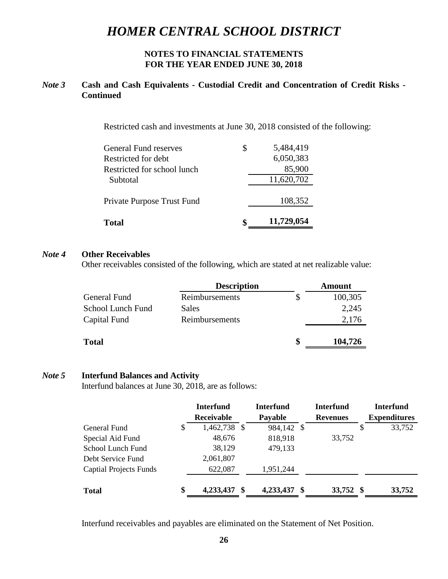## **NOTES TO FINANCIAL STATEMENTS FOR THE YEAR ENDED JUNE 30, 2018**

## *Note 3* **Cash and Cash Equivalents - Custodial Credit and Concentration of Credit Risks - Continued**

Restricted cash and investments at June 30, 2018 consisted of the following:

| Total                        | 11,729,054      |
|------------------------------|-----------------|
| Private Purpose Trust Fund   | 108,352         |
| Subtotal                     | 11,620,702      |
| Restricted for school lunch  | 85,900          |
| Restricted for debt          | 6,050,383       |
| <b>General Fund reserves</b> | \$<br>5,484,419 |

## *Note 4* **Other Receivables**

Other receivables consisted of the following, which are stated at net realizable value:

|                   | <b>Description</b> |   | Amount  |
|-------------------|--------------------|---|---------|
| General Fund      | Reimbursements     |   | 100,305 |
| School Lunch Fund | <b>Sales</b>       |   | 2,245   |
| Capital Fund      | Reimbursements     |   | 2,176   |
| <b>Total</b>      |                    | S | 104,726 |

#### *Note 5* **Interfund Balances and Activity**

Interfund balances at June 30, 2018, are as follows:

|                               | <b>Interfund</b><br><b>Receivable</b> |               | <b>Interfund</b><br>Payable | <b>Interfund</b><br><b>Revenues</b> | <b>Interfund</b><br><b>Expenditures</b> |
|-------------------------------|---------------------------------------|---------------|-----------------------------|-------------------------------------|-----------------------------------------|
| General Fund                  | \$<br>1,462,738 \$                    |               | 984,142 \$                  |                                     | \$<br>33,752                            |
| Special Aid Fund              | 48,676                                |               | 818,918                     | 33,752                              |                                         |
| School Lunch Fund             | 38,129                                |               | 479,133                     |                                     |                                         |
| Debt Service Fund             | 2,061,807                             |               |                             |                                     |                                         |
| <b>Captial Projects Funds</b> | 622,087                               |               | 1,951,244                   |                                     |                                         |
| <b>Total</b>                  | \$<br>4,233,437                       | $\mathbf{\$}$ | 4,233,437 \$                | 33,752 \$                           | 33,752                                  |

Interfund receivables and payables are eliminated on the Statement of Net Position.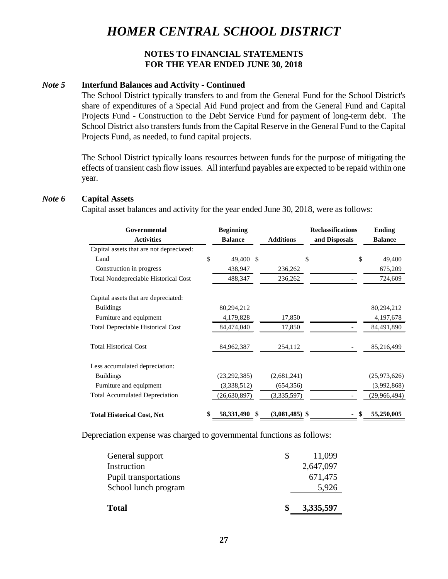## **NOTES TO FINANCIAL STATEMENTS FOR THE YEAR ENDED JUNE 30, 2018**

## *Note 5* **Interfund Balances and Activity - Continued**

The School District typically transfers to and from the General Fund for the School District's share of expenditures of a Special Aid Fund project and from the General Fund and Capital Projects Fund - Construction to the Debt Service Fund for payment of long-term debt. The School District also transfers funds from the Capital Reserve in the General Fund to the Capital Projects Fund, as needed, to fund capital projects.

The School District typically loans resources between funds for the purpose of mitigating the effects of transient cash flow issues. All interfund payables are expected to be repaid within one year.

#### *Note 6* **Capital Assets**

Capital asset balances and activity for the year ended June 30, 2018, were as follows:

| Governmental                                | <b>Beginning</b> |                        | <b>Reclassifications</b> | <b>Ending</b>  |
|---------------------------------------------|------------------|------------------------|--------------------------|----------------|
| <b>Activities</b>                           | <b>Balance</b>   | <b>Additions</b>       | and Disposals            | <b>Balance</b> |
| Capital assets that are not depreciated:    |                  |                        |                          |                |
| Land                                        | \$<br>49,400 \$  |                        | \$<br>\$                 | 49,400         |
| Construction in progress                    | 438,947          | 236,262                |                          | 675,209        |
| <b>Total Nondepreciable Historical Cost</b> | 488,347          | 236,262                |                          | 724,609        |
| Capital assets that are depreciated:        |                  |                        |                          |                |
| <b>Buildings</b>                            | 80,294,212       |                        |                          | 80,294,212     |
| Furniture and equipment                     | 4,179,828        | 17,850                 |                          | 4,197,678      |
| <b>Total Depreciable Historical Cost</b>    | 84,474,040       | 17,850                 |                          | 84,491,890     |
| <b>Total Historical Cost</b>                | 84,962,387       | 254,112                |                          | 85,216,499     |
| Less accumulated depreciation:              |                  |                        |                          |                |
| <b>Buildings</b>                            | (23, 292, 385)   | (2,681,241)            |                          | (25,973,626)   |
| Furniture and equipment                     | (3,338,512)      | (654, 356)             |                          | (3,992,868)    |
| <b>Total Accumulated Depreciation</b>       | (26, 630, 897)   | (3,335,597)            |                          | (29,966,494)   |
| <b>Total Historical Cost, Net</b>           | \$<br>58,331,490 | \$<br>$(3,081,485)$ \$ | \$                       | 55,250,005     |

Depreciation expense was charged to governmental functions as follows:

| <b>Total</b>          |   | 3,335,597 |
|-----------------------|---|-----------|
| School lunch program  |   | 5,926     |
| Pupil transportations |   | 671,475   |
| Instruction           |   | 2,647,097 |
| General support       | S | 11,099    |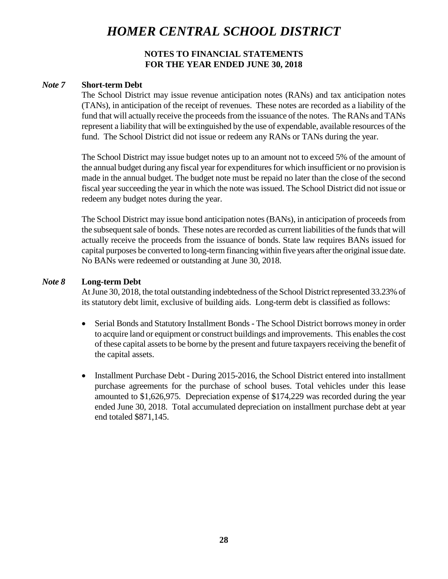## **NOTES TO FINANCIAL STATEMENTS FOR THE YEAR ENDED JUNE 30, 2018**

## *Note 7* **Short-term Debt**

The School District may issue revenue anticipation notes (RANs) and tax anticipation notes (TANs), in anticipation of the receipt of revenues. These notes are recorded as a liability of the fund that will actually receive the proceeds from the issuance of the notes. The RANs and TANs represent a liability that will be extinguished by the use of expendable, available resources of the fund. The School District did not issue or redeem any RANs or TANs during the year.

The School District may issue budget notes up to an amount not to exceed 5% of the amount of the annual budget during any fiscal year for expenditures for which insufficient or no provision is made in the annual budget. The budget note must be repaid no later than the close of the second fiscal year succeeding the year in which the note was issued. The School District did not issue or redeem any budget notes during the year.

The School District may issue bond anticipation notes (BANs), in anticipation of proceeds from the subsequent sale of bonds. These notes are recorded as current liabilities of the funds that will actually receive the proceeds from the issuance of bonds. State law requires BANs issued for capital purposes be converted to long-term financing within five years after the original issue date. No BANs were redeemed or outstanding at June 30, 2018.

## *Note 8* **Long-term Debt**

At June 30, 2018, the total outstanding indebtedness of the School District represented 33.23% of its statutory debt limit, exclusive of building aids. Long-term debt is classified as follows:

- Serial Bonds and Statutory Installment Bonds The School District borrows money in order to acquire land or equipment or construct buildings and improvements. This enables the cost of these capital assets to be borne by the present and future taxpayers receiving the benefit of the capital assets.
- Installment Purchase Debt During 2015-2016, the School District entered into installment purchase agreements for the purchase of school buses. Total vehicles under this lease amounted to \$1,626,975. Depreciation expense of \$174,229 was recorded during the year ended June 30, 2018. Total accumulated depreciation on installment purchase debt at year end totaled \$871,145.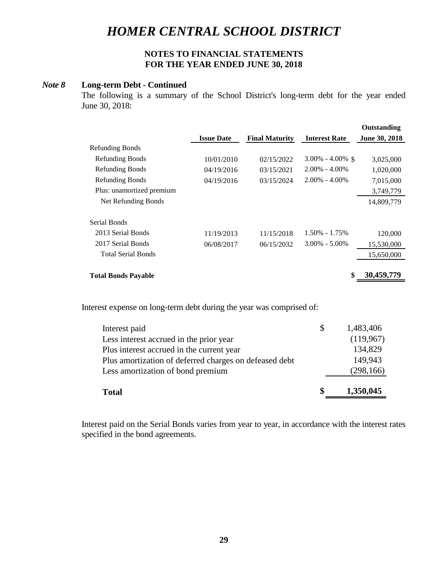## **NOTES TO FINANCIAL STATEMENTS FOR THE YEAR ENDED JUNE 30, 2018**

## *Note 8* **Long-term Debt - Continued**

The following is a summary of the School District's long-term debt for the year ended June 30, 2018:

|                            |                   |                       |                      | Outstanding   |
|----------------------------|-------------------|-----------------------|----------------------|---------------|
|                            | <b>Issue Date</b> | <b>Final Maturity</b> | <b>Interest Rate</b> | June 30, 2018 |
| <b>Refunding Bonds</b>     |                   |                       |                      |               |
| <b>Refunding Bonds</b>     | 10/01/2010        | 02/15/2022            | $3.00\% - 4.00\%$ \$ | 3,025,000     |
| <b>Refunding Bonds</b>     | 04/19/2016        | 03/15/2021            | $2.00\% - 4.00\%$    | 1,020,000     |
| <b>Refunding Bonds</b>     | 04/19/2016        | 03/15/2024            | $2.00\% - 4.00\%$    | 7,015,000     |
| Plus: unamortized premium  |                   |                       |                      | 3,749,779     |
| Net Refunding Bonds        |                   |                       |                      | 14,809,779    |
| Serial Bonds               |                   |                       |                      |               |
| 2013 Serial Bonds          | 11/19/2013        | 11/15/2018            | $1.50\% - 1.75\%$    | 120,000       |
| 2017 Serial Bonds          | 06/08/2017        | 06/15/2032            | $3.00\% - 5.00\%$    | 15,530,000    |
| <b>Total Serial Bonds</b>  |                   |                       |                      | 15,650,000    |
| <b>Total Bonds Payable</b> |                   |                       | \$                   | 30,459,779    |
|                            |                   |                       |                      |               |

Interest expense on long-term debt during the year was comprised of:

| Total                                                  | \$  | 1,350,045  |
|--------------------------------------------------------|-----|------------|
| Less amortization of bond premium                      |     | (298, 166) |
| Plus amortization of deferred charges on defeased debt |     | 149,943    |
| Plus interest accrued in the current year              |     | 134,829    |
| Less interest accrued in the prior year                |     | (119,967)  |
| Interest paid                                          | SS. | 1,483,406  |

Interest paid on the Serial Bonds varies from year to year, in accordance with the interest rates specified in the bond agreements.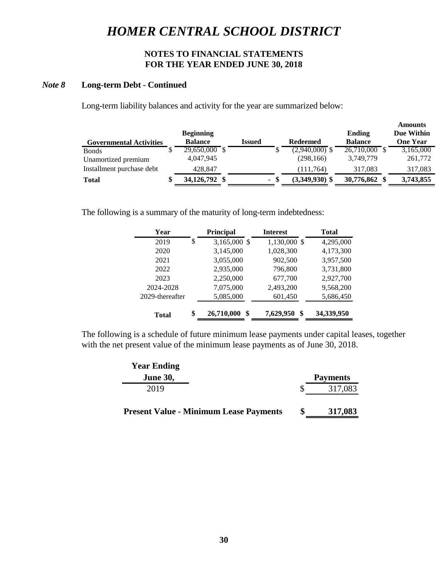## **NOTES TO FINANCIAL STATEMENTS FOR THE YEAR ENDED JUNE 30, 2018**

## *Note 8* **Long-term Debt - Continued**

Long-term liability balances and activity for the year are summarized below:

| <b>Governmental Activities</b> | <b>Beginning</b><br><b>Balance</b> | <b>Issued</b> | <b>Redeemed</b>  | Ending<br><b>Balance</b> | Amounts<br>Due Within<br><b>One Year</b> |
|--------------------------------|------------------------------------|---------------|------------------|--------------------------|------------------------------------------|
| <b>B</b> onds                  | 29,650,000 \$                      |               | $(2,940,000)$ \$ | 26,710,000               | 3,165,000                                |
| Unamortized premium            | 4,047,945                          |               | (298, 166)       | 3,749,779                | 261,772                                  |
| Installment purchase debt      | 428.847                            |               | (111, 764)       | 317,083                  | 317.083                                  |
| <b>Total</b>                   | 34,126,792 \$                      | ۰.            | $(3,349,930)$ \$ | 30,776,862               | 3,743,855                                |

The following is a summary of the maturity of long-term indebtedness:

| Year            | Principal             | <b>Interest</b> | <b>Total</b> |
|-----------------|-----------------------|-----------------|--------------|
| 2019            | \$<br>3,165,000 \$    | 1,130,000 \$    | 4,295,000    |
| 2020            | 3,145,000             | 1,028,300       | 4,173,300    |
| 2021            | 3,055,000             | 902,500         | 3,957,500    |
| 2022            | 2,935,000             | 796,800         | 3,731,800    |
| 2023            | 2,250,000             | 677,700         | 2,927,700    |
| 2024-2028       | 7,075,000             | 2,493,200       | 9,568,200    |
| 2029-thereafter | 5,085,000             | 601,450         | 5,686,450    |
| <b>Total</b>    | \$<br>26,710,000<br>S | 7,629,950<br>\$ | 34,339,950   |

The following is a schedule of future minimum lease payments under capital leases, together with the net present value of the minimum lease payments as of June 30, 2018.

| <b>Year Ending</b> |                 |
|--------------------|-----------------|
| <b>June 30,</b>    | <b>Payments</b> |
| 2019               | 317,083         |
|                    |                 |

**Present Value - Minimum Lease Payments \$ 317,083**

**Amounts**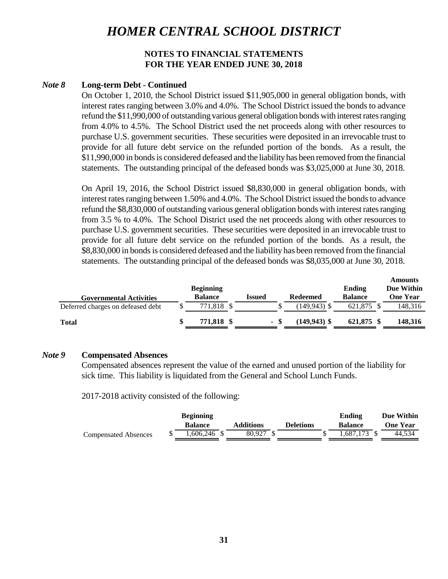## **NOTES TO FINANCIAL STATEMENTS FOR THE YEAR ENDED JUNE 30, 2018**

## *Note 8* **Long-term Debt - Continued**

On October 1, 2010, the School District issued \$11,905,000 in general obligation bonds, with interest rates ranging between 3.0% and 4.0%. The School District issued the bonds to advance refund the \$11,990,000 of outstanding various general obligation bonds with interest rates ranging from 4.0% to 4.5%. The School District used the net proceeds along with other resources to purchase U.S. government securities. These securities were deposited in an irrevocable trust to provide for all future debt service on the refunded portion of the bonds. As a result, the \$11,990,000 in bonds is considered defeased and the liability has been removed from the financial statements. The outstanding principal of the defeased bonds was \$3,025,000 at June 30, 2018.

On April 19, 2016, the School District issued \$8,830,000 in general obligation bonds, with interest rates ranging between 1.50% and 4.0%. The School District issued the bonds to advance refund the \$8,830,000 of outstanding various general obligation bonds with interest rates ranging from 3.5 % to 4.0%. The School District used the net proceeds along with other resources to purchase U.S. government securities. These securities were deposited in an irrevocable trust to provide for all future debt service on the refunded portion of the bonds. As a result, the \$8,830,000 in bonds is considered defeased and the liability has been removed from the financial statements. The outstanding principal of the defeased bonds was \$8,035,000 at June 30, 2018.

| <b>Governmental Activities</b>    | <b>Beginning</b><br><b>Balance</b> | Issued | Redeemed       | Ending<br><b>Balance</b> | <b>Amounts</b><br><b>Due Within</b><br><b>One Year</b> |
|-----------------------------------|------------------------------------|--------|----------------|--------------------------|--------------------------------------------------------|
| Deferred charges on defeased debt | 771,818                            |        | $(149.943)$ \$ | 621.875                  | 148,316                                                |
| <b>Total</b>                      | 771,818 \$                         | ۰.     | $(149.943)$ \$ | 621.875 \$               | 148,316                                                |

#### *Note 9* **Compensated Absences**

Compensated absences represent the value of the earned and unused portion of the liability for sick time. This liability is liquidated from the General and School Lunch Funds.

2017-2018 activity consisted of the following:

|                             | <b>Beginning</b> |                  |                  | Ending         | Due Within      |
|-----------------------------|------------------|------------------|------------------|----------------|-----------------|
|                             | <b>Balance</b>   | <b>Additions</b> | <b>Deletions</b> | <b>Balance</b> | <b>One Year</b> |
| <b>Compensated Absences</b> | . 606.246        | 80.927           |                  | .687.173       | 44.534          |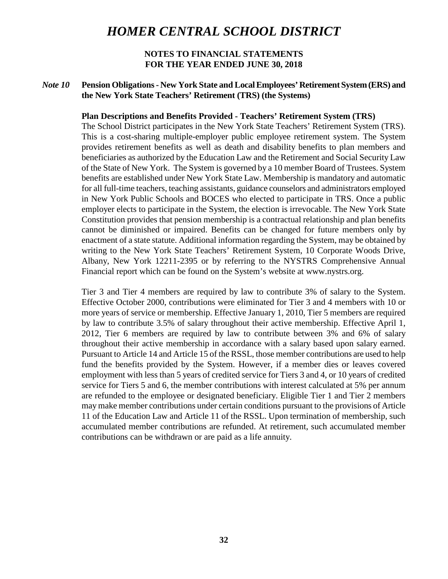## **NOTES TO FINANCIAL STATEMENTS FOR THE YEAR ENDED JUNE 30, 2018**

## *Note 10* **Pension Obligations - New York State and Local Employees' Retirement System (ERS) and the New York State Teachers' Retirement (TRS) (the Systems)**

#### **Plan Descriptions and Benefits Provided - Teachers' Retirement System (TRS)**

The School District participates in the New York State Teachers' Retirement System (TRS). This is a cost-sharing multiple-employer public employee retirement system. The System provides retirement benefits as well as death and disability benefits to plan members and beneficiaries as authorized by the Education Law and the Retirement and Social Security Law of the State of New York. The System is governed by a 10 member Board of Trustees. System benefits are established under New York State Law. Membership is mandatory and automatic for all full-time teachers, teaching assistants, guidance counselors and administrators employed in New York Public Schools and BOCES who elected to participate in TRS. Once a public employer elects to participate in the System, the election is irrevocable. The New York State Constitution provides that pension membership is a contractual relationship and plan benefits cannot be diminished or impaired. Benefits can be changed for future members only by enactment of a state statute. Additional information regarding the System, may be obtained by writing to the New York State Teachers' Retirement System, 10 Corporate Woods Drive, Albany, New York 12211-2395 or by referring to the NYSTRS Comprehensive Annual Financial report which can be found on the System's website at www.nystrs.org.

Tier 3 and Tier 4 members are required by law to contribute 3% of salary to the System. Effective October 2000, contributions were eliminated for Tier 3 and 4 members with 10 or more years of service or membership. Effective January 1, 2010, Tier 5 members are required by law to contribute 3.5% of salary throughout their active membership. Effective April 1, 2012, Tier 6 members are required by law to contribute between 3% and 6% of salary throughout their active membership in accordance with a salary based upon salary earned. Pursuant to Article 14 and Article 15 of the RSSL, those member contributions are used to help fund the benefits provided by the System. However, if a member dies or leaves covered employment with less than 5 years of credited service for Tiers 3 and 4, or 10 years of credited service for Tiers 5 and 6, the member contributions with interest calculated at 5% per annum are refunded to the employee or designated beneficiary. Eligible Tier 1 and Tier 2 members may make member contributions under certain conditions pursuant to the provisions of Article 11 of the Education Law and Article 11 of the RSSL. Upon termination of membership, such accumulated member contributions are refunded. At retirement, such accumulated member contributions can be withdrawn or are paid as a life annuity.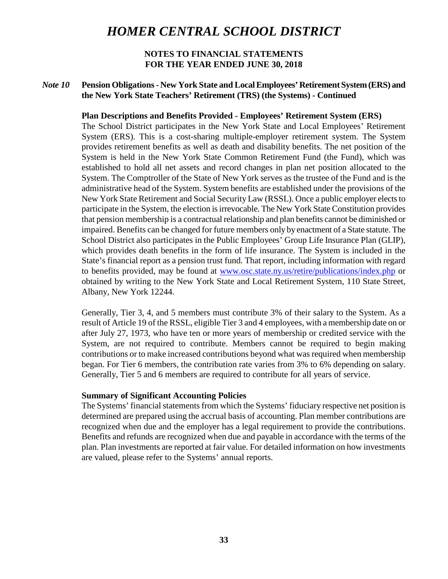## **NOTES TO FINANCIAL STATEMENTS FOR THE YEAR ENDED JUNE 30, 2018**

## *Note 10* **Pension Obligations - New York State and Local Employees' Retirement System (ERS) and the New York State Teachers' Retirement (TRS) (the Systems) - Continued**

### **Plan Descriptions and Benefits Provided - Employees' Retirement System (ERS)**

The School District participates in the New York State and Local Employees' Retirement System (ERS). This is a cost-sharing multiple-employer retirement system. The System provides retirement benefits as well as death and disability benefits. The net position of the System is held in the New York State Common Retirement Fund (the Fund), which was established to hold all net assets and record changes in plan net position allocated to the System. The Comptroller of the State of New York serves as the trustee of the Fund and is the administrative head of the System. System benefits are established under the provisions of the New York State Retirement and Social Security Law (RSSL). Once a public employer elects to participate in the System, the election is irrevocable. The New York State Constitution provides that pension membership is a contractual relationship and plan benefits cannot be diminished or impaired. Benefits can be changed for future members only by enactment of a State statute. The School District also participates in the Public Employees' Group Life Insurance Plan (GLIP), which provides death benefits in the form of life insurance. The System is included in the State's financial report as a pension trust fund. That report, including information with regard to benefits provided, may be found at www.osc.state.ny.us/retire/publications/index.php or obtained by writing to the New York State and Local Retirement System, 110 State Street, Albany, New York 12244.

Generally, Tier 3, 4, and 5 members must contribute 3% of their salary to the System. As a result of Article 19 of the RSSL, eligible Tier 3 and 4 employees, with a membership date on or after July 27, 1973, who have ten or more years of membership or credited service with the System, are not required to contribute. Members cannot be required to begin making contributions or to make increased contributions beyond what was required when membership began. For Tier 6 members, the contribution rate varies from 3% to 6% depending on salary. Generally, Tier 5 and 6 members are required to contribute for all years of service.

#### **Summary of Significant Accounting Policies**

The Systems' financial statements from which the Systems' fiduciary respective net position is determined are prepared using the accrual basis of accounting. Plan member contributions are recognized when due and the employer has a legal requirement to provide the contributions. Benefits and refunds are recognized when due and payable in accordance with the terms of the plan. Plan investments are reported at fair value. For detailed information on how investments are valued, please refer to the Systems' annual reports.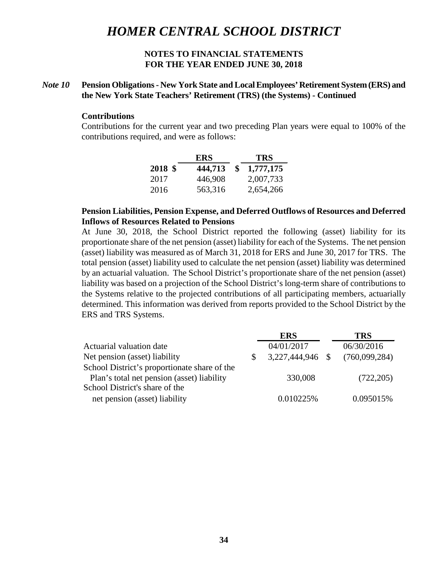## **NOTES TO FINANCIAL STATEMENTS FOR THE YEAR ENDED JUNE 30, 2018**

## *Note 10* **Pension Obligations - New York State and Local Employees' Retirement System (ERS) and the New York State Teachers' Retirement (TRS) (the Systems) - Continued**

#### **Contributions**

Contributions for the current year and two preceding Plan years were equal to 100% of the contributions required, and were as follows:

|         | ERS     |          | <b>TRS</b> |
|---------|---------|----------|------------|
| 2018 \$ | 444,713 | <b>S</b> | 1,777,175  |
| 2017    | 446,908 |          | 2,007,733  |
| 2016    | 563,316 |          | 2,654,266  |

## **Pension Liabilities, Pension Expense, and Deferred Outflows of Resources and Deferred Inflows of Resources Related to Pensions**

At June 30, 2018, the School District reported the following (asset) liability for its proportionate share of the net pension (asset) liability for each of the Systems. The net pension (asset) liability was measured as of March 31, 2018 for ERS and June 30, 2017 for TRS. The total pension (asset) liability used to calculate the net pension (asset) liability was determined by an actuarial valuation. The School District's proportionate share of the net pension (asset) liability was based on a projection of the School District's long-term share of contributions to the Systems relative to the projected contributions of all participating members, actuarially determined. This information was derived from reports provided to the School District by the ERS and TRS Systems.

|                                              | ERS              | <b>TRS</b>    |
|----------------------------------------------|------------------|---------------|
| Actuarial valuation date                     | 04/01/2017       | 06/30/2016    |
| Net pension (asset) liability                | 3,227,444,946 \$ | (760,099,284) |
| School District's proportionate share of the |                  |               |
| Plan's total net pension (asset) liability   | 330,008          | (722, 205)    |
| School District's share of the               |                  |               |
| net pension (asset) liability                | 0.010225%        | 0.095015%     |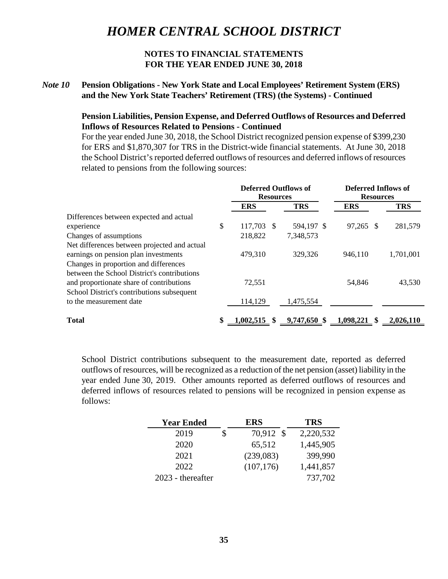## **NOTES TO FINANCIAL STATEMENTS FOR THE YEAR ENDED JUNE 30, 2018**

## *Note 10* **Pension Obligations - New York State and Local Employees' Retirement System (ERS) and the New York State Teachers' Retirement (TRS) (the Systems) - Continued**

## **Pension Liabilities, Pension Expense, and Deferred Outflows of Resources and Deferred Inflows of Resources Related to Pensions - Continued**

For the year ended June 30, 2018, the School District recognized pension expense of \$399,230 for ERS and \$1,870,307 for TRS in the District-wide financial statements. At June 30, 2018 the School District's reported deferred outflows of resources and deferred inflows of resources related to pensions from the following sources:

|                                              | <b>Deferred Outflows of</b><br><b>Resources</b> |              | <b>Deferred Inflows of</b><br><b>Resources</b> |            |
|----------------------------------------------|-------------------------------------------------|--------------|------------------------------------------------|------------|
|                                              | <b>ERS</b>                                      | <b>TRS</b>   | <b>ERS</b>                                     | <b>TRS</b> |
| Differences between expected and actual      |                                                 |              |                                                |            |
| experience                                   | \$<br>117,703<br>-S                             | 594,197 \$   | 97,265 \$                                      | 281,579    |
| Changes of assumptions                       | 218,822                                         | 7,348,573    |                                                |            |
| Net differences between projected and actual |                                                 |              |                                                |            |
| earnings on pension plan investments         | 479,310                                         | 329,326      | 946.110                                        | 1,701,001  |
| Changes in proportion and differences        |                                                 |              |                                                |            |
| between the School District's contributions  |                                                 |              |                                                |            |
| and proportionate share of contributions     | 72.551                                          |              | 54,846                                         | 43,530     |
| School District's contributions subsequent   |                                                 |              |                                                |            |
| to the measurement date                      | 114,129                                         | 1,475,554    |                                                |            |
| <b>Total</b>                                 | \$<br>1,002,515                                 | 9,747,650 \$ | 1,098,221                                      | 2.026.110  |

School District contributions subsequent to the measurement date, reported as deferred outflows of resources, will be recognized as a reduction of the net pension (asset) liability in the year ended June 30, 2019. Other amounts reported as deferred outflows of resources and deferred inflows of resources related to pensions will be recognized in pension expense as follows:

| <b>Year Ended</b>   | <b>ERS</b>      | <b>TRS</b> |
|---------------------|-----------------|------------|
| 2019                | \$<br>70,912 \$ | 2,220,532  |
| 2020                | 65,512          | 1,445,905  |
| 2021                | (239,083)       | 399,990    |
| 2022                | (107, 176)      | 1,441,857  |
| $2023$ - thereafter |                 | 737,702    |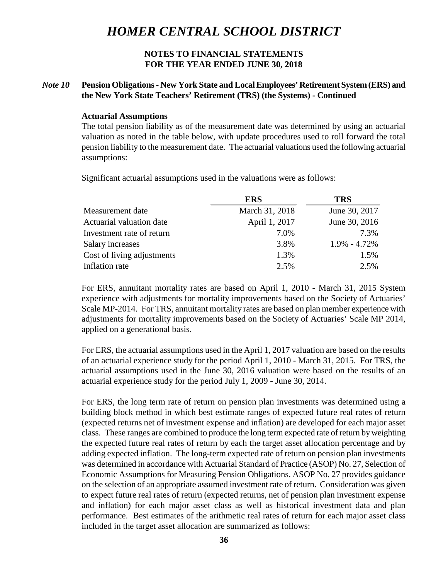## **NOTES TO FINANCIAL STATEMENTS FOR THE YEAR ENDED JUNE 30, 2018**

## *Note 10* **Pension Obligations - New York State and Local Employees' Retirement System (ERS) and the New York State Teachers' Retirement (TRS) (the Systems) - Continued**

#### **Actuarial Assumptions**

The total pension liability as of the measurement date was determined by using an actuarial valuation as noted in the table below, with update procedures used to roll forward the total pension liability to the measurement date. The actuarial valuations used the following actuarial assumptions:

Significant actuarial assumptions used in the valuations were as follows:

| <b>ERS</b>     | <b>TRS</b>       |
|----------------|------------------|
| March 31, 2018 | June 30, 2017    |
| April 1, 2017  | June 30, 2016    |
| 7.0%           | 7.3%             |
| 3.8%           | $1.9\% - 4.72\%$ |
| 1.3%           | 1.5%             |
| 2.5%           | 2.5%             |
|                |                  |

For ERS, annuitant mortality rates are based on April 1, 2010 - March 31, 2015 System experience with adjustments for mortality improvements based on the Society of Actuaries' Scale MP-2014. For TRS, annuitant mortality rates are based on plan member experience with adjustments for mortality improvements based on the Society of Actuaries' Scale MP 2014, applied on a generational basis.

For ERS, the actuarial assumptions used in the April 1, 2017 valuation are based on the results of an actuarial experience study for the period April 1, 2010 - March 31, 2015. For TRS, the actuarial assumptions used in the June 30, 2016 valuation were based on the results of an actuarial experience study for the period July 1, 2009 - June 30, 2014.

For ERS, the long term rate of return on pension plan investments was determined using a building block method in which best estimate ranges of expected future real rates of return (expected returns net of investment expense and inflation) are developed for each major asset class. These ranges are combined to produce the long term expected rate of return by weighting the expected future real rates of return by each the target asset allocation percentage and by adding expected inflation. The long-term expected rate of return on pension plan investments was determined in accordance with Actuarial Standard of Practice (ASOP) No. 27, Selection of Economic Assumptions for Measuring Pension Obligations. ASOP No. 27 provides guidance on the selection of an appropriate assumed investment rate of return. Consideration was given to expect future real rates of return (expected returns, net of pension plan investment expense and inflation) for each major asset class as well as historical investment data and plan performance. Best estimates of the arithmetic real rates of return for each major asset class included in the target asset allocation are summarized as follows: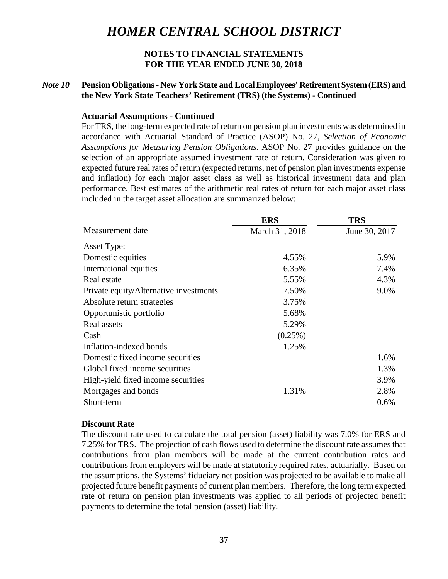## **NOTES TO FINANCIAL STATEMENTS FOR THE YEAR ENDED JUNE 30, 2018**

## *Note 10* **Pension Obligations - New York State and Local Employees' Retirement System (ERS) and the New York State Teachers' Retirement (TRS) (the Systems) - Continued**

#### **Actuarial Assumptions - Continued**

For TRS, the long-term expected rate of return on pension plan investments was determined in accordance with Actuarial Standard of Practice (ASOP) No. 27, *Selection of Economic Assumptions for Measuring Pension Obligations.* ASOP No. 27 provides guidance on the selection of an appropriate assumed investment rate of return. Consideration was given to expected future real rates of return (expected returns, net of pension plan investments expense and inflation) for each major asset class as well as historical investment data and plan performance. Best estimates of the arithmetic real rates of return for each major asset class included in the target asset allocation are summarized below:

|                                        | <b>ERS</b>     | <b>TRS</b>    |
|----------------------------------------|----------------|---------------|
| Measurement date                       | March 31, 2018 | June 30, 2017 |
| Asset Type:                            |                |               |
| Domestic equities                      | 4.55%          | 5.9%          |
| International equities                 | 6.35%          | 7.4%          |
| Real estate                            | 5.55%          | 4.3%          |
| Private equity/Alternative investments | 7.50%          | 9.0%          |
| Absolute return strategies             | 3.75%          |               |
| Opportunistic portfolio                | 5.68%          |               |
| Real assets                            | 5.29%          |               |
| Cash                                   | $(0.25\%)$     |               |
| Inflation-indexed bonds                | 1.25%          |               |
| Domestic fixed income securities       |                | 1.6%          |
| Global fixed income securities         |                | 1.3%          |
| High-yield fixed income securities     |                | 3.9%          |
| Mortgages and bonds                    | 1.31%          | 2.8%          |
| Short-term                             |                | 0.6%          |

#### **Discount Rate**

The discount rate used to calculate the total pension (asset) liability was 7.0% for ERS and 7.25% for TRS. The projection of cash flows used to determine the discount rate assumes that contributions from plan members will be made at the current contribution rates and contributions from employers will be made at statutorily required rates, actuarially. Based on the assumptions, the Systems' fiduciary net position was projected to be available to make all projected future benefit payments of current plan members. Therefore, the long term expected rate of return on pension plan investments was applied to all periods of projected benefit payments to determine the total pension (asset) liability.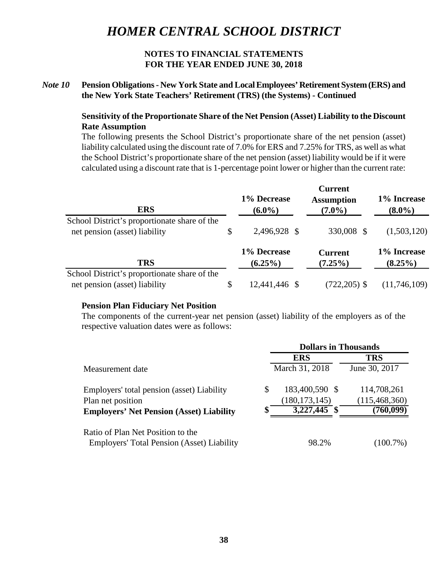## **NOTES TO FINANCIAL STATEMENTS FOR THE YEAR ENDED JUNE 30, 2018**

## *Note 10* **Pension Obligations - New York State and Local Employees' Retirement System (ERS) and the New York State Teachers' Retirement (TRS) (the Systems) - Continued**

## **Sensitivity of the Proportionate Share of the Net Pension (Asset) Liability to the Discount Rate Assumption**

The following presents the School District's proportionate share of the net pension (asset) liability calculated using the discount rate of 7.0% for ERS and 7.25% for TRS, as well as what the School District's proportionate share of the net pension (asset) liability would be if it were calculated using a discount rate that is 1-percentage point lower or higher than the current rate:

| <b>ERS</b>                                                                    | 1% Decrease<br>$(6.0\%)$  | <b>Current</b><br><b>Assumption</b><br>$(7.0\%)$ | 1% Increase<br>$(8.0\%)$  |
|-------------------------------------------------------------------------------|---------------------------|--------------------------------------------------|---------------------------|
| School District's proportionate share of the<br>net pension (asset) liability | \$<br>2,496,928 \$        | 330,008 \$                                       | (1,503,120)               |
| <b>TRS</b>                                                                    | 1% Decrease<br>$(6.25\%)$ | <b>Current</b><br>$(7.25\%)$                     | 1% Increase<br>$(8.25\%)$ |
| School District's proportionate share of the<br>net pension (asset) liability | \$<br>12,441,446 \$       | $(722,205)$ \$                                   | (11,746,109)              |

## **Pension Plan Fiduciary Net Position**

The components of the current-year net pension (asset) liability of the employers as of the respective valuation dates were as follows:

|                                                   | <b>Dollars in Thousands</b> |                 |                 |
|---------------------------------------------------|-----------------------------|-----------------|-----------------|
|                                                   |                             | <b>ERS</b>      | <b>TRS</b>      |
| Measurement date                                  |                             | March 31, 2018  | June 30, 2017   |
| Employers' total pension (asset) Liability        | \$                          | 183,400,590 \$  | 114,708,261     |
| Plan net position                                 |                             | (180, 173, 145) | (115, 468, 360) |
| <b>Employers' Net Pension (Asset) Liability</b>   | \$                          | 3,227,445 \$    | (760, 099)      |
| Ratio of Plan Net Position to the                 |                             |                 |                 |
| <b>Employers' Total Pension (Asset) Liability</b> |                             | 98.2%           | $(100.7\%)$     |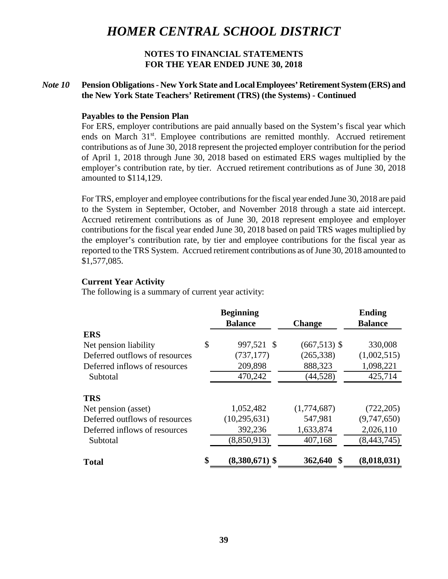## **NOTES TO FINANCIAL STATEMENTS FOR THE YEAR ENDED JUNE 30, 2018**

## *Note 10* **Pension Obligations - New York State and Local Employees' Retirement System (ERS) and the New York State Teachers' Retirement (TRS) (the Systems) - Continued**

### **Payables to the Pension Plan**

For ERS, employer contributions are paid annually based on the System's fiscal year which ends on March 31<sup>st</sup>. Employee contributions are remitted monthly. Accrued retirement contributions as of June 30, 2018 represent the projected employer contribution for the period of April 1, 2018 through June 30, 2018 based on estimated ERS wages multiplied by the employer's contribution rate, by tier. Accrued retirement contributions as of June 30, 2018 amounted to \$114,129.

For TRS, employer and employee contributions for the fiscal year ended June 30, 2018 are paid to the System in September, October, and November 2018 through a state aid intercept. Accrued retirement contributions as of June 30, 2018 represent employee and employer contributions for the fiscal year ended June 30, 2018 based on paid TRS wages multiplied by the employer's contribution rate, by tier and employee contributions for the fiscal year as reported to the TRS System. Accrued retirement contributions as of June 30, 2018 amounted to \$1,577,085.

## **Current Year Activity**

The following is a summary of current year activity:

|                                | <b>Beginning</b>       |                | <b>Ending</b>  |
|--------------------------------|------------------------|----------------|----------------|
|                                | <b>Balance</b>         | <b>Change</b>  | <b>Balance</b> |
| <b>ERS</b>                     |                        |                |                |
| Net pension liability          | \$<br>997,521 \$       | $(667,513)$ \$ | 330,008        |
| Deferred outflows of resources | (737, 177)             | (265, 338)     | (1,002,515)    |
| Deferred inflows of resources  | 209,898                | 888,323        | 1,098,221      |
| Subtotal                       | 470,242                | (44, 528)      | 425,714        |
| <b>TRS</b>                     |                        |                |                |
| Net pension (asset)            | 1,052,482              | (1,774,687)    | (722, 205)     |
| Deferred outflows of resources | (10, 295, 631)         | 547,981        | (9,747,650)    |
| Deferred inflows of resources  | 392,236                | 1,633,874      | 2,026,110      |
| Subtotal                       | (8,850,913)            | 407,168        | (8, 443, 745)  |
| <b>Total</b>                   | \$<br>$(8,380,671)$ \$ | 362,640 \$     | (8,018,031)    |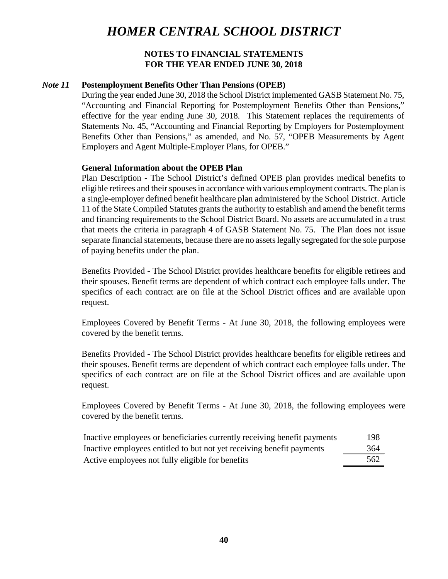## **NOTES TO FINANCIAL STATEMENTS FOR THE YEAR ENDED JUNE 30, 2018**

## *Note 11* **Postemployment Benefits Other Than Pensions (OPEB)**

During the year ended June 30, 2018 the School District implemented GASB Statement No. 75, "Accounting and Financial Reporting for Postemployment Benefits Other than Pensions," effective for the year ending June 30, 2018. This Statement replaces the requirements of Statements No. 45, "Accounting and Financial Reporting by Employers for Postemployment Benefits Other than Pensions," as amended, and No. 57, "OPEB Measurements by Agent Employers and Agent Multiple-Employer Plans, for OPEB."

## **General Information about the OPEB Plan**

Plan Description - The School District's defined OPEB plan provides medical benefits to eligible retirees and their spouses in accordance with various employment contracts. The plan is a single-employer defined benefit healthcare plan administered by the School District. Article 11 of the State Compiled Statutes grants the authority to establish and amend the benefit terms and financing requirements to the School District Board. No assets are accumulated in a trust that meets the criteria in paragraph 4 of GASB Statement No. 75. The Plan does not issue separate financial statements, because there are no assets legally segregated for the sole purpose of paying benefits under the plan.

Benefits Provided - The School District provides healthcare benefits for eligible retirees and their spouses. Benefit terms are dependent of which contract each employee falls under. The specifics of each contract are on file at the School District offices and are available upon request.

Employees Covered by Benefit Terms - At June 30, 2018, the following employees were covered by the benefit terms.

Benefits Provided - The School District provides healthcare benefits for eligible retirees and their spouses. Benefit terms are dependent of which contract each employee falls under. The specifics of each contract are on file at the School District offices and are available upon request.

Employees Covered by Benefit Terms - At June 30, 2018, the following employees were covered by the benefit terms.

| Inactive employees or beneficiaries currently receiving benefit payments | 198 |
|--------------------------------------------------------------------------|-----|
| Inactive employees entitled to but not yet receiving benefit payments    | 364 |
| Active employees not fully eligible for benefits                         | 562 |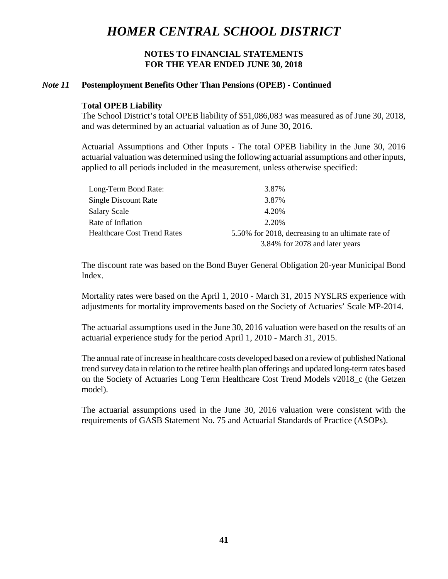## **NOTES TO FINANCIAL STATEMENTS FOR THE YEAR ENDED JUNE 30, 2018**

## *Note 11* **Postemployment Benefits Other Than Pensions (OPEB) - Continued**

#### **Total OPEB Liability**

The School District's total OPEB liability of \$51,086,083 was measured as of June 30, 2018, and was determined by an actuarial valuation as of June 30, 2016.

Actuarial Assumptions and Other Inputs - The total OPEB liability in the June 30, 2016 actuarial valuation was determined using the following actuarial assumptions and other inputs, applied to all periods included in the measurement, unless otherwise specified:

| Long-Term Bond Rate:               | 3.87%                                             |
|------------------------------------|---------------------------------------------------|
| Single Discount Rate               | 3.87%                                             |
| <b>Salary Scale</b>                | 4.20%                                             |
| Rate of Inflation                  | 2.20%                                             |
| <b>Healthcare Cost Trend Rates</b> | 5.50% for 2018, decreasing to an ultimate rate of |
|                                    | 3.84% for 2078 and later years                    |

The discount rate was based on the Bond Buyer General Obligation 20-year Municipal Bond Index.

Mortality rates were based on the April 1, 2010 - March 31, 2015 NYSLRS experience with adjustments for mortality improvements based on the Society of Actuaries' Scale MP-2014.

The actuarial assumptions used in the June 30, 2016 valuation were based on the results of an actuarial experience study for the period April 1, 2010 - March 31, 2015.

The annual rate of increase in healthcare costs developed based on a review of published National trend survey data in relation to the retiree health plan offerings and updated long-term rates based on the Society of Actuaries Long Term Healthcare Cost Trend Models v2018\_c (the Getzen model).

The actuarial assumptions used in the June 30, 2016 valuation were consistent with the requirements of GASB Statement No. 75 and Actuarial Standards of Practice (ASOPs).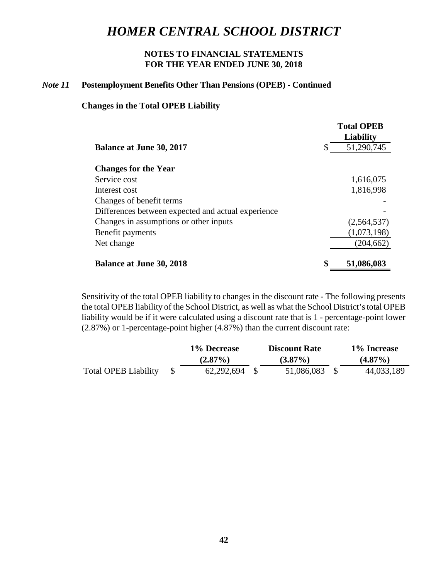## **NOTES TO FINANCIAL STATEMENTS FOR THE YEAR ENDED JUNE 30, 2018**

## *Note 11* **Postemployment Benefits Other Than Pensions (OPEB) - Continued**

## **Changes in the Total OPEB Liability**

|                                                    | <b>Total OPEB</b><br><b>Liability</b> |
|----------------------------------------------------|---------------------------------------|
| <b>Balance at June 30, 2017</b>                    | \$<br>51,290,745                      |
| <b>Changes for the Year</b>                        |                                       |
| Service cost                                       | 1,616,075                             |
| Interest cost                                      | 1,816,998                             |
| Changes of benefit terms                           |                                       |
| Differences between expected and actual experience |                                       |
| Changes in assumptions or other inputs             | (2,564,537)                           |
| Benefit payments                                   | (1,073,198)                           |
| Net change                                         | (204, 662)                            |
| <b>Balance at June 30, 2018</b>                    | \$<br>51,086,083                      |

Sensitivity of the total OPEB liability to changes in the discount rate - The following presents the total OPEB liability of the School District, as well as what the School District's total OPEB liability would be if it were calculated using a discount rate that is 1 - percentage-point lower (2.87%) or 1-percentage-point higher (4.87%) than the current discount rate:

|                             | 1% Decrease | <b>Discount Rate</b> | 1% Increase |
|-----------------------------|-------------|----------------------|-------------|
|                             | $(2.87\%)$  | $(3.87\%)$           | $(4.87\%)$  |
| <b>Total OPEB Liability</b> | 62,292,694  | 51,086,083           | 44,033,189  |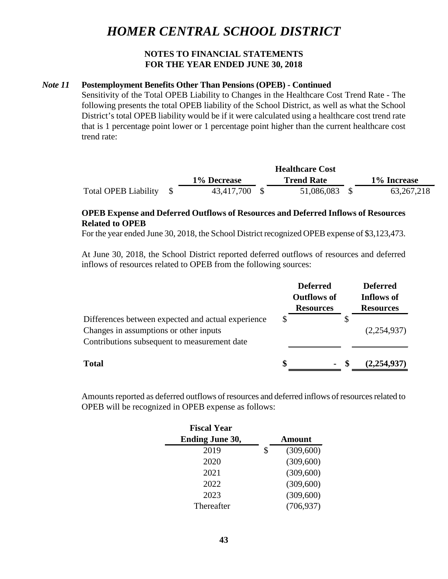## **NOTES TO FINANCIAL STATEMENTS FOR THE YEAR ENDED JUNE 30, 2018**

#### *Note 11* **Postemployment Benefits Other Than Pensions (OPEB) - Continued**

Sensitivity of the Total OPEB Liability to Changes in the Healthcare Cost Trend Rate - The following presents the total OPEB liability of the School District, as well as what the School District's total OPEB liability would be if it were calculated using a healthcare cost trend rate that is 1 percentage point lower or 1 percentage point higher than the current healthcare cost trend rate:

|                         |             | <b>Healthcare Cost</b> |              |
|-------------------------|-------------|------------------------|--------------|
|                         | 1% Decrease | <b>Trend Rate</b>      | 1% Increase  |
| Total OPEB Liability \$ | 43,417,700  | 51,086,083             | 63, 267, 218 |

## **OPEB Expense and Deferred Outflows of Resources and Deferred Inflows of Resources Related to OPEB**

For the year ended June 30, 2018, the School District recognized OPEB expense of \$3,123,473.

At June 30, 2018, the School District reported deferred outflows of resources and deferred inflows of resources related to OPEB from the following sources:

|                                                                                                                                              | <b>Deferred</b><br><b>Outflows of</b><br><b>Resources</b> |      | <b>Deferred</b><br><b>Inflows of</b><br><b>Resources</b> |
|----------------------------------------------------------------------------------------------------------------------------------------------|-----------------------------------------------------------|------|----------------------------------------------------------|
| Differences between expected and actual experience<br>Changes in assumptions or other inputs<br>Contributions subsequent to measurement date | \$                                                        | P    | (2,254,937)                                              |
| <b>Total</b>                                                                                                                                 | \$                                                        | - \$ | (2,254,937)                                              |

Amounts reported as deferred outflows of resources and deferred inflows of resources related to OPEB will be recognized in OPEB expense as follows:

| <b>Fiscal Year</b>     |                 |
|------------------------|-----------------|
| <b>Ending June 30,</b> | <b>Amount</b>   |
| 2019                   | \$<br>(309,600) |
| 2020                   | (309, 600)      |
| 2021                   | (309, 600)      |
| 2022                   | (309,600)       |
| 2023                   | (309, 600)      |
| Thereafter             | (706, 937)      |
|                        |                 |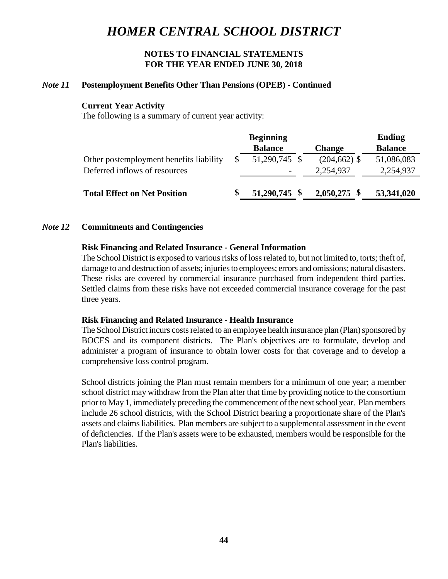## **NOTES TO FINANCIAL STATEMENTS FOR THE YEAR ENDED JUNE 30, 2018**

## *Note 11* **Postemployment Benefits Other Than Pensions (OPEB) - Continued**

### **Current Year Activity**

The following is a summary of current year activity:

|                                         | <b>Beginning</b>         |                 | <b>Ending</b>  |
|-----------------------------------------|--------------------------|-----------------|----------------|
|                                         | <b>Balance</b>           | <b>Change</b>   | <b>Balance</b> |
| Other postemployment benefits liability | 51,290,745 \$            | $(204, 662)$ \$ | 51,086,083     |
| Deferred inflows of resources           | $\overline{\phantom{0}}$ | 2,254,937       | 2,254,937      |
| <b>Total Effect on Net Position</b>     | 51,290,745 \$            | $2,050,275$ \$  | 53,341,020     |
|                                         |                          |                 |                |

## *Note 12* **Commitments and Contingencies**

## **Risk Financing and Related Insurance - General Information**

The School District is exposed to various risks of loss related to, but not limited to, torts; theft of, damage to and destruction of assets; injuries to employees; errors and omissions; natural disasters. These risks are covered by commercial insurance purchased from independent third parties. Settled claims from these risks have not exceeded commercial insurance coverage for the past three years.

## **Risk Financing and Related Insurance - Health Insurance**

The School District incurs costs related to an employee health insurance plan (Plan) sponsored by BOCES and its component districts. The Plan's objectives are to formulate, develop and administer a program of insurance to obtain lower costs for that coverage and to develop a comprehensive loss control program.

School districts joining the Plan must remain members for a minimum of one year; a member school district may withdraw from the Plan after that time by providing notice to the consortium prior to May 1, immediately preceding the commencement of the next school year. Plan members include 26 school districts, with the School District bearing a proportionate share of the Plan's assets and claims liabilities. Plan members are subject to a supplemental assessment in the event of deficiencies. If the Plan's assets were to be exhausted, members would be responsible for the Plan's liabilities.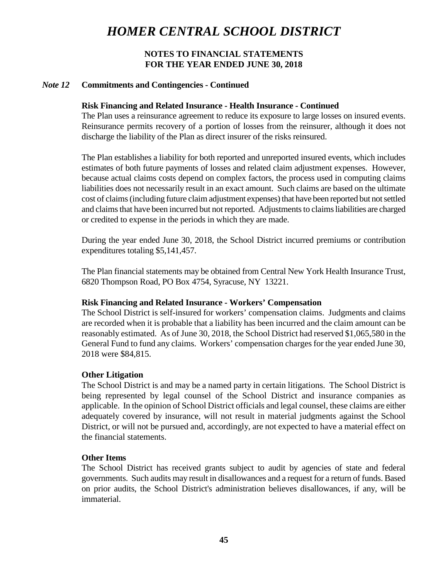## **NOTES TO FINANCIAL STATEMENTS FOR THE YEAR ENDED JUNE 30, 2018**

## *Note 12* **Commitments and Contingencies - Continued**

#### **Risk Financing and Related Insurance - Health Insurance - Continued**

The Plan uses a reinsurance agreement to reduce its exposure to large losses on insured events. Reinsurance permits recovery of a portion of losses from the reinsurer, although it does not discharge the liability of the Plan as direct insurer of the risks reinsured.

The Plan establishes a liability for both reported and unreported insured events, which includes estimates of both future payments of losses and related claim adjustment expenses. However, because actual claims costs depend on complex factors, the process used in computing claims liabilities does not necessarily result in an exact amount. Such claims are based on the ultimate cost of claims (including future claim adjustment expenses) that have been reported but not settled and claims that have been incurred but not reported. Adjustments to claims liabilities are charged or credited to expense in the periods in which they are made.

During the year ended June 30, 2018, the School District incurred premiums or contribution expenditures totaling \$5,141,457.

The Plan financial statements may be obtained from Central New York Health Insurance Trust, 6820 Thompson Road, PO Box 4754, Syracuse, NY 13221.

## **Risk Financing and Related Insurance - Workers' Compensation**

The School District is self-insured for workers' compensation claims. Judgments and claims are recorded when it is probable that a liability has been incurred and the claim amount can be reasonably estimated. As of June 30, 2018, the School District had reserved \$1,065,580 in the General Fund to fund any claims. Workers' compensation charges for the year ended June 30, 2018 were \$84,815.

## **Other Litigation**

The School District is and may be a named party in certain litigations. The School District is being represented by legal counsel of the School District and insurance companies as applicable. In the opinion of School District officials and legal counsel, these claims are either adequately covered by insurance, will not result in material judgments against the School District, or will not be pursued and, accordingly, are not expected to have a material effect on the financial statements.

## **Other Items**

The School District has received grants subject to audit by agencies of state and federal governments. Such audits may result in disallowances and a request for a return of funds. Based on prior audits, the School District's administration believes disallowances, if any, will be immaterial.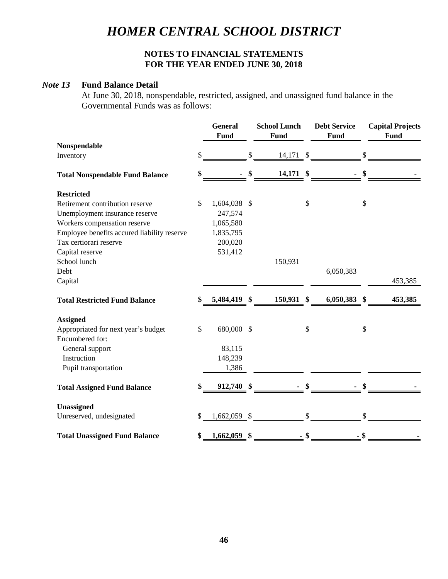## **NOTES TO FINANCIAL STATEMENTS FOR THE YEAR ENDED JUNE 30, 2018**

## *Note 13* **Fund Balance Detail**

At June 30, 2018, nonspendable, restricted, assigned, and unassigned fund balance in the Governmental Funds was as follows:

|                                             |               | <b>General</b><br>Fund | <b>School Lunch</b><br>Fund | <b>Debt Service</b><br>Fund | <b>Capital Projects</b><br><b>Fund</b> |
|---------------------------------------------|---------------|------------------------|-----------------------------|-----------------------------|----------------------------------------|
| Nonspendable                                |               |                        |                             |                             |                                        |
| Inventory                                   | \$            |                        | 14,171 \$                   |                             | \$                                     |
| <b>Total Nonspendable Fund Balance</b>      | \$            |                        | \$<br>14,171 \$             |                             |                                        |
| <b>Restricted</b>                           |               |                        |                             |                             |                                        |
| Retirement contribution reserve             | \$            | 1,604,038 \$           |                             | \$                          | \$                                     |
| Unemployment insurance reserve              |               | 247,574                |                             |                             |                                        |
| Workers compensation reserve                |               | 1,065,580              |                             |                             |                                        |
| Employee benefits accured liability reserve |               | 1,835,795              |                             |                             |                                        |
| Tax certiorari reserve                      |               | 200,020                |                             |                             |                                        |
| Capital reserve                             |               | 531,412                |                             |                             |                                        |
| School lunch                                |               |                        | 150,931                     |                             |                                        |
| Debt                                        |               |                        |                             | 6,050,383                   |                                        |
| Capital                                     |               |                        |                             |                             | 453,385                                |
| <b>Total Restricted Fund Balance</b>        | \$            | 5,484,419 \$           | 150,931 \$                  | 6,050,383 \$                | 453,385                                |
| <b>Assigned</b>                             |               |                        |                             |                             |                                        |
| Appropriated for next year's budget         | $\mathcal{S}$ | 680,000 \$             |                             | \$                          | \$                                     |
| Encumbered for:                             |               |                        |                             |                             |                                        |
| General support                             |               | 83,115                 |                             |                             |                                        |
| Instruction                                 |               | 148,239                |                             |                             |                                        |
| Pupil transportation                        |               | 1,386                  |                             |                             |                                        |
| <b>Total Assigned Fund Balance</b>          | \$            | 912,740 \$             |                             |                             |                                        |
| Unassigned                                  |               |                        |                             |                             |                                        |
| Unreserved, undesignated                    | \$            | 1,662,059 \$           |                             |                             | \$                                     |
| <b>Total Unassigned Fund Balance</b>        | \$            | $-1,662,059$ \$        |                             |                             |                                        |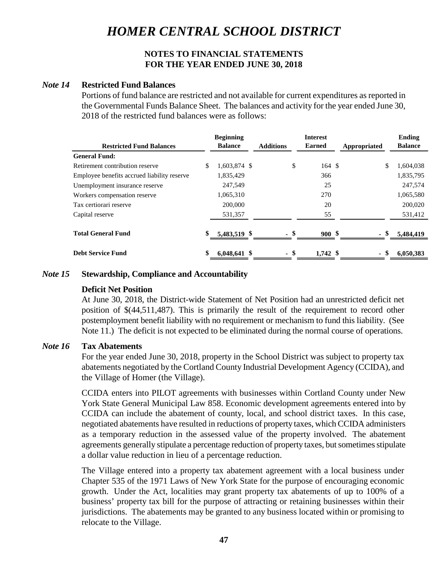## **NOTES TO FINANCIAL STATEMENTS FOR THE YEAR ENDED JUNE 30, 2018**

## *Note 14* **Restricted Fund Balances**

Portions of fund balance are restricted and not available for current expenditures as reported in the Governmental Funds Balance Sheet. The balances and activity for the year ended June 30, 2018 of the restricted fund balances were as follows:

| <b>Restricted Fund Balances</b>             | <b>Beginning</b><br><b>Balance</b> | <b>Additions</b> | <b>Interest</b><br><b>Earned</b> | Appropriated           | Ending<br><b>Balance</b> |
|---------------------------------------------|------------------------------------|------------------|----------------------------------|------------------------|--------------------------|
| <b>General Fund:</b>                        |                                    |                  |                                  |                        |                          |
| Retirement contribution reserve             | \$<br>1,603,874 \$                 | \$               | 164S                             | \$                     | 1,604,038                |
| Employee benefits accrued liability reserve | 1,835,429                          |                  | 366                              |                        | 1,835,795                |
| Unemployment insurance reserve              | 247,549                            |                  | 25                               |                        | 247,574                  |
| Workers compensation reserve                | 1,065,310                          |                  | 270                              |                        | 1,065,580                |
| Tax certiorari reserve                      | 200,000                            |                  | 20                               |                        | 200,020                  |
| Capital reserve                             | 531,357                            |                  | 55                               |                        | 531,412                  |
| <b>Total General Fund</b>                   | \$<br>5,483,519 \$                 | $-$ \$           | $900*$                           | - \$<br>$\blacksquare$ | 5,484,419                |
| <b>Debt Service Fund</b>                    | \$<br>$6,048,641$ \$               | $-$ \$           | $1,742$ \$                       | -\$                    | 6,050,383                |

## *Note 15* **Stewardship, Compliance and Accountability**

## **Deficit Net Position**

At June 30, 2018, the District-wide Statement of Net Position had an unrestricted deficit net position of \$(44,511,487). This is primarily the result of the requirement to record other postemployment benefit liability with no requirement or mechanism to fund this liability. (See Note 11.) The deficit is not expected to be eliminated during the normal course of operations.

## *Note 16* **Tax Abatements**

For the year ended June 30, 2018, property in the School District was subject to property tax abatements negotiated by the Cortland County Industrial Development Agency (CCIDA), and the Village of Homer (the Village).

CCIDA enters into PILOT agreements with businesses within Cortland County under New York State General Municipal Law 858. Economic development agreements entered into by CCIDA can include the abatement of county, local, and school district taxes. In this case, negotiated abatements have resulted in reductions of property taxes, which CCIDA administers as a temporary reduction in the assessed value of the property involved. The abatement agreements generally stipulate a percentage reduction of property taxes, but sometimes stipulate a dollar value reduction in lieu of a percentage reduction.

The Village entered into a property tax abatement agreement with a local business under Chapter 535 of the 1971 Laws of New York State for the purpose of encouraging economic growth. Under the Act, localities may grant property tax abatements of up to 100% of a business' property tax bill for the purpose of attracting or retaining businesses within their jurisdictions. The abatements may be granted to any business located within or promising to relocate to the Village.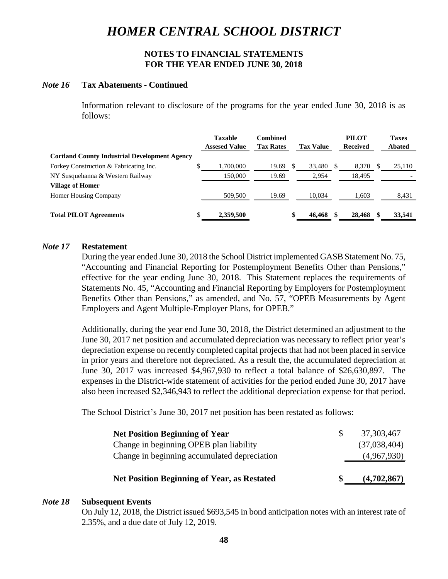## **NOTES TO FINANCIAL STATEMENTS FOR THE YEAR ENDED JUNE 30, 2018**

#### *Note 16* **Tax Abatements - Continued**

Information relevant to disclosure of the programs for the year ended June 30, 2018 is as follows:

|                                                      |     | <b>Taxable</b><br><b>Assesed Value</b> | <b>Combined</b><br><b>Tax Rates</b> | <b>Tax Value</b> | <b>PILOT</b><br><b>Received</b> | <b>Taxes</b><br><b>Abated</b> |
|------------------------------------------------------|-----|----------------------------------------|-------------------------------------|------------------|---------------------------------|-------------------------------|
| <b>Cortland County Industrial Development Agency</b> |     |                                        |                                     |                  |                                 |                               |
| Forkey Construction & Fabricating Inc.               | ۰D. | 1,700,000                              | 19.69                               | 33,480           | 8,370                           | 25,110                        |
| NY Susquehanna & Western Railway                     |     | 150.000                                | 19.69                               | 2.954            | 18,495                          |                               |
| <b>Village of Homer</b>                              |     |                                        |                                     |                  |                                 |                               |
| Homer Housing Company                                |     | 509,500                                | 19.69                               | 10.034           | 1.603                           | 8,431                         |
| <b>Total PILOT Agreements</b>                        | \$  | 2,359,500                              |                                     | \$<br>46.468     | 28,468                          | 33,541                        |

#### *Note 17* **Restatement**

During the year ended June 30, 2018 the School District implemented GASB Statement No. 75, "Accounting and Financial Reporting for Postemployment Benefits Other than Pensions," effective for the year ending June 30, 2018. This Statement replaces the requirements of Statements No. 45, "Accounting and Financial Reporting by Employers for Postemployment Benefits Other than Pensions," as amended, and No. 57, "OPEB Measurements by Agent Employers and Agent Multiple-Employer Plans, for OPEB."

Additionally, during the year end June 30, 2018, the District determined an adjustment to the June 30, 2017 net position and accumulated depreciation was necessary to reflect prior year's depreciation expense on recently completed capital projects that had not been placed in service in prior years and therefore not depreciated. As a result the, the accumulated depreciation at June 30, 2017 was increased \$4,967,930 to reflect a total balance of \$26,630,897. The expenses in the District-wide statement of activities for the period ended June 30, 2017 have also been increased \$2,346,943 to reflect the additional depreciation expense for that period.

The School District's June 30, 2017 net position has been restated as follows:

| 37, 303, 467 |
|--------------|
| (37,038,404) |
| (4,967,930)  |
|              |
| (4,702,867)  |
|              |

#### *Note 18* **Subsequent Events**

On July 12, 2018, the District issued \$693,545 in bond anticipation notes with an interest rate of 2.35%, and a due date of July 12, 2019.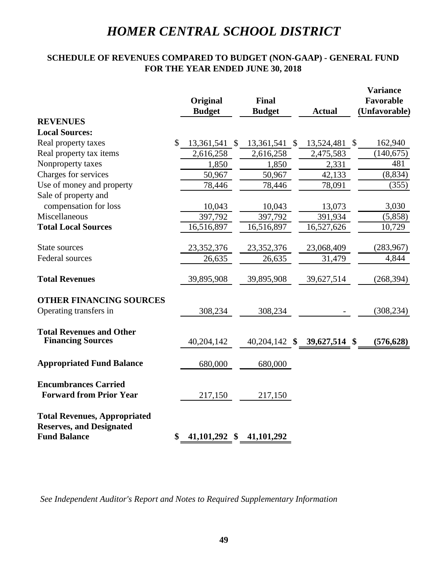## **SCHEDULE OF REVENUES COMPARED TO BUDGET (NON-GAAP) - GENERAL FUND FOR THE YEAR ENDED JUNE 30, 2018**

|                                                                                               |              | Original<br><b>Budget</b> |               | <b>Final</b><br><b>Budget</b> |              | <b>Actual</b>               | <b>Variance</b><br><b>Favorable</b><br>(Unfavorable) |
|-----------------------------------------------------------------------------------------------|--------------|---------------------------|---------------|-------------------------------|--------------|-----------------------------|------------------------------------------------------|
| <b>REVENUES</b>                                                                               |              |                           |               |                               |              |                             |                                                      |
| <b>Local Sources:</b>                                                                         |              |                           |               |                               |              |                             |                                                      |
| Real property taxes                                                                           | $\mathbb{S}$ | 13,361,541                | <sup>\$</sup> | 13,361,541                    | $\mathbb{S}$ | $\mathbb{S}$<br>13,524,481  | 162,940                                              |
| Real property tax items                                                                       |              | 2,616,258                 |               | 2,616,258                     |              | 2,475,583                   | (140, 675)                                           |
| Nonproperty taxes                                                                             |              | 1,850                     |               | 1,850                         |              | 2,331                       | 481                                                  |
| Charges for services                                                                          |              | 50,967                    |               | 50,967                        |              | 42,133                      | (8, 834)                                             |
| Use of money and property                                                                     |              | 78,446                    |               | 78,446                        |              | 78,091                      | (355)                                                |
| Sale of property and                                                                          |              |                           |               |                               |              |                             |                                                      |
| compensation for loss                                                                         |              | 10,043                    |               | 10,043                        |              | 13,073                      | 3,030                                                |
| Miscellaneous                                                                                 |              | 397,792                   |               | 397,792                       |              | 391,934                     | (5,858)                                              |
| <b>Total Local Sources</b>                                                                    |              | 16,516,897                |               | 16,516,897                    |              | 16,527,626                  | 10,729                                               |
| <b>State sources</b>                                                                          |              | 23,352,376                |               | 23,352,376                    |              | 23,068,409                  | (283,967)                                            |
| <b>Federal sources</b>                                                                        |              | 26,635                    |               | 26,635                        |              | 31,479                      | 4,844                                                |
| <b>Total Revenues</b>                                                                         |              | 39,895,908                |               | 39,895,908                    |              | 39,627,514                  | (268, 394)                                           |
| <b>OTHER FINANCING SOURCES</b>                                                                |              |                           |               |                               |              |                             |                                                      |
| Operating transfers in                                                                        |              | 308,234                   |               | 308,234                       |              |                             | (308, 234)                                           |
| <b>Total Revenues and Other</b><br><b>Financing Sources</b>                                   |              | 40,204,142                |               |                               |              | 40,204,142 \$ 39,627,514 \$ | (576, 628)                                           |
| <b>Appropriated Fund Balance</b>                                                              |              | 680,000                   |               | 680,000                       |              |                             |                                                      |
| <b>Encumbrances Carried</b><br><b>Forward from Prior Year</b>                                 |              | 217,150                   |               | 217,150                       |              |                             |                                                      |
| <b>Total Revenues, Appropriated</b><br><b>Reserves, and Designated</b><br><b>Fund Balance</b> | \$           |                           |               | 41,101,292 \$ 41,101,292      |              |                             |                                                      |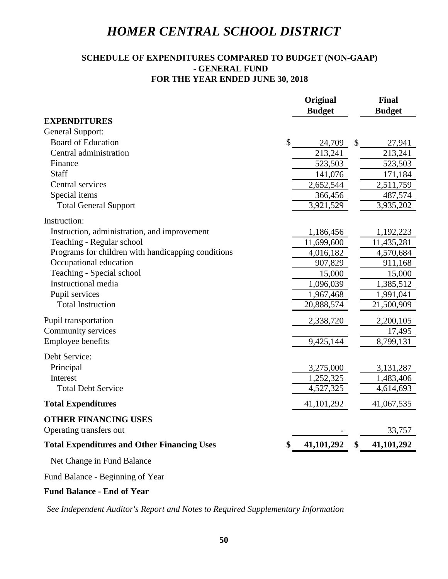## **SCHEDULE OF EXPENDITURES COMPARED TO BUDGET (NON-GAAP) FOR THE YEAR ENDED JUNE 30, 2018 - GENERAL FUND**

|                                                    |               | Original      | <b>Final</b>     |
|----------------------------------------------------|---------------|---------------|------------------|
|                                                    |               | <b>Budget</b> | <b>Budget</b>    |
| <b>EXPENDITURES</b>                                |               |               |                  |
| General Support:                                   |               |               |                  |
| <b>Board of Education</b>                          | $\mathcal{S}$ | 24,709        | \$<br>27,941     |
| Central administration                             |               | 213,241       | 213,241          |
| Finance                                            |               | 523,503       | 523,503          |
| <b>Staff</b>                                       |               | 141,076       | 171,184          |
| Central services                                   |               | 2,652,544     | 2,511,759        |
| Special items                                      |               | 366,456       | 487,574          |
| <b>Total General Support</b>                       |               | 3,921,529     | 3,935,202        |
| Instruction:                                       |               |               |                  |
| Instruction, administration, and improvement       |               | 1,186,456     | 1,192,223        |
| Teaching - Regular school                          |               | 11,699,600    | 11,435,281       |
| Programs for children with handicapping conditions |               | 4,016,182     | 4,570,684        |
| Occupational education                             |               | 907,829       | 911,168          |
| Teaching - Special school                          |               | 15,000        | 15,000           |
| Instructional media                                |               | 1,096,039     | 1,385,512        |
| Pupil services                                     |               | 1,967,468     | 1,991,041        |
| <b>Total Instruction</b>                           |               | 20,888,574    | 21,500,909       |
| Pupil transportation                               |               | 2,338,720     | 2,200,105        |
| Community services                                 |               |               | 17,495           |
| <b>Employee benefits</b>                           |               | 9,425,144     | 8,799,131        |
| Debt Service:                                      |               |               |                  |
| Principal                                          |               | 3,275,000     | 3,131,287        |
| Interest                                           |               | 1,252,325     | 1,483,406        |
| <b>Total Debt Service</b>                          |               | 4,527,325     | 4,614,693        |
| <b>Total Expenditures</b>                          |               | 41,101,292    | 41,067,535       |
| <b>OTHER FINANCING USES</b>                        |               |               |                  |
| Operating transfers out                            |               |               | 33,757           |
| <b>Total Expenditures and Other Financing Uses</b> | \$            | 41,101,292    | \$<br>41,101,292 |
| Net Change in Fund Balance                         |               |               |                  |

Fund Balance - Beginning of Year

## **Fund Balance - End of Year**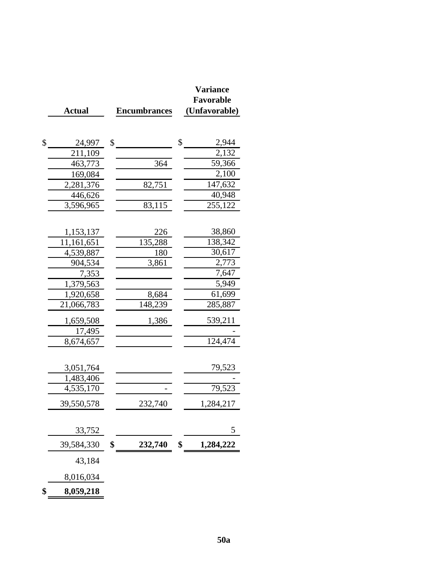|                 |                     | <b>Variance</b> |
|-----------------|---------------------|-----------------|
|                 |                     | Favorable       |
| <b>Actual</b>   | <b>Encumbrances</b> | (Unfavorable)   |
|                 |                     |                 |
| \$<br>24,997    | \$                  | \$<br>2,944     |
| 211,109         |                     | 2,132           |
| 463,773         | 364                 | 59,366          |
| 169,084         |                     | 2,100           |
| 2,281,376       | 82,751              | 147,632         |
| 446,626         |                     | 40,948          |
| 3,596,965       | 83,115              | 255,122         |
|                 |                     |                 |
| 1,153,137       | 226                 | 38,860          |
| 11,161,651      | 135,288             | 138,342         |
| 4,539,887       | 180                 | 30,617          |
| 904,534         | 3,861               | 2,773           |
| 7,353           |                     | 7,647           |
| 1,379,563       |                     | 5,949           |
| 1,920,658       | 8,684               | 61,699          |
| 21,066,783      | 148,239             | 285,887         |
| 1,659,508       | 1,386               | 539,211         |
| 17,495          |                     |                 |
| 8,674,657       |                     | 124,474         |
|                 |                     |                 |
| 3,051,764       |                     | 79,523          |
| 1,483,406       |                     |                 |
| 4,535,170       |                     | 79,523          |
| 39,550,578      | 232,740             | 1,284,217       |
|                 |                     |                 |
| 33,752          |                     | 5               |
| 39,584,330      | \$<br>232,740       | \$<br>1,284,222 |
| 43,184          |                     |                 |
| 8,016,034       |                     |                 |
| \$<br>8,059,218 |                     |                 |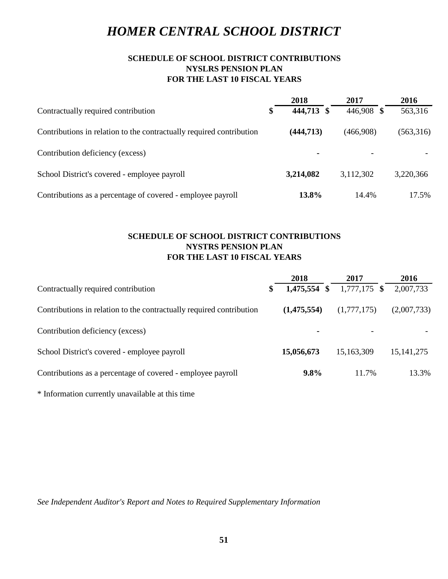## **SCHEDULE OF SCHOOL DISTRICT CONTRIBUTIONS NYSLRS PENSION PLAN FOR THE LAST 10 FISCAL YEARS**

|                                                                      | 2018             | 2017       | 2016      |
|----------------------------------------------------------------------|------------------|------------|-----------|
| Contractually required contribution                                  | \$<br>444,713 \$ | 446,908 \$ | 563,316   |
| Contributions in relation to the contractually required contribution | (444, 713)       | (466,908)  | (563,316) |
| Contribution deficiency (excess)                                     |                  |            |           |
| School District's covered - employee payroll                         | 3,214,082        | 3,112,302  | 3,220,366 |
| Contributions as a percentage of covered - employee payroll          | 13.8%            | 14.4%      | 17.5%     |

## **FOR THE LAST 10 FISCAL YEARS SCHEDULE OF SCHOOL DISTRICT CONTRIBUTIONS NYSTRS PENSION PLAN**

|                                                                      | 2018                 | 2017           | 2016         |
|----------------------------------------------------------------------|----------------------|----------------|--------------|
| Contractually required contribution                                  | \$<br>$1,475,554$ \$ | $1,777,175$ \$ | 2,007,733    |
| Contributions in relation to the contractually required contribution | (1,475,554)          | (1,777,175)    | (2,007,733)  |
| Contribution deficiency (excess)                                     |                      |                |              |
| School District's covered - employee payroll                         | 15,056,673           | 15,163,309     | 15, 141, 275 |
| Contributions as a percentage of covered - employee payroll          | 9.8%                 | 11.7%          | 13.3%        |

\* Information currently unavailable at this time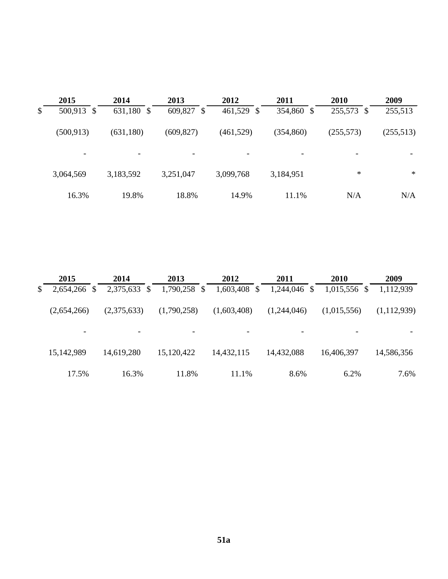| 2015                     | 2014       | 2013            | 2012                     | 2011                     | 2010       | 2009      |
|--------------------------|------------|-----------------|--------------------------|--------------------------|------------|-----------|
| \$<br>500,913 \$         | 631,180 \$ | 609,827<br>- \$ | 461,529<br>$\mathbb{S}$  | 354,860<br>\$            | 255,573 \$ | 255,513   |
| (500, 913)               | (631, 180) | (609, 827)      | (461,529)                | (354, 860)               | (255, 573) | (255,513) |
| $\overline{\phantom{a}}$ |            |                 | $\overline{\phantom{a}}$ | $\overline{\phantom{0}}$ |            |           |
| 3,064,569                | 3,183,592  | 3,251,047       | 3,099,768                | 3,184,951                | $\ast$     | $\ast$    |
| 16.3%                    | 19.8%      | 18.8%           | 14.9%                    | 11.1%                    | N/A        | N/A       |

| 2015                             | 2014                                   | 2013                     | 2012                                   | 2011                      | 2010                     | 2009        |
|----------------------------------|----------------------------------------|--------------------------|----------------------------------------|---------------------------|--------------------------|-------------|
| \$<br>2,654,266<br><sup>\$</sup> | 2,375,633<br>$\boldsymbol{\mathsf{S}}$ | 1,790,258 \$             | 1,603,408<br>$\boldsymbol{\mathsf{S}}$ | 1,244,046<br>$\mathbb{S}$ | 1,015,556 \$             | 1,112,939   |
| (2,654,266)                      | (2,375,633)                            | (1,790,258)              | (1,603,408)                            | (1,244,046)               | (1,015,556)              | (1,112,939) |
| $\overline{\phantom{0}}$         |                                        | $\overline{\phantom{0}}$ | $\overline{\phantom{a}}$               | -                         | $\overline{\phantom{0}}$ |             |
| 15,142,989                       | 14,619,280                             | 15,120,422               | 14,432,115                             | 14,432,088                | 16,406,397               | 14,586,356  |
| 17.5%                            | 16.3%                                  | 11.8%                    | 11.1%                                  | 8.6%                      | 6.2%                     | 7.6%        |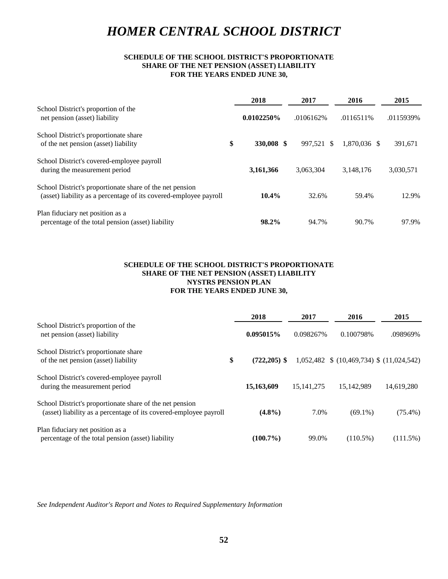#### **SCHEDULE OF THE SCHOOL DISTRICT'S PROPORTIONATE SHARE OF THE NET PENSION (ASSET) LIABILITY FOR THE YEARS ENDED JUNE 30,**

|                                                                                                                               | 2018             | 2017                     | 2016         | 2015      |
|-------------------------------------------------------------------------------------------------------------------------------|------------------|--------------------------|--------------|-----------|
| School District's proportion of the<br>net pension (asset) liability                                                          | $0.0102250\%$    | .0106162\%               | .0116511%    | .0115939% |
| School District's proportionate share<br>of the net pension (asset) liability                                                 | \$<br>330,008 \$ | 997.521<br><sup>\$</sup> | 1,870,036 \$ | 391,671   |
| School District's covered-employee payroll<br>during the measurement period                                                   | 3,161,366        | 3,063,304                | 3,148,176    | 3,030,571 |
| School District's proportionate share of the net pension<br>(asset) liability as a percentage of its covered-employee payroll | $10.4\%$         | 32.6%                    | 59.4%        | 12.9%     |
| Plan fiduciary net position as a<br>percentage of the total pension (asset) liability                                         | 98.2%            | 94.7%                    | 90.7%        | 97.9%     |

#### **SCHEDULE OF THE SCHOOL DISTRICT'S PROPORTIONATE SHARE OF THE NET PENSION (ASSET) LIABILITY NYSTRS PENSION PLAN FOR THE YEARS ENDED JUNE 30,**

|                                                                                                                               | 2018                 | 2017         | 2016                                                 | 2015       |
|-------------------------------------------------------------------------------------------------------------------------------|----------------------|--------------|------------------------------------------------------|------------|
| School District's proportion of the<br>net pension (asset) liability                                                          | 0.095015%            | 0.098267%    | 0.100798%                                            | .098969%   |
| School District's proportionate share<br>of the net pension (asset) liability                                                 | \$<br>$(722.205)$ \$ |              | $1,052,482 \text{ }$ \$ (10,469,734) \$ (11,024,542) |            |
| School District's covered-employee payroll<br>during the measurement period                                                   | 15,163,609           | 15, 141, 275 | 15.142.989                                           | 14,619,280 |
| School District's proportionate share of the net pension<br>(asset) liability as a percentage of its covered-employee payroll | $(4.8\%)$            | 7.0%         | $(69.1\%)$                                           | $(75.4\%)$ |
| Plan fiduciary net position as a<br>percentage of the total pension (asset) liability                                         | $(100.7\%)$          | 99.0%        | $(110.5\%)$                                          | (111.5%)   |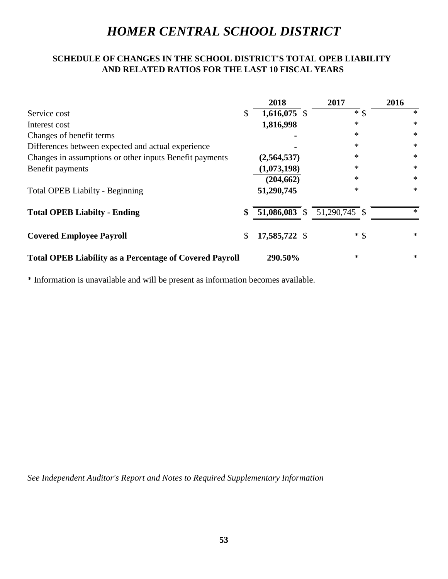## **SCHEDULE OF CHANGES IN THE SCHOOL DISTRICT'S TOTAL OPEB LIABILITY AND RELATED RATIOS FOR THE LAST 10 FISCAL YEARS**

|                                                                | 2018                 | 2017          | 2016   |
|----------------------------------------------------------------|----------------------|---------------|--------|
| Service cost                                                   | \$<br>$1,616,075$ \$ | $*$ \$        | $\ast$ |
| Interest cost                                                  | 1,816,998            | $\ast$        | $\ast$ |
| Changes of benefit terms                                       |                      | $\ast$        | $\ast$ |
| Differences between expected and actual experience             |                      | $\ast$        | $\ast$ |
| Changes in assumptions or other inputs Benefit payments        | (2,564,537)          | $\ast$        | $\ast$ |
| Benefit payments                                               | (1,073,198)          | $\ast$        | $\ast$ |
|                                                                | (204, 662)           | $\ast$        | $\ast$ |
| <b>Total OPEB Liabilty - Beginning</b>                         | 51,290,745           | $\ast$        | $\ast$ |
| <b>Total OPEB Liabilty - Ending</b>                            | \$<br>51,086,083 \$  | 51,290,745 \$ | $\ast$ |
| <b>Covered Employee Payroll</b>                                | \$<br>17,585,722 \$  | $*$ \$        | $\ast$ |
| <b>Total OPEB Liability as a Percentage of Covered Payroll</b> | 290.50%              | $\ast$        | $\ast$ |

\* Information is unavailable and will be present as information becomes available.

*See Independent Auditor's Report and Notes to Required Supplementary Information*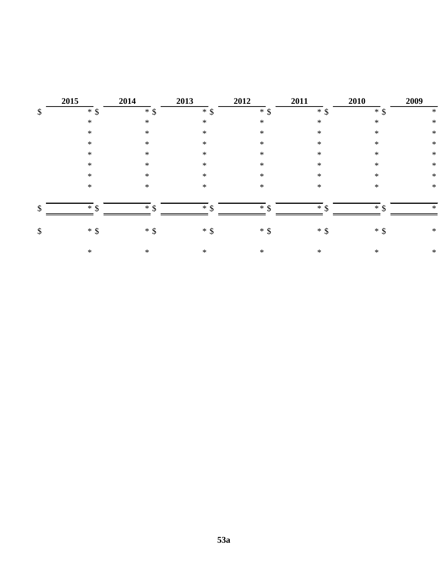| 2015         | 2014   | 2013   | 2012   | 2011   | 2010   | 2009   |
|--------------|--------|--------|--------|--------|--------|--------|
| \$<br>$*$ \$ | $*$ \$ | $*$ \$ | $*$ \$ | $*$ \$ | $*$ \$ | $\ast$ |
| $\ast$       | $\ast$ | $\ast$ | $\ast$ | $\ast$ | $\ast$ | $\ast$ |
| $\ast$       | $\ast$ | $\ast$ | $\ast$ | $\ast$ | $\ast$ | $\ast$ |
| $\ast$       | $\ast$ | $\ast$ | $\ast$ | $\ast$ | $\ast$ | $\ast$ |
| $\ast$       | $\ast$ | $\ast$ | $\ast$ | $\ast$ | $\ast$ | $\ast$ |
| $\ast$       | $\ast$ | $\ast$ | $\ast$ | ∗      | $\ast$ | $\ast$ |
| $\ast$       | $\ast$ | $\ast$ | $\ast$ | $\ast$ | $\ast$ | $\ast$ |
| $\ast$       | $\ast$ | $\ast$ | $\ast$ | $\ast$ | $\ast$ | $\ast$ |
|              |        |        |        |        |        |        |
| \$<br>$*$ \$ | $*$ \$ | $*$ \$ | $*$ \$ | $*$ \$ | $*$ \$ | $\ast$ |
|              |        |        |        |        |        |        |
| \$<br>$*$ \$ | $*$ \$ | $*$ \$ | $*$ \$ | $*$ \$ | $*$ \$ | $\ast$ |
| $\ast$       | $\ast$ | $\ast$ | $\ast$ | $\ast$ | $\ast$ | $\ast$ |
|              |        |        |        |        |        |        |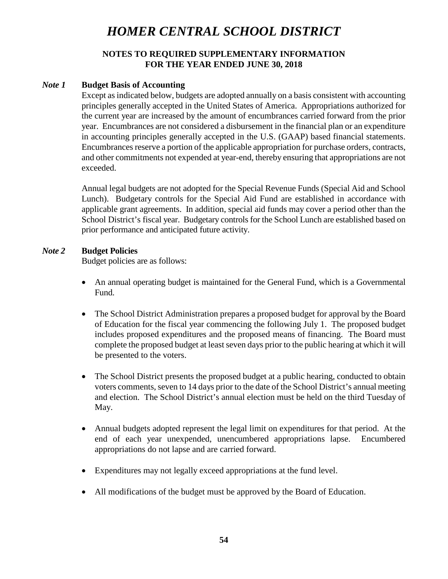## **NOTES TO REQUIRED SUPPLEMENTARY INFORMATION FOR THE YEAR ENDED JUNE 30, 2018**

## *Note 1* **Budget Basis of Accounting**

Except as indicated below, budgets are adopted annually on a basis consistent with accounting principles generally accepted in the United States of America. Appropriations authorized for the current year are increased by the amount of encumbrances carried forward from the prior year. Encumbrances are not considered a disbursement in the financial plan or an expenditure in accounting principles generally accepted in the U.S. (GAAP) based financial statements. Encumbrances reserve a portion of the applicable appropriation for purchase orders, contracts, and other commitments not expended at year-end, thereby ensuring that appropriations are not exceeded.

Annual legal budgets are not adopted for the Special Revenue Funds (Special Aid and School Lunch). Budgetary controls for the Special Aid Fund are established in accordance with applicable grant agreements. In addition, special aid funds may cover a period other than the School District's fiscal year. Budgetary controls for the School Lunch are established based on prior performance and anticipated future activity.

## *Note 2* **Budget Policies**

Budget policies are as follows:

- An annual operating budget is maintained for the General Fund, which is a Governmental Fund.
- The School District Administration prepares a proposed budget for approval by the Board of Education for the fiscal year commencing the following July 1. The proposed budget includes proposed expenditures and the proposed means of financing. The Board must complete the proposed budget at least seven days prior to the public hearing at which it will be presented to the voters.
- The School District presents the proposed budget at a public hearing, conducted to obtain voters comments, seven to 14 days prior to the date of the School District's annual meeting and election. The School District's annual election must be held on the third Tuesday of May.
- Annual budgets adopted represent the legal limit on expenditures for that period. At the end of each year unexpended, unencumbered appropriations lapse. Encumbered appropriations do not lapse and are carried forward.
- Expenditures may not legally exceed appropriations at the fund level.
- All modifications of the budget must be approved by the Board of Education.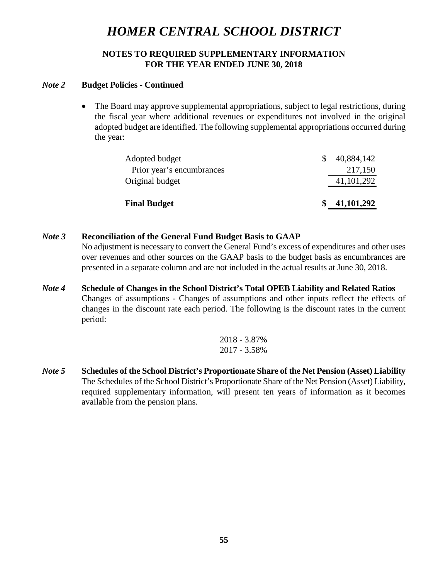## **NOTES TO REQUIRED SUPPLEMENTARY INFORMATION FOR THE YEAR ENDED JUNE 30, 2018**

#### *Note 2* **Budget Policies - Continued**

• The Board may approve supplemental appropriations, subject to legal restrictions, during the fiscal year where additional revenues or expenditures not involved in the original adopted budget are identified. The following supplemental appropriations occurred during the year:

| 40,884,142   |
|--------------|
| 217,150      |
| 41, 101, 292 |
|              |
| 41, 101, 292 |
|              |

## *Note 3* **Reconciliation of the General Fund Budget Basis to GAAP**

No adjustment is necessary to convert the General Fund's excess of expenditures and other uses over revenues and other sources on the GAAP basis to the budget basis as encumbrances are presented in a separate column and are not included in the actual results at June 30, 2018.

*Note 4* **Schedule of Changes in the School District's Total OPEB Liability and Related Ratios** Changes of assumptions - Changes of assumptions and other inputs reflect the effects of changes in the discount rate each period. The following is the discount rates in the current period:

$$
\frac{2018 - 3.87\%}{2017 - 3.58\%}
$$

*Note 5* **Schedules of the School District's Proportionate Share of the Net Pension (Asset) Liability**  The Schedules of the School District's Proportionate Share of the Net Pension (Asset) Liability, required supplementary information, will present ten years of information as it becomes available from the pension plans.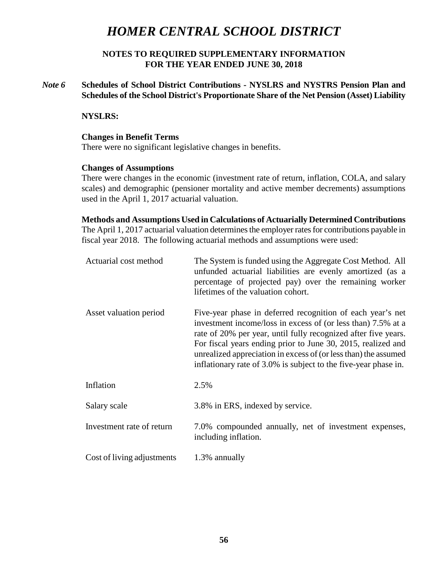## **NOTES TO REQUIRED SUPPLEMENTARY INFORMATION FOR THE YEAR ENDED JUNE 30, 2018**

*Note 6* **Schedules of School District Contributions - NYSLRS and NYSTRS Pension Plan and Schedules of the School District's Proportionate Share of the Net Pension (Asset) Liability** 

#### **NYSLRS:**

#### **Changes in Benefit Terms**

There were no significant legislative changes in benefits.

#### **Changes of Assumptions**

There were changes in the economic (investment rate of return, inflation, COLA, and salary scales) and demographic (pensioner mortality and active member decrements) assumptions used in the April 1, 2017 actuarial valuation.

**Methods and Assumptions Used in Calculations of Actuarially Determined Contributions** The April 1, 2017 actuarial valuation determines the employer rates for contributions payable in fiscal year 2018. The following actuarial methods and assumptions were used:

| Actuarial cost method      | The System is funded using the Aggregate Cost Method. All<br>unfunded actuarial liabilities are evenly amortized (as a<br>percentage of projected pay) over the remaining worker<br>lifetimes of the valuation cohort.                                                                                                                                                                             |
|----------------------------|----------------------------------------------------------------------------------------------------------------------------------------------------------------------------------------------------------------------------------------------------------------------------------------------------------------------------------------------------------------------------------------------------|
| Asset valuation period     | Five-year phase in deferred recognition of each year's net<br>investment income/loss in excess of (or less than) 7.5% at a<br>rate of 20% per year, until fully recognized after five years.<br>For fiscal years ending prior to June 30, 2015, realized and<br>unrealized appreciation in excess of (or less than) the assumed<br>inflationary rate of 3.0% is subject to the five-year phase in. |
| Inflation                  | 2.5%                                                                                                                                                                                                                                                                                                                                                                                               |
| Salary scale               | 3.8% in ERS, indexed by service.                                                                                                                                                                                                                                                                                                                                                                   |
| Investment rate of return  | 7.0% compounded annually, net of investment expenses,<br>including inflation.                                                                                                                                                                                                                                                                                                                      |
| Cost of living adjustments | 1.3% annually                                                                                                                                                                                                                                                                                                                                                                                      |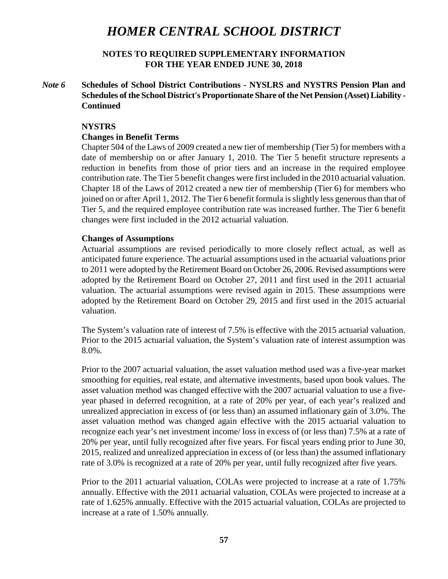**NOTES TO REQUIRED SUPPLEMENTARY INFORMATION FOR THE YEAR ENDED JUNE 30, 2018**

*Note 6* **Schedules of School District Contributions - NYSLRS and NYSTRS Pension Plan and Schedules of the School District's Proportionate Share of the Net Pension (Asset) Liability - Continued**

#### **NYSTRS**

#### **Changes in Benefit Terms**

Chapter 504 of the Laws of 2009 created a new tier of membership (Tier 5) for members with a date of membership on or after January 1, 2010. The Tier 5 benefit structure represents a reduction in benefits from those of prior tiers and an increase in the required employee contribution rate. The Tier 5 benefit changes were first included in the 2010 actuarial valuation. Chapter 18 of the Laws of 2012 created a new tier of membership (Tier 6) for members who joined on or after April 1, 2012. The Tier 6 benefit formula is slightly less generous than that of Tier 5, and the required employee contribution rate was increased further. The Tier 6 benefit changes were first included in the 2012 actuarial valuation.

#### **Changes of Assumptions**

Actuarial assumptions are revised periodically to more closely reflect actual, as well as anticipated future experience. The actuarial assumptions used in the actuarial valuations prior to 2011 were adopted by the Retirement Board on October 26, 2006. Revised assumptions were adopted by the Retirement Board on October 27, 2011 and first used in the 2011 actuarial valuation. The actuarial assumptions were revised again in 2015. These assumptions were adopted by the Retirement Board on October 29, 2015 and first used in the 2015 actuarial valuation.

The System's valuation rate of interest of 7.5% is effective with the 2015 actuarial valuation. Prior to the 2015 actuarial valuation, the System's valuation rate of interest assumption was 8.0%.

Prior to the 2007 actuarial valuation, the asset valuation method used was a five-year market smoothing for equities, real estate, and alternative investments, based upon book values. The asset valuation method was changed effective with the 2007 actuarial valuation to use a fiveyear phased in deferred recognition, at a rate of 20% per year, of each year's realized and unrealized appreciation in excess of (or less than) an assumed inflationary gain of 3.0%. The asset valuation method was changed again effective with the 2015 actuarial valuation to recognize each year's net investment income/ loss in excess of (or less than) 7.5% at a rate of 20% per year, until fully recognized after five years. For fiscal years ending prior to June 30, 2015, realized and unrealized appreciation in excess of (or less than) the assumed inflationary rate of 3.0% is recognized at a rate of 20% per year, until fully recognized after five years.

Prior to the 2011 actuarial valuation, COLAs were projected to increase at a rate of 1.75% annually. Effective with the 2011 actuarial valuation, COLAs were projected to increase at a rate of 1.625% annually. Effective with the 2015 actuarial valuation, COLAs are projected to increase at a rate of 1.50% annually.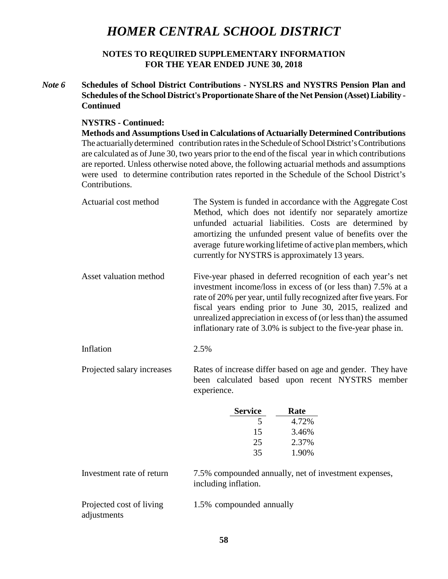**NOTES TO REQUIRED SUPPLEMENTARY INFORMATION FOR THE YEAR ENDED JUNE 30, 2018**

*Note 6* **Schedules of School District Contributions - NYSLRS and NYSTRS Pension Plan and Schedules of the School District's Proportionate Share of the Net Pension (Asset) Liability - Continued**

#### **NYSTRS - Continued:**

**Methods and Assumptions Used in Calculations of Actuarially Determined Contributions** The actuarially determined contribution rates in the Schedule of School District's Contributions are calculated as of June 30, two years prior to the end of the fiscal year in which contributions are reported. Unless otherwise noted above, the following actuarial methods and assumptions were used to determine contribution rates reported in the Schedule of the School District's Contributions.

| Actuarial cost method  | The System is funded in accordance with the Aggregate Cost<br>Method, which does not identify nor separately amortize<br>unfunded actuarial liabilities. Costs are determined by<br>amortizing the unfunded present value of benefits over the<br>average future working lifetime of active plan members, which<br>currently for NYSTRS is approximately 13 years.                                  |
|------------------------|-----------------------------------------------------------------------------------------------------------------------------------------------------------------------------------------------------------------------------------------------------------------------------------------------------------------------------------------------------------------------------------------------------|
| Asset valuation method | Five-year phased in deferred recognition of each year's net<br>investment income/loss in excess of (or less than) 7.5% at a<br>rate of 20% per year, until fully recognized after five years. For<br>fiscal years ending prior to June 30, 2015, realized and<br>unrealized appreciation in excess of (or less than) the assumed<br>inflationary rate of 3.0% is subject to the five-year phase in. |
| Inflation              | 2.5%                                                                                                                                                                                                                                                                                                                                                                                                |

Projected salary increases Rates of increase differ based on age and gender. They have been calculated based upon recent NYSTRS member experience.

|                           | <b>Service</b>                                                                | Rate  |  |
|---------------------------|-------------------------------------------------------------------------------|-------|--|
|                           |                                                                               | 4.72% |  |
|                           | 15                                                                            | 3.46% |  |
|                           | 25                                                                            | 2.37% |  |
|                           | 35                                                                            | 1.90% |  |
| Investment rate of return | 7.5% compounded annually, net of investment expenses,<br>including inflation. |       |  |

| Projected cost of living |                          |
|--------------------------|--------------------------|
|                          | 1.5% compounded annually |
| adjustments              |                          |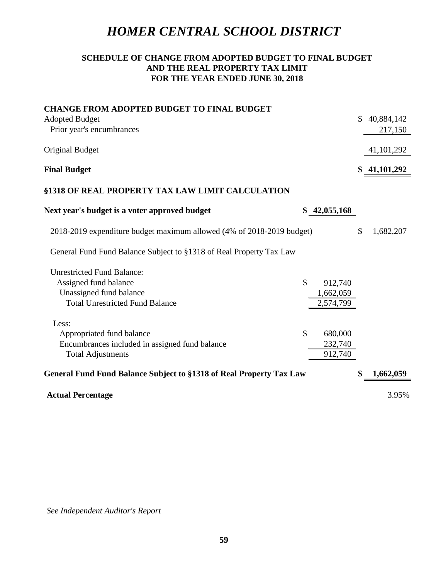## **SCHEDULE OF CHANGE FROM ADOPTED BUDGET TO FINAL BUDGET AND THE REAL PROPERTY TAX LIMIT FOR THE YEAR ENDED JUNE 30, 2018**

| <b>CHANGE FROM ADOPTED BUDGET TO FINAL BUDGET</b>                     |                  |
|-----------------------------------------------------------------------|------------------|
| <b>Adopted Budget</b>                                                 | \$<br>40,884,142 |
| Prior year's encumbrances                                             | 217,150          |
| <b>Original Budget</b>                                                | 41, 101, 292     |
| <b>Final Budget</b>                                                   | \$41,101,292     |
| <b>§1318 OF REAL PROPERTY TAX LAW LIMIT CALCULATION</b>               |                  |
| Next year's budget is a voter approved budget<br>42,055,168           |                  |
| 2018-2019 expenditure budget maximum allowed (4% of 2018-2019 budget) | \$<br>1,682,207  |
| General Fund Fund Balance Subject to §1318 of Real Property Tax Law   |                  |
| <b>Unrestricted Fund Balance:</b>                                     |                  |
| $\mathcal{S}$<br>Assigned fund balance<br>912,740                     |                  |
| Unassigned fund balance<br>1,662,059                                  |                  |
| <b>Total Unrestricted Fund Balance</b><br>2,574,799                   |                  |
| Less:                                                                 |                  |
| $\mathcal{S}$<br>Appropriated fund balance<br>680,000                 |                  |
| Encumbrances included in assigned fund balance<br>232,740             |                  |
| 912,740<br><b>Total Adjustments</b>                                   |                  |
| General Fund Fund Balance Subject to §1318 of Real Property Tax Law   | \$<br>1,662,059  |
| <b>Actual Percentage</b>                                              | 3.95%            |

*See Independent Auditor's Report*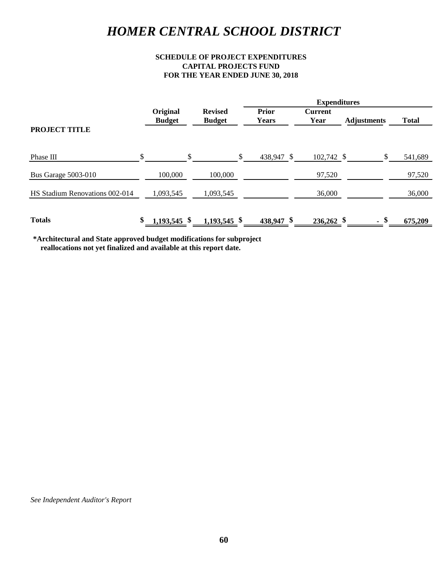#### **SCHEDULE OF PROJECT EXPENDITURES CAPITAL PROJECTS FUND FOR THE YEAR ENDED JUNE 30, 2018**

|                                |                           |                                 | <b>Expenditures</b>          |  |                        |  |                       |              |  |
|--------------------------------|---------------------------|---------------------------------|------------------------------|--|------------------------|--|-----------------------|--------------|--|
| <b>PROJECT TITLE</b>           | Original<br><b>Budget</b> | <b>Revised</b><br><b>Budget</b> | <b>Prior</b><br><b>Years</b> |  | <b>Current</b><br>Year |  | <b>Adjustments</b>    | <b>Total</b> |  |
| Phase III                      | \$<br>\$                  | \$                              | 438,947 \$                   |  | 102,742 \$             |  | \$                    | 541,689      |  |
| <b>Bus Garage 5003-010</b>     | 100,000                   | 100,000                         |                              |  | 97,520                 |  |                       | 97,520       |  |
| HS Stadium Renovations 002-014 | 1,093,545                 | 1,093,545                       |                              |  | 36,000                 |  |                       | 36,000       |  |
| <b>Totals</b>                  | \$<br>$1,193,545$ \$      | $1,193,545$ \$                  | $438,947$ \$                 |  | $236,262$ \$           |  | -\$<br>$\blacksquare$ | 675,209      |  |

**\*Architectural and State approved budget modifications for subproject reallocations not yet finalized and available at this report date.**

*See Independent Auditor's Report*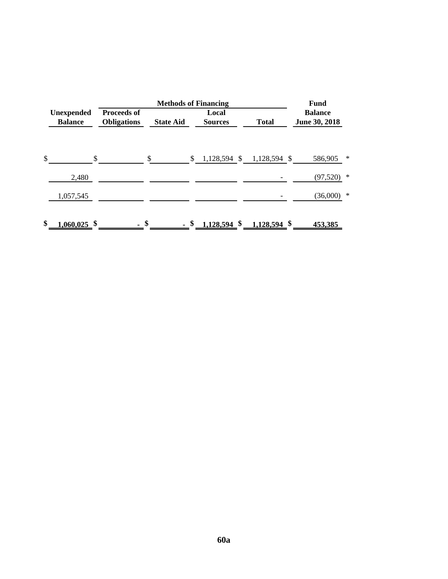|                              | <b>Methods of Financing</b>       |                  |        |                         |                               |                                 |        |  |  |
|------------------------------|-----------------------------------|------------------|--------|-------------------------|-------------------------------|---------------------------------|--------|--|--|
| Unexpended<br><b>Balance</b> | Proceeds of<br><b>Obligations</b> | <b>State Aid</b> |        | Local<br><b>Sources</b> | <b>Total</b>                  | <b>Balance</b><br>June 30, 2018 |        |  |  |
| \$<br>\$                     |                                   | \$               | \$     |                         | $1,128,594$ \$ $1,128,594$ \$ | 586,905                         | $\ast$ |  |  |
| 2,480                        |                                   |                  |        |                         |                               | (97, 520)                       | ∗      |  |  |
| 1,057,545                    |                                   |                  |        |                         |                               | (36,000)                        | ∗      |  |  |
| \$<br>$1,060,025$ \$         | $-$ \$                            |                  | $-$ \$ | $1,128,594$ \$          | $1,128,594$ \$                | 453,385                         |        |  |  |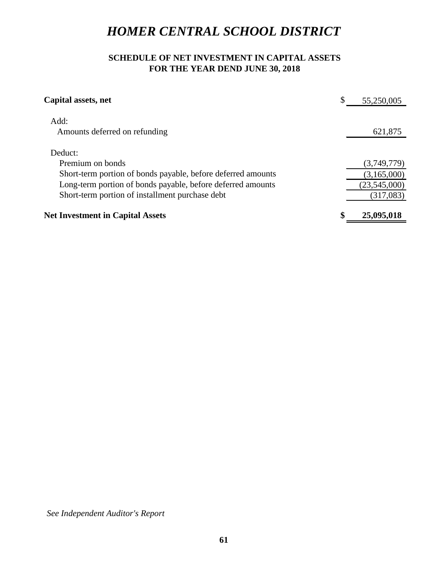## **SCHEDULE OF NET INVESTMENT IN CAPITAL ASSETS FOR THE YEAR DEND JUNE 30, 2018**

| Capital assets, net                                          | \$<br>55,250,005 |
|--------------------------------------------------------------|------------------|
| Add:                                                         |                  |
| Amounts deferred on refunding                                | 621,875          |
| Deduct:                                                      |                  |
| Premium on bonds                                             | (3,749,779)      |
| Short-term portion of bonds payable, before deferred amounts | (3,165,000)      |
| Long-term portion of bonds payable, before deferred amounts  | (23, 545, 000)   |
| Short-term portion of installment purchase debt              | (317,083)        |
| <b>Net Investment in Capital Assets</b>                      | \$<br>25,095,018 |

*See Independent Auditor's Report*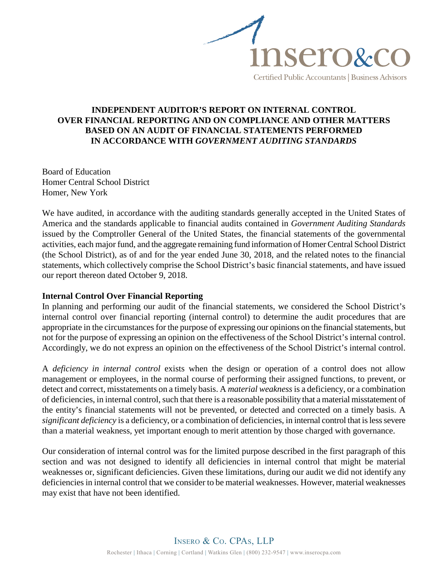

## **INDEPENDENT AUDITOR'S REPORT ON INTERNAL CONTROL OVER FINANCIAL REPORTING AND ON COMPLIANCE AND OTHER MATTERS BASED ON AN AUDIT OF FINANCIAL STATEMENTS PERFORMED IN ACCORDANCE WITH** *GOVERNMENT AUDITING STANDARDS*

Board of Education Homer Central School District Homer, New York

We have audited, in accordance with the auditing standards generally accepted in the United States of America and the standards applicable to financial audits contained in *Government Auditing Standards*  issued by the Comptroller General of the United States, the financial statements of the governmental activities, each major fund, and the aggregate remaining fund information of Homer Central School District (the School District), as of and for the year ended June 30, 2018, and the related notes to the financial statements, which collectively comprise the School District's basic financial statements, and have issued our report thereon dated October 9, 2018.

#### **Internal Control Over Financial Reporting**

In planning and performing our audit of the financial statements, we considered the School District's internal control over financial reporting (internal control) to determine the audit procedures that are appropriate in the circumstances for the purpose of expressing our opinions on the financial statements, but not for the purpose of expressing an opinion on the effectiveness of the School District's internal control. Accordingly, we do not express an opinion on the effectiveness of the School District's internal control.

A *deficiency in internal control* exists when the design or operation of a control does not allow management or employees, in the normal course of performing their assigned functions, to prevent, or detect and correct, misstatements on a timely basis. A *material weakness*is a deficiency, or a combination of deficiencies, in internal control, such that there is a reasonable possibility that a material misstatement of the entity's financial statements will not be prevented, or detected and corrected on a timely basis. A *significant deficiency* is a deficiency, or a combination of deficiencies, in internal control that is less severe than a material weakness, yet important enough to merit attention by those charged with governance.

Our consideration of internal control was for the limited purpose described in the first paragraph of this section and was not designed to identify all deficiencies in internal control that might be material weaknesses or, significant deficiencies. Given these limitations, during our audit we did not identify any deficiencies in internal control that we consider to be material weaknesses. However, material weaknesses may exist that have not been identified.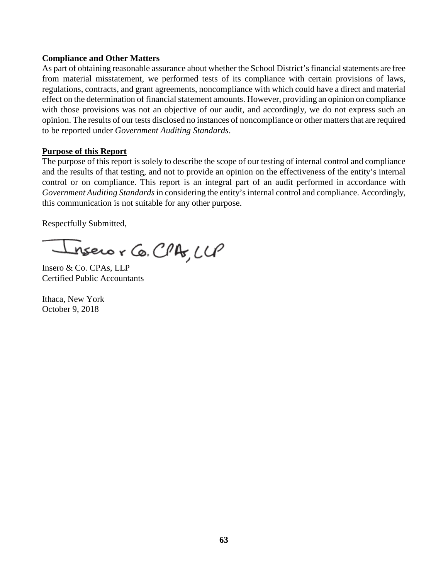## **Compliance and Other Matters**

As part of obtaining reasonable assurance about whether the School District's financial statements are free from material misstatement, we performed tests of its compliance with certain provisions of laws, regulations, contracts, and grant agreements, noncompliance with which could have a direct and material effect on the determination of financial statement amounts. However, providing an opinion on compliance with those provisions was not an objective of our audit, and accordingly, we do not express such an opinion. The results of our tests disclosed no instances of noncompliance or other matters that are required to be reported under *Government Auditing Standards*.

#### **Purpose of this Report**

The purpose of this report is solely to describe the scope of our testing of internal control and compliance and the results of that testing, and not to provide an opinion on the effectiveness of the entity's internal control or on compliance. This report is an integral part of an audit performed in accordance with *Government Auditing Standards*in considering the entity's internal control and compliance. Accordingly, this communication is not suitable for any other purpose.

Respectfully Submitted,

nsero r Co. CPA, LLP

Insero & Co. CPAs, LLP Certified Public Accountants

Ithaca, New York October 9, 2018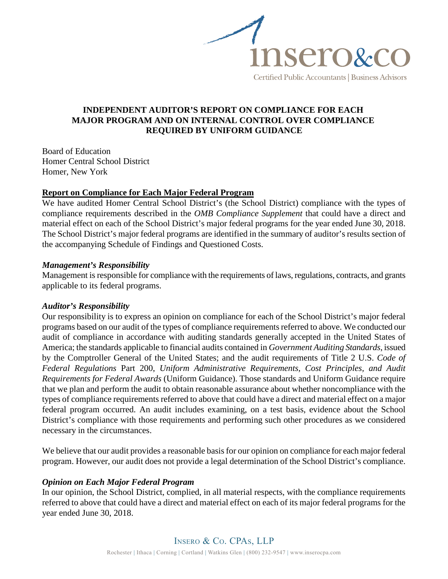

## **INDEPENDENT AUDITOR'S REPORT ON COMPLIANCE FOR EACH MAJOR PROGRAM AND ON INTERNAL CONTROL OVER COMPLIANCE REQUIRED BY UNIFORM GUIDANCE**

Board of Education Homer Central School District Homer, New York

#### **Report on Compliance for Each Major Federal Program**

We have audited Homer Central School District's (the School District) compliance with the types of compliance requirements described in the *OMB Compliance Supplement* that could have a direct and material effect on each of the School District's major federal programs for the year ended June 30, 2018. The School District's major federal programs are identified in the summary of auditor's results section of the accompanying Schedule of Findings and Questioned Costs.

## *Management's Responsibility*

Management is responsible for compliance with the requirements of laws, regulations, contracts, and grants applicable to its federal programs.

#### *Auditor's Responsibility*

Our responsibility is to express an opinion on compliance for each of the School District's major federal programs based on our audit of the types of compliance requirements referred to above. We conducted our audit of compliance in accordance with auditing standards generally accepted in the United States of America; the standards applicable to financial audits contained in *Government Auditing Standards*, issued by the Comptroller General of the United States; and the audit requirements of Title 2 U.S. *Code of Federal Regulations* Part 200, *Uniform Administrative Requirements, Cost Principles, and Audit Requirements for Federal Awards* (Uniform Guidance). Those standards and Uniform Guidance require that we plan and perform the audit to obtain reasonable assurance about whether noncompliance with the types of compliance requirements referred to above that could have a direct and material effect on a major federal program occurred. An audit includes examining, on a test basis, evidence about the School District's compliance with those requirements and performing such other procedures as we considered necessary in the circumstances.

We believe that our audit provides a reasonable basis for our opinion on compliance for each major federal program. However, our audit does not provide a legal determination of the School District's compliance.

## *Opinion on Each Major Federal Program*

In our opinion, the School District, complied, in all material respects, with the compliance requirements referred to above that could have a direct and material effect on each of its major federal programs for the year ended June 30, 2018.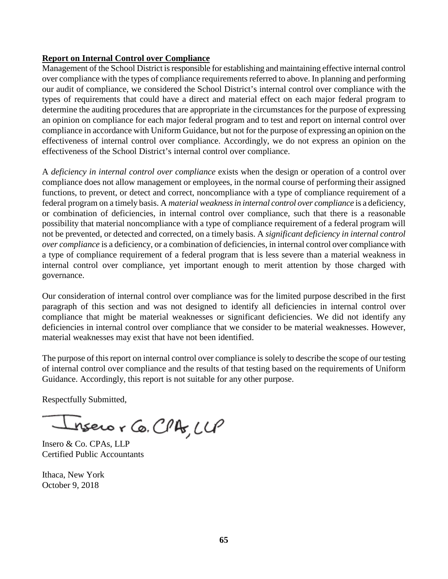## **Report on Internal Control over Compliance**

Management of the School District is responsible for establishing and maintaining effective internal control over compliance with the types of compliance requirements referred to above. In planning and performing our audit of compliance, we considered the School District's internal control over compliance with the types of requirements that could have a direct and material effect on each major federal program to determine the auditing procedures that are appropriate in the circumstances for the purpose of expressing an opinion on compliance for each major federal program and to test and report on internal control over compliance in accordance with Uniform Guidance, but not for the purpose of expressing an opinion on the effectiveness of internal control over compliance. Accordingly, we do not express an opinion on the effectiveness of the School District's internal control over compliance.

A *deficiency in internal control over compliance* exists when the design or operation of a control over compliance does not allow management or employees, in the normal course of performing their assigned functions, to prevent, or detect and correct, noncompliance with a type of compliance requirement of a federal program on a timely basis. A *material weakness in internal control over compliance* is a deficiency, or combination of deficiencies, in internal control over compliance, such that there is a reasonable possibility that material noncompliance with a type of compliance requirement of a federal program will not be prevented, or detected and corrected, on a timely basis. A *significant deficiency in internal control over compliance* is a deficiency, or a combination of deficiencies, in internal control over compliance with a type of compliance requirement of a federal program that is less severe than a material weakness in internal control over compliance, yet important enough to merit attention by those charged with governance.

Our consideration of internal control over compliance was for the limited purpose described in the first paragraph of this section and was not designed to identify all deficiencies in internal control over compliance that might be material weaknesses or significant deficiencies. We did not identify any deficiencies in internal control over compliance that we consider to be material weaknesses. However, material weaknesses may exist that have not been identified.

The purpose of this report on internal control over compliance is solely to describe the scope of our testing of internal control over compliance and the results of that testing based on the requirements of Uniform Guidance. Accordingly, this report is not suitable for any other purpose.

Respectfully Submitted,

Inseror Co. CPA, LLP

Insero & Co. CPAs, LLP Certified Public Accountants

Ithaca, New York October 9, 2018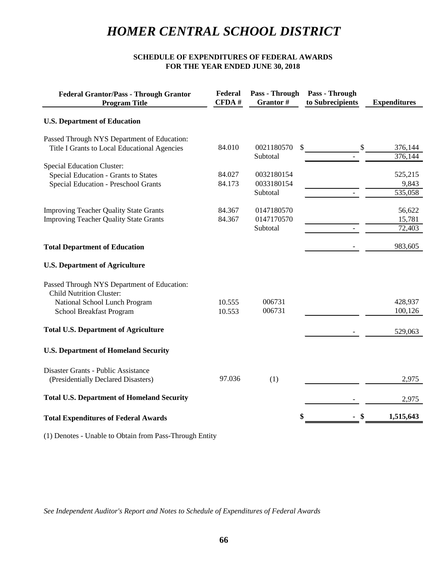#### **SCHEDULE OF EXPENDITURES OF FEDERAL AWARDS FOR THE YEAR ENDED JUNE 30, 2018**

| <b>Federal Grantor/Pass - Through Grantor</b><br><b>Program Title</b> | Federal<br>CFDA# | Pass - Through<br>Grantor #  | Pass - Through<br>to Subrecipients | <b>Expenditures</b> |
|-----------------------------------------------------------------------|------------------|------------------------------|------------------------------------|---------------------|
| <b>U.S. Department of Education</b>                                   |                  |                              |                                    |                     |
| Passed Through NYS Department of Education:                           |                  |                              |                                    |                     |
| Title I Grants to Local Educational Agencies                          | 84.010           | 0021180570<br>\$<br>Subtotal |                                    | 376,144<br>376,144  |
| <b>Special Education Cluster:</b>                                     |                  |                              |                                    |                     |
| Special Education - Grants to States                                  | 84.027           | 0032180154                   |                                    | 525,215             |
| Special Education - Preschool Grants                                  | 84.173           | 0033180154                   |                                    | 9,843               |
|                                                                       |                  | Subtotal                     |                                    | 535,058             |
| <b>Improving Teacher Quality State Grants</b>                         | 84.367           | 0147180570                   |                                    | 56,622              |
| <b>Improving Teacher Quality State Grants</b>                         | 84.367           | 0147170570                   |                                    | 15,781              |
|                                                                       |                  | Subtotal                     |                                    | 72,403              |
| <b>Total Department of Education</b>                                  |                  |                              |                                    | 983,605             |
| <b>U.S. Department of Agriculture</b>                                 |                  |                              |                                    |                     |
| Passed Through NYS Department of Education:                           |                  |                              |                                    |                     |
| <b>Child Nutrition Cluster:</b>                                       |                  |                              |                                    |                     |
| National School Lunch Program                                         | 10.555           | 006731                       |                                    | 428,937             |
| School Breakfast Program                                              | 10.553           | 006731                       |                                    | 100,126             |
| <b>Total U.S. Department of Agriculture</b>                           |                  |                              |                                    | 529,063             |
| <b>U.S. Department of Homeland Security</b>                           |                  |                              |                                    |                     |
| Disaster Grants - Public Assistance                                   |                  |                              |                                    |                     |
| (Presidentially Declared Disasters)                                   | 97.036           | (1)                          |                                    | 2,975               |
| <b>Total U.S. Department of Homeland Security</b>                     |                  |                              |                                    | 2,975               |
| <b>Total Expenditures of Federal Awards</b>                           |                  |                              |                                    | 1,515,643           |

(1) Denotes - Unable to Obtain from Pass-Through Entity

*See Independent Auditor's Report and Notes to Schedule of Expenditures of Federal Awards*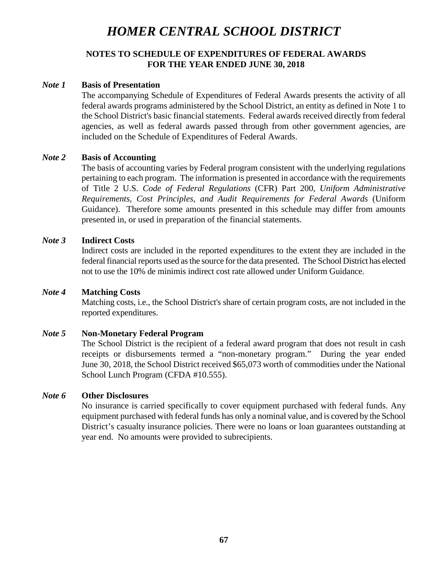## **NOTES TO SCHEDULE OF EXPENDITURES OF FEDERAL AWARDS FOR THE YEAR ENDED JUNE 30, 2018**

#### *Note 1* **Basis of Presentation**

The accompanying Schedule of Expenditures of Federal Awards presents the activity of all federal awards programs administered by the School District, an entity as defined in Note 1 to the School District's basic financial statements. Federal awards received directly from federal agencies, as well as federal awards passed through from other government agencies, are included on the Schedule of Expenditures of Federal Awards.

## *Note 2* **Basis of Accounting**

The basis of accounting varies by Federal program consistent with the underlying regulations pertaining to each program. The information is presented in accordance with the requirements of Title 2 U.S. *Code of Federal Regulations* (CFR) Part 200, *Uniform Administrative Requirements, Cost Principles, and Audit Requirements for Federal Awards* (Uniform Guidance). Therefore some amounts presented in this schedule may differ from amounts presented in, or used in preparation of the financial statements.

## *Note 3* **Indirect Costs**

Indirect costs are included in the reported expenditures to the extent they are included in the federal financial reports used as the source for the data presented. The School District has elected not to use the 10% de minimis indirect cost rate allowed under Uniform Guidance.

#### *Note 4* **Matching Costs**

Matching costs, i.e., the School District's share of certain program costs, are not included in the reported expenditures.

## *Note 5* **Non-Monetary Federal Program**

The School District is the recipient of a federal award program that does not result in cash receipts or disbursements termed a "non-monetary program." During the year ended June 30, 2018, the School District received \$65,073 worth of commodities under the National School Lunch Program (CFDA #10.555).

#### *Note 6* **Other Disclosures**

No insurance is carried specifically to cover equipment purchased with federal funds. Any equipment purchased with federal funds has only a nominal value, and is covered by the School District's casualty insurance policies. There were no loans or loan guarantees outstanding at year end. No amounts were provided to subrecipients.